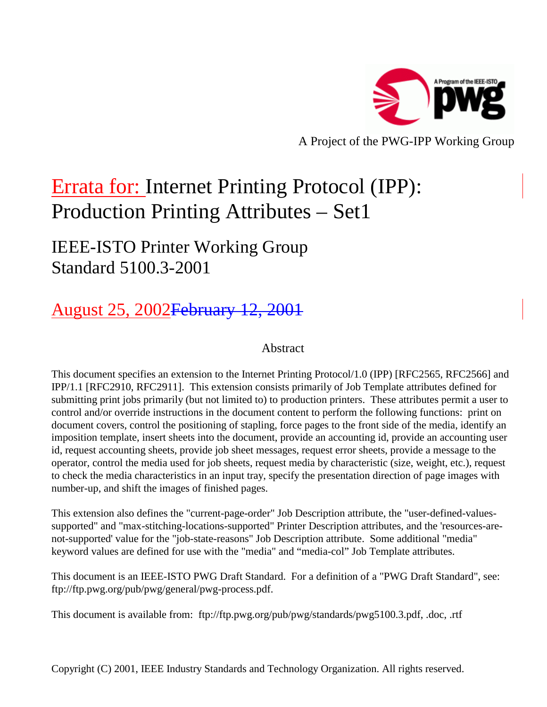

A Project of the PWG-IPP Working Group

# Errata for: Internet Printing Protocol (IPP): Production Printing Attributes – Set1

## IEEE-ISTO Printer Working Group Standard 5100.3-2001

## August 25, 2002February 12, 2001

## Abstract

This document specifies an extension to the Internet Printing Protocol/1.0 (IPP) [RFC2565, RFC2566] and IPP/1.1 [RFC2910, RFC2911]. This extension consists primarily of Job Template attributes defined for submitting print jobs primarily (but not limited to) to production printers. These attributes permit a user to control and/or override instructions in the document content to perform the following functions: print on document covers, control the positioning of stapling, force pages to the front side of the media, identify an imposition template, insert sheets into the document, provide an accounting id, provide an accounting user id, request accounting sheets, provide job sheet messages, request error sheets, provide a message to the operator, control the media used for job sheets, request media by characteristic (size, weight, etc.), request to check the media characteristics in an input tray, specify the presentation direction of page images with number-up, and shift the images of finished pages.

This extension also defines the "current-page-order" Job Description attribute, the "user-defined-valuessupported" and "max-stitching-locations-supported" Printer Description attributes, and the 'resources-arenot-supported' value for the "job-state-reasons" Job Description attribute. Some additional "media" keyword values are defined for use with the "media" and "media-col" Job Template attributes.

This document is an IEEE-ISTO PWG Draft Standard. For a definition of a "PWG Draft Standard", see: ftp://ftp.pwg.org/pub/pwg/general/pwg-process.pdf.

This document is available from: ftp://ftp.pwg.org/pub/pwg/standards/pwg5100.3.pdf, .doc, .rtf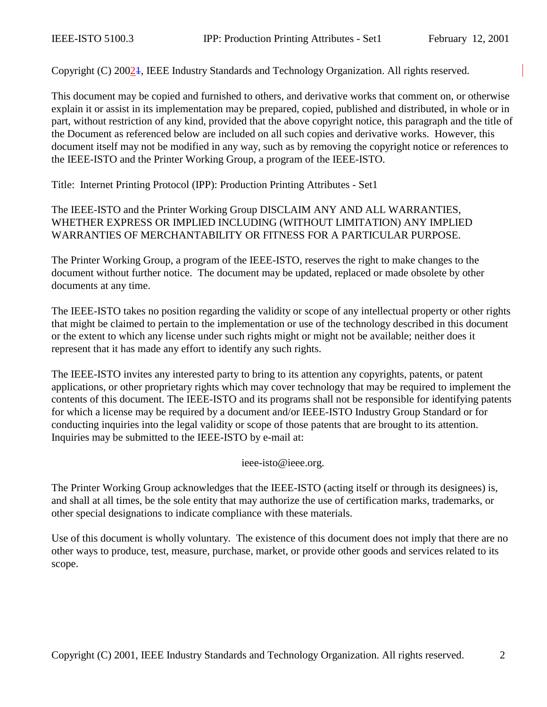Copyright (C) 20021, IEEE Industry Standards and Technology Organization. All rights reserved.

This document may be copied and furnished to others, and derivative works that comment on, or otherwise explain it or assist in its implementation may be prepared, copied, published and distributed, in whole or in part, without restriction of any kind, provided that the above copyright notice, this paragraph and the title of the Document as referenced below are included on all such copies and derivative works. However, this document itself may not be modified in any way, such as by removing the copyright notice or references to the IEEE-ISTO and the Printer Working Group, a program of the IEEE-ISTO.

Title: Internet Printing Protocol (IPP): Production Printing Attributes - Set1

#### The IEEE-ISTO and the Printer Working Group DISCLAIM ANY AND ALL WARRANTIES, WHETHER EXPRESS OR IMPLIED INCLUDING (WITHOUT LIMITATION) ANY IMPLIED WARRANTIES OF MERCHANTABILITY OR FITNESS FOR A PARTICULAR PURPOSE.

The Printer Working Group, a program of the IEEE-ISTO, reserves the right to make changes to the document without further notice. The document may be updated, replaced or made obsolete by other documents at any time.

The IEEE-ISTO takes no position regarding the validity or scope of any intellectual property or other rights that might be claimed to pertain to the implementation or use of the technology described in this document or the extent to which any license under such rights might or might not be available; neither does it represent that it has made any effort to identify any such rights.

The IEEE-ISTO invites any interested party to bring to its attention any copyrights, patents, or patent applications, or other proprietary rights which may cover technology that may be required to implement the contents of this document. The IEEE-ISTO and its programs shall not be responsible for identifying patents for which a license may be required by a document and/or IEEE-ISTO Industry Group Standard or for conducting inquiries into the legal validity or scope of those patents that are brought to its attention. Inquiries may be submitted to the IEEE-ISTO by e-mail at:

ieee-isto@ieee.org.

The Printer Working Group acknowledges that the IEEE-ISTO (acting itself or through its designees) is, and shall at all times, be the sole entity that may authorize the use of certification marks, trademarks, or other special designations to indicate compliance with these materials.

Use of this document is wholly voluntary. The existence of this document does not imply that there are no other ways to produce, test, measure, purchase, market, or provide other goods and services related to its scope.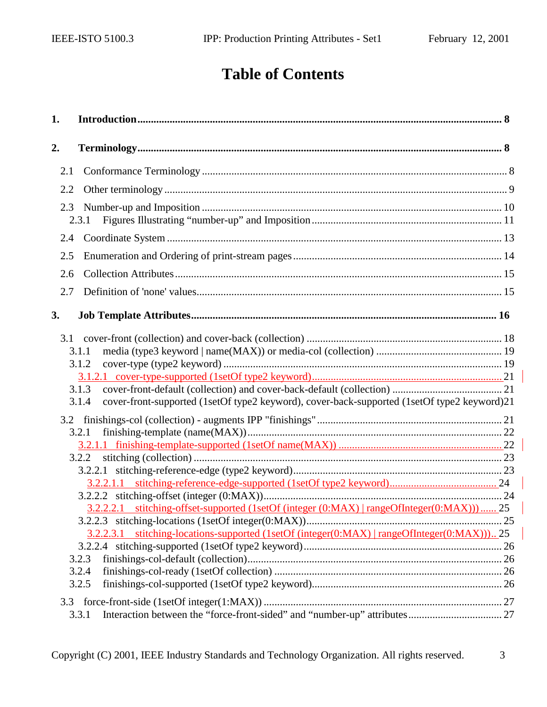## **Table of Contents**

| 1.  |                                                                                                               |  |
|-----|---------------------------------------------------------------------------------------------------------------|--|
| 2.  |                                                                                                               |  |
| 2.1 |                                                                                                               |  |
| 2.2 |                                                                                                               |  |
| 2.3 | 2.3.1                                                                                                         |  |
| 2.4 |                                                                                                               |  |
| 2.5 |                                                                                                               |  |
| 2.6 |                                                                                                               |  |
| 2.7 |                                                                                                               |  |
| 3.  |                                                                                                               |  |
|     | 3.1.1<br>3.1.2                                                                                                |  |
|     | 3.1.3<br>cover-front-supported (1setOf type2 keyword), cover-back-supported (1setOf type2 keyword)21<br>3.1.4 |  |
|     | 3.2.1                                                                                                         |  |
|     | 3.2.2                                                                                                         |  |
|     |                                                                                                               |  |
|     |                                                                                                               |  |
|     | 3.2.2.2.1 stitching-offset-supported (1setOf (integer (0:MAX)   rangeOfInteger(0:MAX)))  25                   |  |
|     |                                                                                                               |  |
|     | 3.2.2.3.1 stitching-locations-supported (1setOf (integer(0:MAX)   rangeOfInteger(0:MAX)))25                   |  |
|     | 3.2.3                                                                                                         |  |
|     | 3.2.4                                                                                                         |  |
|     | 3.2.5                                                                                                         |  |
| 3.3 | 3.3.1                                                                                                         |  |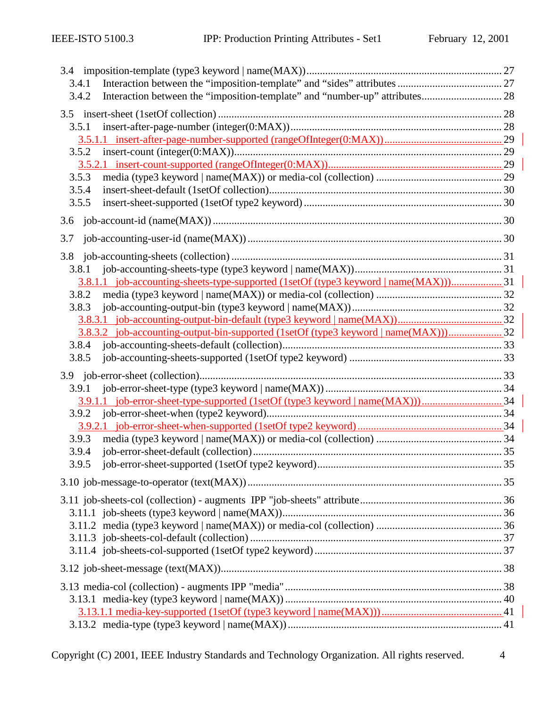| 3.4.1                                                                                |  |
|--------------------------------------------------------------------------------------|--|
| Interaction between the "imposition-template" and "number-up" attributes 28<br>3.4.2 |  |
| 3.5                                                                                  |  |
| 3.5.1                                                                                |  |
|                                                                                      |  |
| 3.5.2                                                                                |  |
|                                                                                      |  |
| 3.5.3                                                                                |  |
| 3.5.4                                                                                |  |
| 3.5.5                                                                                |  |
| 3.6                                                                                  |  |
| 3.7                                                                                  |  |
| 3.8                                                                                  |  |
| 3.8.1                                                                                |  |
| 3.8.1.1 job-accounting-sheets-type-supported (1setOf (type3 keyword   name(MAX)))31  |  |
| 3.8.2                                                                                |  |
| 3.8.3                                                                                |  |
|                                                                                      |  |
| 3.8.3.2 job-accounting-output-bin-supported (1setOf (type3 keyword   name(MAX)))32   |  |
| 3.8.4                                                                                |  |
| 3.8.5                                                                                |  |
|                                                                                      |  |
| 3.9.1                                                                                |  |
|                                                                                      |  |
| 3.9.2                                                                                |  |
|                                                                                      |  |
| 3.9.3                                                                                |  |
| 3.9.4                                                                                |  |
|                                                                                      |  |
|                                                                                      |  |
|                                                                                      |  |
|                                                                                      |  |
|                                                                                      |  |
|                                                                                      |  |
|                                                                                      |  |
|                                                                                      |  |
|                                                                                      |  |
|                                                                                      |  |
|                                                                                      |  |
|                                                                                      |  |
|                                                                                      |  |

Copyright (C) 2001, IEEE Industry Standards and Technology Organization. All rights reserved. 4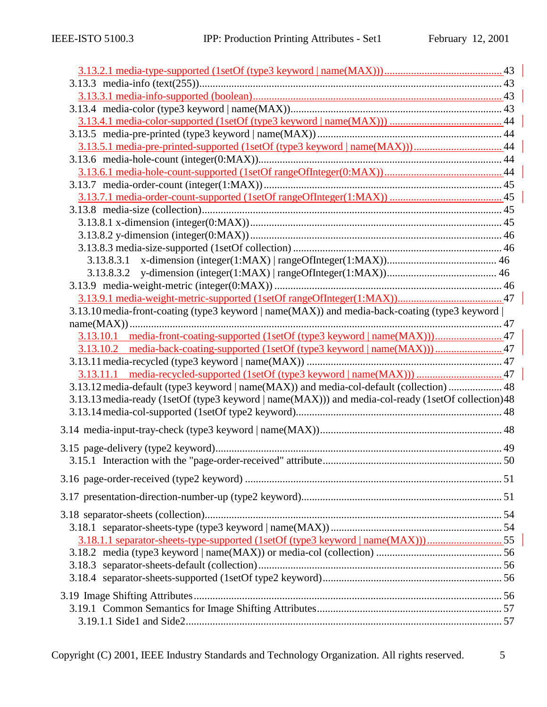| 3.13.10 media-front-coating (type3 keyword   name(MAX)) and media-back-coating (type3 keyword      |  |
|----------------------------------------------------------------------------------------------------|--|
|                                                                                                    |  |
|                                                                                                    |  |
|                                                                                                    |  |
|                                                                                                    |  |
| 3.13.12 media-default (type3 keyword   name(MAX)) and media-col-default (collection)  48           |  |
| 3.13.13 media-ready (1setOf (type3 keyword   name(MAX))) and media-col-ready (1setOf collection)48 |  |
|                                                                                                    |  |
|                                                                                                    |  |
|                                                                                                    |  |
|                                                                                                    |  |
|                                                                                                    |  |
|                                                                                                    |  |
|                                                                                                    |  |
|                                                                                                    |  |
|                                                                                                    |  |
| 3.18.1.1 separator-sheets-type-supported (1setOf (type3 keyword   name(MAX)))55                    |  |
|                                                                                                    |  |
|                                                                                                    |  |
|                                                                                                    |  |
|                                                                                                    |  |
|                                                                                                    |  |
|                                                                                                    |  |
|                                                                                                    |  |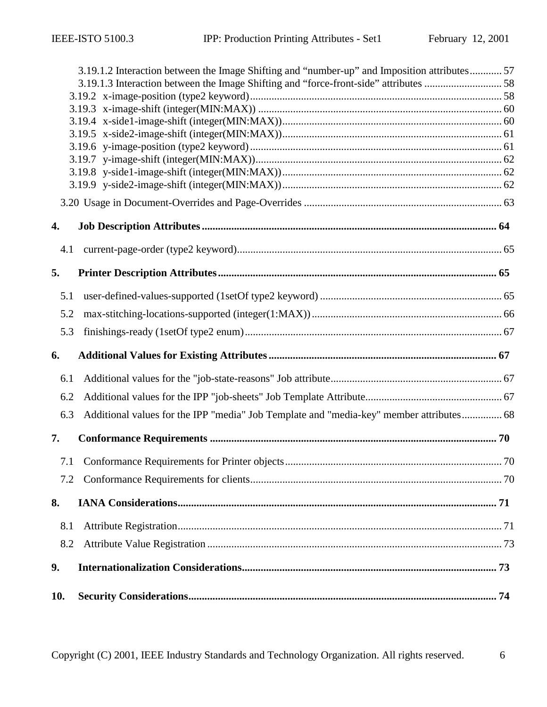|     | 3.19.1.2 Interaction between the Image Shifting and "number-up" and Imposition attributes 57 |  |
|-----|----------------------------------------------------------------------------------------------|--|
|     |                                                                                              |  |
|     |                                                                                              |  |
|     |                                                                                              |  |
|     |                                                                                              |  |
|     |                                                                                              |  |
|     |                                                                                              |  |
|     |                                                                                              |  |
|     |                                                                                              |  |
|     |                                                                                              |  |
| 4.  |                                                                                              |  |
| 4.1 |                                                                                              |  |
| 5.  |                                                                                              |  |
| 5.1 |                                                                                              |  |
| 5.2 |                                                                                              |  |
| 5.3 |                                                                                              |  |
| 6.  |                                                                                              |  |
| 6.1 |                                                                                              |  |
| 6.2 |                                                                                              |  |
| 6.3 | Additional values for the IPP "media" Job Template and "media-key" member attributes 68      |  |
| 7.  |                                                                                              |  |
|     |                                                                                              |  |
| 7.2 |                                                                                              |  |
| 8.  |                                                                                              |  |
| 8.1 |                                                                                              |  |
| 8.2 |                                                                                              |  |
| 9.  |                                                                                              |  |
| 10. |                                                                                              |  |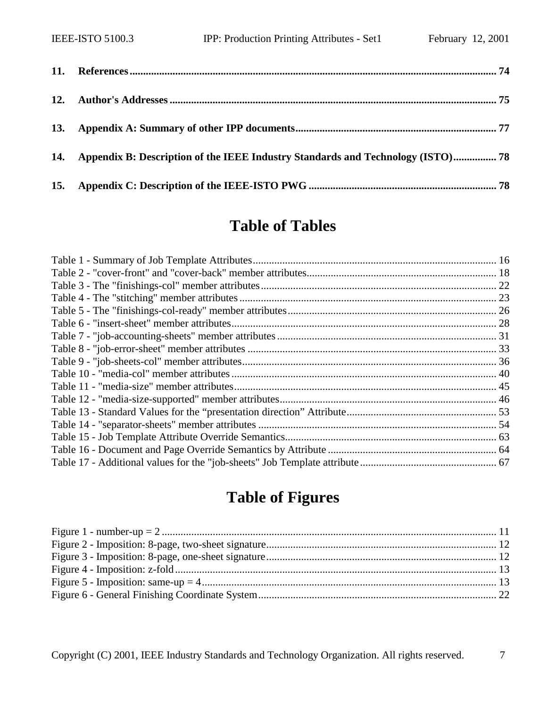| 14. Appendix B: Description of the IEEE Industry Standards and Technology (ISTO) 78 |  |
|-------------------------------------------------------------------------------------|--|
|                                                                                     |  |

## **Table of Tables**

## **Table of Figures**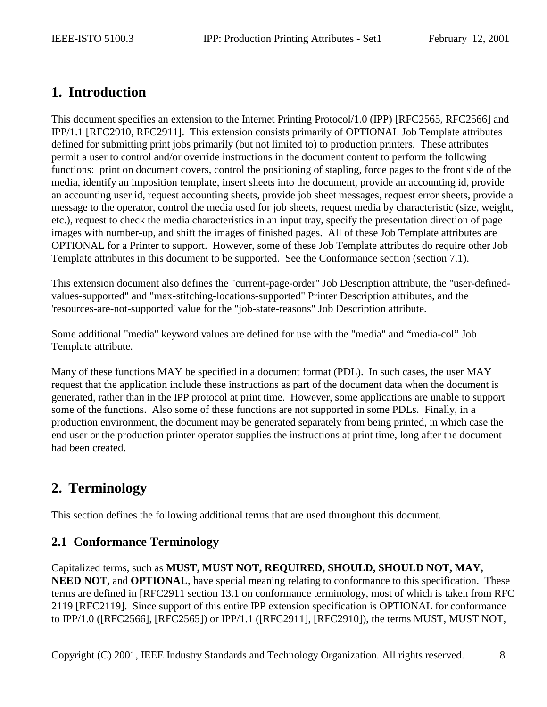## <span id="page-7-0"></span>**1. Introduction**

This document specifies an extension to the Internet Printing Protocol/1.0 (IPP) [RFC2565, RFC2566] and IPP/1.1 [RFC2910, RFC2911]. This extension consists primarily of OPTIONAL Job Template attributes defined for submitting print jobs primarily (but not limited to) to production printers. These attributes permit a user to control and/or override instructions in the document content to perform the following functions: print on document covers, control the positioning of stapling, force pages to the front side of the media, identify an imposition template, insert sheets into the document, provide an accounting id, provide an accounting user id, request accounting sheets, provide job sheet messages, request error sheets, provide a message to the operator, control the media used for job sheets, request media by characteristic (size, weight, etc.), request to check the media characteristics in an input tray, specify the presentation direction of page images with number-up, and shift the images of finished pages. All of these Job Template attributes are OPTIONAL for a Printer to support. However, some of these Job Template attributes do require other Job Template attributes in this document to be supported. See the Conformance section (section [7.1\)](#page-69-0).

This extension document also defines the "current-page-order" Job Description attribute, the "user-definedvalues-supported" and "max-stitching-locations-supported" Printer Description attributes, and the 'resources-are-not-supported' value for the "job-state-reasons" Job Description attribute.

Some additional "media" keyword values are defined for use with the "media" and "media-col" Job Template attribute.

Many of these functions MAY be specified in a document format (PDL). In such cases, the user MAY request that the application include these instructions as part of the document data when the document is generated, rather than in the IPP protocol at print time. However, some applications are unable to support some of the functions. Also some of these functions are not supported in some PDLs. Finally, in a production environment, the document may be generated separately from being printed, in which case the end user or the production printer operator supplies the instructions at print time, long after the document had been created.

## **2. Terminology**

This section defines the following additional terms that are used throughout this document.

## **2.1 Conformance Terminology**

Capitalized terms, such as **MUST, MUST NOT, REQUIRED, SHOULD, SHOULD NOT, MAY, NEED NOT, and <b>OPTIONAL**, have special meaning relating to conformance to this specification. These terms are defined in [RFC2911 section 13.1 on conformance terminology, most of which is taken from RFC 2119 [RFC2119]. Since support of this entire IPP extension specification is OPTIONAL for conformance to IPP/1.0 ([RFC2566], [RFC2565]) or IPP/1.1 ([RFC2911], [RFC2910]), the terms MUST, MUST NOT,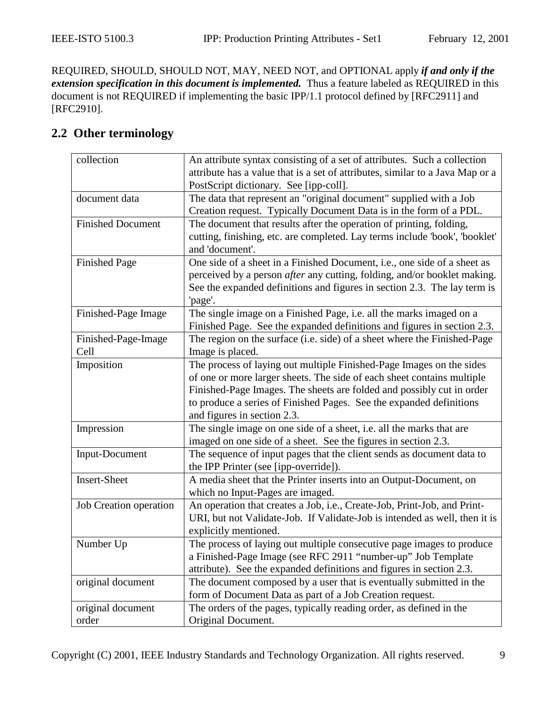<span id="page-8-0"></span>REQUIRED, SHOULD, SHOULD NOT, MAY, NEED NOT, and OPTIONAL apply *if and only if the extension specification in this document is implemented.* Thus a feature labeled as REQUIRED in this document is not REQUIRED if implementing the basic IPP/1.1 protocol defined by [RFC2911] and [RFC2910].

## **2.2 Other terminology**

| collection               | An attribute syntax consisting of a set of attributes. Such a collection        |  |
|--------------------------|---------------------------------------------------------------------------------|--|
|                          | attribute has a value that is a set of attributes, similar to a Java Map or a   |  |
|                          | PostScript dictionary. See [ipp-coll].                                          |  |
| document data            | The data that represent an "original document" supplied with a Job              |  |
|                          | Creation request. Typically Document Data is in the form of a PDL.              |  |
| <b>Finished Document</b> | The document that results after the operation of printing, folding,             |  |
|                          | cutting, finishing, etc. are completed. Lay terms include 'book', 'booklet'     |  |
|                          | and 'document'.                                                                 |  |
| <b>Finished Page</b>     | One side of a sheet in a Finished Document, i.e., one side of a sheet as        |  |
|                          | perceived by a person <i>after</i> any cutting, folding, and/or booklet making. |  |
|                          | See the expanded definitions and figures in section 2.3. The lay term is        |  |
|                          | 'page'.                                                                         |  |
| Finished-Page Image      | The single image on a Finished Page, i.e. all the marks imaged on a             |  |
|                          | Finished Page. See the expanded definitions and figures in section 2.3.         |  |
| Finished-Page-Image      | The region on the surface (i.e. side) of a sheet where the Finished-Page        |  |
| Cell                     | Image is placed.                                                                |  |
| Imposition               | The process of laying out multiple Finished-Page Images on the sides            |  |
|                          | of one or more larger sheets. The side of each sheet contains multiple          |  |
|                          | Finished-Page Images. The sheets are folded and possibly cut in order           |  |
|                          | to produce a series of Finished Pages. See the expanded definitions             |  |
|                          | and figures in section 2.3.                                                     |  |
| Impression               | The single image on one side of a sheet, i.e. all the marks that are            |  |
|                          | imaged on one side of a sheet. See the figures in section 2.3.                  |  |
| Input-Document           | The sequence of input pages that the client sends as document data to           |  |
|                          | the IPP Printer (see [ipp-override]).                                           |  |
| <b>Insert-Sheet</b>      | A media sheet that the Printer inserts into an Output-Document, on              |  |
|                          | which no Input-Pages are imaged.                                                |  |
| Job Creation operation   | An operation that creates a Job, i.e., Create-Job, Print-Job, and Print-        |  |
|                          | URI, but not Validate-Job. If Validate-Job is intended as well, then it is      |  |
|                          | explicitly mentioned.                                                           |  |
| Number Up                | The process of laying out multiple consecutive page images to produce           |  |
|                          | a Finished-Page Image (see RFC 2911 "number-up" Job Template                    |  |
|                          | attribute). See the expanded definitions and figures in section 2.3.            |  |
| original document        | The document composed by a user that is eventually submitted in the             |  |
|                          | form of Document Data as part of a Job Creation request.                        |  |
| original document        | The orders of the pages, typically reading order, as defined in the             |  |
| order                    | Original Document.                                                              |  |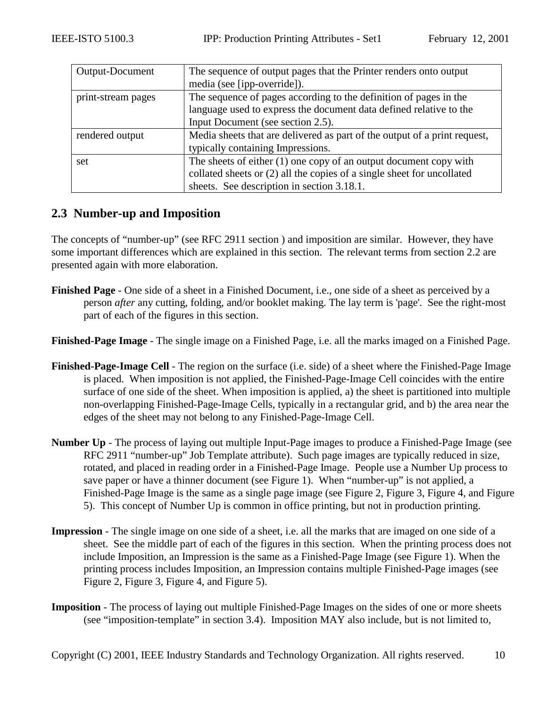<span id="page-9-0"></span>

| Output-Document    | The sequence of output pages that the Printer renders onto output         |  |  |
|--------------------|---------------------------------------------------------------------------|--|--|
|                    | media (see [ipp-override]).                                               |  |  |
| print-stream pages | The sequence of pages according to the definition of pages in the         |  |  |
|                    | language used to express the document data defined relative to the        |  |  |
|                    | Input Document (see section 2.5).                                         |  |  |
| rendered output    | Media sheets that are delivered as part of the output of a print request, |  |  |
|                    | typically containing Impressions.                                         |  |  |
| set                | The sheets of either $(1)$ one copy of an output document copy with       |  |  |
|                    | collated sheets or (2) all the copies of a single sheet for uncollated    |  |  |
|                    | sheets. See description in section 3.18.1.                                |  |  |

## **2.3 Number-up and Imposition**

The concepts of "number-up" (see RFC 2911 section ) and imposition are similar. However, they have some important differences which are explained in this section. The relevant terms from section 2.2 are presented again with more elaboration.

**Finished Page** - One side of a sheet in a Finished Document, i.e., one side of a sheet as perceived by a person *after* any cutting, folding, and/or booklet making. The lay term is 'page'. See the right-most part of each of the figures in this section.

**Finished-Page Image** - The single image on a Finished Page, i.e. all the marks imaged on a Finished Page.

- **Finished-Page-Image Cell** The region on the surface (i.e. side) of a sheet where the Finished-Page Image is placed. When imposition is not applied, the Finished-Page-Image Cell coincides with the entire surface of one side of the sheet. When imposition is applied, a) the sheet is partitioned into multiple non-overlapping Finished-Page-Image Cells, typically in a rectangular grid, and b) the area near the edges of the sheet may not belong to any Finished-Page-Image Cell.
- **Number Up** The process of laying out multiple Input-Page images to produce a Finished-Page Image (see RFC 2911 "number-up" Job Template attribute). Such page images are typically reduced in size, rotated, and placed in reading order in a Finished-Page Image. People use a Number Up process to save paper or have a thinner document (see [Figure 1\)](#page-10-0). When "number-up" is not applied, a Finished-Page Image is the same as a single page image (see [Figure 2, Figure 3,](#page-11-0) [Figure 4,](#page-12-0) and [Figure](#page-12-0)  [5](#page-12-0)). This concept of Number Up is common in office printing, but not in production printing.
- **Impression** The single image on one side of a sheet, i.e. all the marks that are imaged on one side of a sheet. See the middle part of each of the figures in this section. When the printing process does not include Imposition, an Impression is the same as a Finished-Page Image (see [Figure 1\)](#page-10-0). When the printing process includes Imposition, an Impression contains multiple Finished-Page images (see [Figure 2, Figure 3,](#page-11-0) [Figure 4,](#page-12-0) and [Figure 5\)](#page-12-0).
- **Imposition** The process of laying out multiple Finished-Page Images on the sides of one or more sheets (see "imposition-template" in section [3.4\)](#page-26-0). Imposition MAY also include, but is not limited to,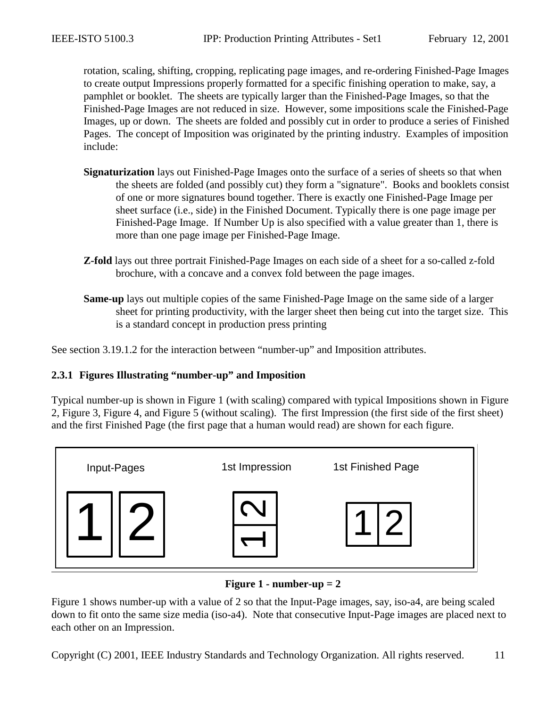<span id="page-10-0"></span>rotation, scaling, shifting, cropping, replicating page images, and re-ordering Finished-Page Images to create output Impressions properly formatted for a specific finishing operation to make, say, a pamphlet or booklet. The sheets are typically larger than the Finished-Page Images, so that the Finished-Page Images are not reduced in size. However, some impositions scale the Finished-Page Images, up or down. The sheets are folded and possibly cut in order to produce a series of Finished Pages. The concept of Imposition was originated by the printing industry. Examples of imposition include:

- **Signaturization** lays out Finished-Page Images onto the surface of a series of sheets so that when the sheets are folded (and possibly cut) they form a "signature". Books and booklets consist of one or more signatures bound together. There is exactly one Finished-Page Image per sheet surface (i.e., side) in the Finished Document. Typically there is one page image per Finished-Page Image. If Number Up is also specified with a value greater than 1, there is more than one page image per Finished-Page Image.
- **Z-fold** lays out three portrait Finished-Page Images on each side of a sheet for a so-called z-fold brochure, with a concave and a convex fold between the page images.
- **Same-up** lays out multiple copies of the same Finished-Page Image on the same side of a larger sheet for printing productivity, with the larger sheet then being cut into the target size. This is a standard concept in production press printing

See section [3.19.1.2](#page-56-0) for the interaction between "number-up" and Imposition attributes.

#### **2.3.1 Figures Illustrating "number-up" and Imposition**

Typical number-up is shown in Figure 1 (with scaling) compared with typical Impositions shown in [Figure](#page-11-0)  [2,](#page-11-0) [Figure 3,](#page-11-0) [Figure 4,](#page-12-0) and [Figure 5](#page-12-0) (without scaling). The first Impression (the first side of the first sheet) and the first Finished Page (the first page that a human would read) are shown for each figure.



**Figure 1 - number-up = 2** 

Figure 1 shows number-up with a value of 2 so that the Input-Page images, say, iso-a4, are being scaled down to fit onto the same size media (iso-a4). Note that consecutive Input-Page images are placed next to each other on an Impression.

Copyright (C) 2001, IEEE Industry Standards and Technology Organization. All rights reserved. 11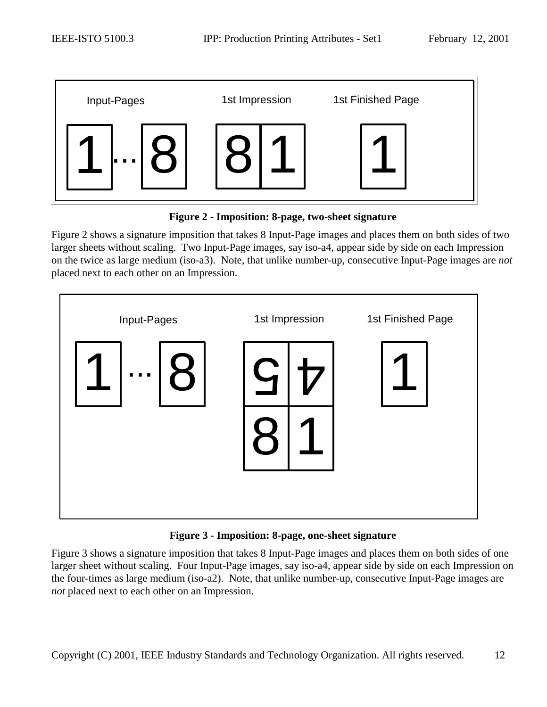<span id="page-11-0"></span>

**Figure 2 - Imposition: 8-page, two-sheet signature** 

Figure 2 shows a signature imposition that takes 8 Input-Page images and places them on both sides of two larger sheets without scaling. Two Input-Page images, say iso-a4, appear side by side on each Impression on the twice as large medium (iso-a3). Note, that unlike number-up, consecutive Input-Page images are *not* placed next to each other on an Impression.



**Figure 3 - Imposition: 8-page, one-sheet signature** 

Figure 3 shows a signature imposition that takes 8 Input-Page images and places them on both sides of one larger sheet without scaling. Four Input-Page images, say iso-a4, appear side by side on each Impression on the four-times as large medium (iso-a2). Note, that unlike number-up, consecutive Input-Page images are *not* placed next to each other on an Impression.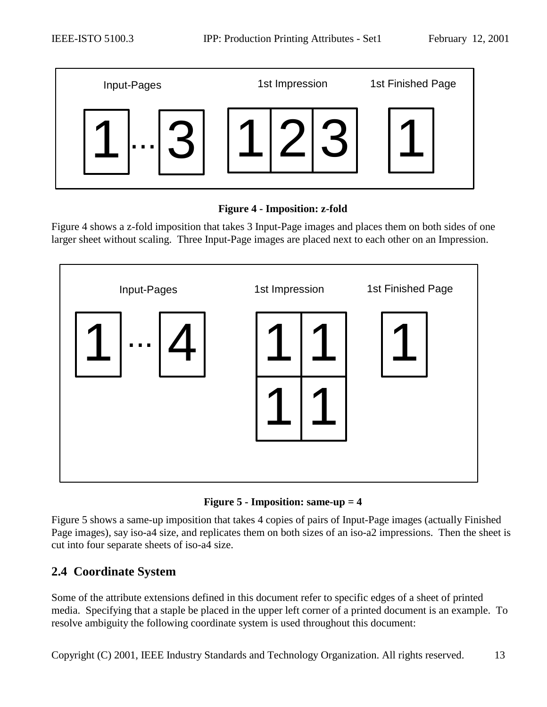<span id="page-12-0"></span>

#### **Figure 4 - Imposition: z-fold**

Figure 4 shows a z-fold imposition that takes 3 Input-Page images and places them on both sides of one larger sheet without scaling. Three Input-Page images are placed next to each other on an Impression.





Figure 5 shows a same-up imposition that takes 4 copies of pairs of Input-Page images (actually Finished Page images), say iso-a4 size, and replicates them on both sizes of an iso-a2 impressions. Then the sheet is cut into four separate sheets of iso-a4 size.

## **2.4 Coordinate System**

Some of the attribute extensions defined in this document refer to specific edges of a sheet of printed media. Specifying that a staple be placed in the upper left corner of a printed document is an example. To resolve ambiguity the following coordinate system is used throughout this document:

Copyright (C) 2001, IEEE Industry Standards and Technology Organization. All rights reserved. 13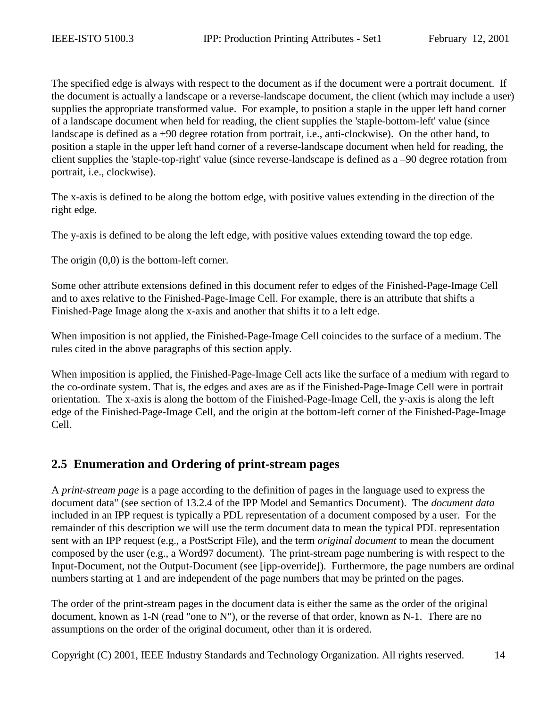<span id="page-13-0"></span>The specified edge is always with respect to the document as if the document were a portrait document. If the document is actually a landscape or a reverse-landscape document, the client (which may include a user) supplies the appropriate transformed value. For example, to position a staple in the upper left hand corner of a landscape document when held for reading, the client supplies the 'staple-bottom-left' value (since landscape is defined as a +90 degree rotation from portrait, i.e., anti-clockwise). On the other hand, to position a staple in the upper left hand corner of a reverse-landscape document when held for reading, the client supplies the 'staple-top-right' value (since reverse-landscape is defined as a –90 degree rotation from portrait, i.e., clockwise).

The x-axis is defined to be along the bottom edge, with positive values extending in the direction of the right edge.

The y-axis is defined to be along the left edge, with positive values extending toward the top edge.

The origin  $(0,0)$  is the bottom-left corner.

Some other attribute extensions defined in this document refer to edges of the Finished-Page-Image Cell and to axes relative to the Finished-Page-Image Cell. For example, there is an attribute that shifts a Finished-Page Image along the x-axis and another that shifts it to a left edge.

When imposition is not applied, the Finished-Page-Image Cell coincides to the surface of a medium. The rules cited in the above paragraphs of this section apply.

When imposition is applied, the Finished-Page-Image Cell acts like the surface of a medium with regard to the co-ordinate system. That is, the edges and axes are as if the Finished-Page-Image Cell were in portrait orientation. The x-axis is along the bottom of the Finished-Page-Image Cell, the y-axis is along the left edge of the Finished-Page-Image Cell, and the origin at the bottom-left corner of the Finished-Page-Image Cell.

### **2.5 Enumeration and Ordering of print-stream pages**

A *print-stream page* is a page according to the definition of pages in the language used to express the document data" (see section of 13.2.4 of the IPP Model and Semantics Document). The *document data* included in an IPP request is typically a PDL representation of a document composed by a user. For the remainder of this description we will use the term document data to mean the typical PDL representation sent with an IPP request (e.g., a PostScript File), and the term *original document* to mean the document composed by the user (e.g., a Word97 document). The print-stream page numbering is with respect to the Input-Document, not the Output-Document (see [ipp-override]). Furthermore, the page numbers are ordinal numbers starting at 1 and are independent of the page numbers that may be printed on the pages.

The order of the print-stream pages in the document data is either the same as the order of the original document, known as 1-N (read "one to N"), or the reverse of that order, known as N-1. There are no assumptions on the order of the original document, other than it is ordered.

Copyright (C) 2001, IEEE Industry Standards and Technology Organization. All rights reserved. 14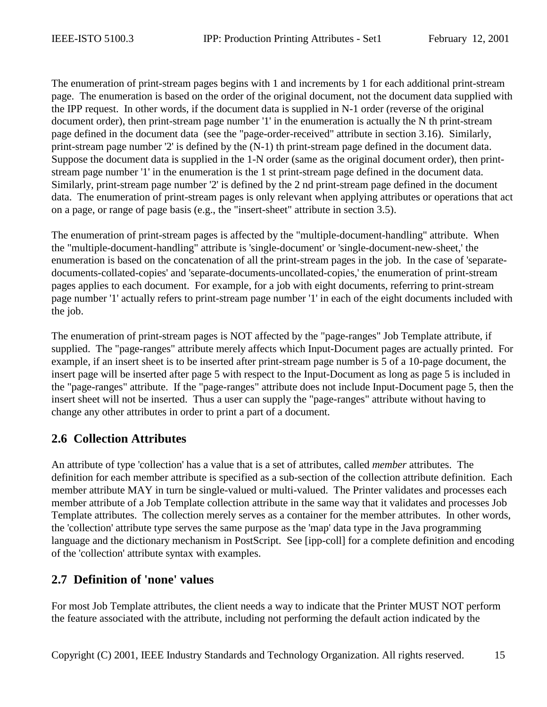<span id="page-14-0"></span>The enumeration of print-stream pages begins with 1 and increments by 1 for each additional print-stream page. The enumeration is based on the order of the original document, not the document data supplied with the IPP request. In other words, if the document data is supplied in N-1 order (reverse of the original document order), then print-stream page number '1' in the enumeration is actually the N th print-stream page defined in the document data (see the "page-order-received" attribute in section [3.16\)](#page-50-0). Similarly, print-stream page number '2' is defined by the (N-1) th print-stream page defined in the document data. Suppose the document data is supplied in the 1-N order (same as the original document order), then printstream page number '1' in the enumeration is the 1 st print-stream page defined in the document data. Similarly, print-stream page number '2' is defined by the 2 nd print-stream page defined in the document data. The enumeration of print-stream pages is only relevant when applying attributes or operations that act on a page, or range of page basis (e.g., the "insert-sheet" attribute in section [3.5\)](#page-27-0).

The enumeration of print-stream pages is affected by the "multiple-document-handling" attribute. When the "multiple-document-handling" attribute is 'single-document' or 'single-document-new-sheet,' the enumeration is based on the concatenation of all the print-stream pages in the job. In the case of 'separatedocuments-collated-copies' and 'separate-documents-uncollated-copies,' the enumeration of print-stream pages applies to each document. For example, for a job with eight documents, referring to print-stream page number '1' actually refers to print-stream page number '1' in each of the eight documents included with the job.

The enumeration of print-stream pages is NOT affected by the "page-ranges" Job Template attribute, if supplied. The "page-ranges" attribute merely affects which Input-Document pages are actually printed. For example, if an insert sheet is to be inserted after print-stream page number is 5 of a 10-page document, the insert page will be inserted after page 5 with respect to the Input-Document as long as page 5 is included in the "page-ranges" attribute. If the "page-ranges" attribute does not include Input-Document page 5, then the insert sheet will not be inserted. Thus a user can supply the "page-ranges" attribute without having to change any other attributes in order to print a part of a document.

## **2.6 Collection Attributes**

An attribute of type 'collection' has a value that is a set of attributes, called *member* attributes. The definition for each member attribute is specified as a sub-section of the collection attribute definition. Each member attribute MAY in turn be single-valued or multi-valued. The Printer validates and processes each member attribute of a Job Template collection attribute in the same way that it validates and processes Job Template attributes. The collection merely serves as a container for the member attributes. In other words, the 'collection' attribute type serves the same purpose as the 'map' data type in the Java programming language and the dictionary mechanism in PostScript. See [ipp-coll] for a complete definition and encoding of the 'collection' attribute syntax with examples.

## **2.7 Definition of 'none' values**

For most Job Template attributes, the client needs a way to indicate that the Printer MUST NOT perform the feature associated with the attribute, including not performing the default action indicated by the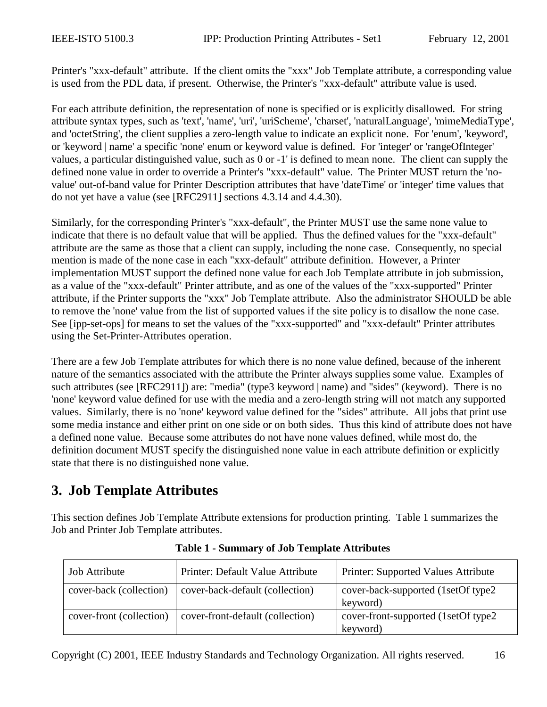<span id="page-15-0"></span>Printer's "xxx-default" attribute. If the client omits the "xxx" Job Template attribute, a corresponding value is used from the PDL data, if present. Otherwise, the Printer's "xxx-default" attribute value is used.

For each attribute definition, the representation of none is specified or is explicitly disallowed. For string attribute syntax types, such as 'text', 'name', 'uri', 'uriScheme', 'charset', 'naturalLanguage', 'mimeMediaType', and 'octetString', the client supplies a zero-length value to indicate an explicit none. For 'enum', 'keyword', or 'keyword | name' a specific 'none' enum or keyword value is defined. For 'integer' or 'rangeOfInteger' values, a particular distinguished value, such as 0 or -1' is defined to mean none. The client can supply the defined none value in order to override a Printer's "xxx-default" value. The Printer MUST return the 'novalue' out-of-band value for Printer Description attributes that have 'dateTime' or 'integer' time values that do not yet have a value (see [RFC2911] sections 4.3.14 and 4.4.30).

Similarly, for the corresponding Printer's "xxx-default", the Printer MUST use the same none value to indicate that there is no default value that will be applied. Thus the defined values for the "xxx-default" attribute are the same as those that a client can supply, including the none case. Consequently, no special mention is made of the none case in each "xxx-default" attribute definition. However, a Printer implementation MUST support the defined none value for each Job Template attribute in job submission, as a value of the "xxx-default" Printer attribute, and as one of the values of the "xxx-supported" Printer attribute, if the Printer supports the "xxx" Job Template attribute. Also the administrator SHOULD be able to remove the 'none' value from the list of supported values if the site policy is to disallow the none case. See [ipp-set-ops] for means to set the values of the "xxx-supported" and "xxx-default" Printer attributes using the Set-Printer-Attributes operation.

There are a few Job Template attributes for which there is no none value defined, because of the inherent nature of the semantics associated with the attribute the Printer always supplies some value. Examples of such attributes (see [RFC2911]) are: "media" (type3 keyword | name) and "sides" (keyword). There is no 'none' keyword value defined for use with the media and a zero-length string will not match any supported values. Similarly, there is no 'none' keyword value defined for the "sides" attribute. All jobs that print use some media instance and either print on one side or on both sides. Thus this kind of attribute does not have a defined none value. Because some attributes do not have none values defined, while most do, the definition document MUST specify the distinguished none value in each attribute definition or explicitly state that there is no distinguished none value.

## **3. Job Template Attributes**

This section defines Job Template Attribute extensions for production printing. Table 1 summarizes the Job and Printer Job Template attributes.

| <b>Job Attribute</b>     | Printer: Default Value Attribute | <b>Printer: Supported Values Attribute</b>       |
|--------------------------|----------------------------------|--------------------------------------------------|
| cover-back (collection)  | cover-back-default (collection)  | cover-back-supported (1setOf type2<br>keyword)   |
| cover-front (collection) | cover-front-default (collection) | cover-front-supported (1setOf type2)<br>keyword) |

**Table 1 - Summary of Job Template Attributes**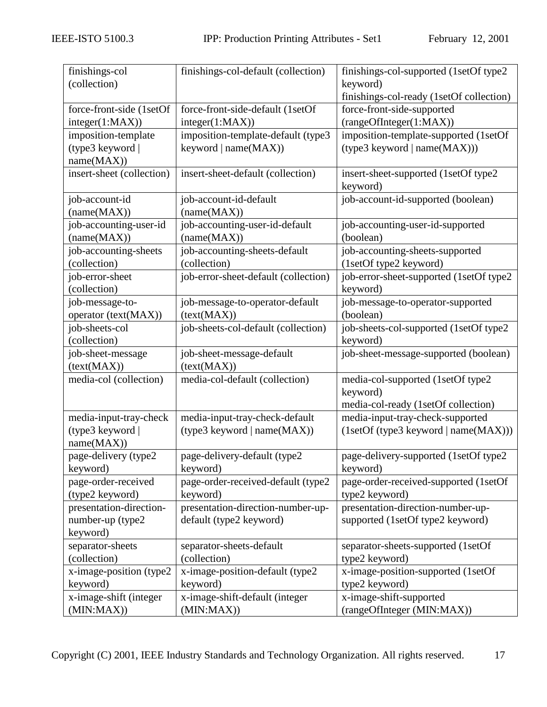| finishings-col            | finishings-col-default (collection)  | finishings-col-supported (1setOf type2   |
|---------------------------|--------------------------------------|------------------------------------------|
| (collection)              |                                      | keyword)                                 |
|                           |                                      | finishings-col-ready (1setOf collection) |
| force-front-side (1setOf  | force-front-side-default (1setOf     | force-front-side-supported               |
| integer(1:MAX))           | integer(1:MAX))                      | (rangeOfInteger(1:MAX))                  |
| imposition-template       | imposition-template-default (type3   | imposition-template-supported (1setOf    |
| (type3 keyword            | keyword   name(MAX))                 | (type3 keyword   name(MAX)))             |
| name(MAX))                |                                      |                                          |
| insert-sheet (collection) | insert-sheet-default (collection)    | insert-sheet-supported (1setOf type2     |
|                           |                                      | keyword)                                 |
| job-account-id            | job-account-id-default               | job-account-id-supported (boolean)       |
| (name(MAX))               | (name(MAX))                          |                                          |
| job-accounting-user-id    | job-accounting-user-id-default       | job-accounting-user-id-supported         |
| (name(MAX))               | (name(MAX))                          | (boolean)                                |
| job-accounting-sheets     | job-accounting-sheets-default        | job-accounting-sheets-supported          |
| (collection)              | (collection)                         | (1setOf type2 keyword)                   |
| job-error-sheet           | job-error-sheet-default (collection) | job-error-sheet-supported (1setOf type2  |
| (collection)              |                                      | keyword)                                 |
| job-message-to-           | job-message-to-operator-default      | job-message-to-operator-supported        |
| operator (text(MAX))      | (text(MAX))                          | (boolean)                                |
| job-sheets-col            | job-sheets-col-default (collection)  | job-sheets-col-supported (1setOf type2   |
| (collection)              |                                      | keyword)                                 |
| job-sheet-message         | job-sheet-message-default            | job-sheet-message-supported (boolean)    |
| (text(MAX))               | (text(MAX))                          |                                          |
| media-col (collection)    | media-col-default (collection)       | media-col-supported (1setOf type2        |
|                           |                                      | keyword)                                 |
|                           |                                      | media-col-ready (1setOf collection)      |
| media-input-tray-check    | media-input-tray-check-default       | media-input-tray-check-supported         |
| (type3 keyword            | (type3 keyword   name(MAX))          | (1setOf (type3 keyword   name(MAX)))     |
| name(MAX))                |                                      |                                          |
| page-delivery (type2      | page-delivery-default (type2         | page-delivery-supported (1setOf type2    |
| keyword)                  | keyword)                             | keyword)                                 |
| page-order-received       | page-order-received-default (type2   | page-order-received-supported (1setOf    |
| (type2 keyword)           | keyword)                             | type2 keyword)                           |
| presentation-direction-   | presentation-direction-number-up-    | presentation-direction-number-up-        |
| number-up (type2          | default (type2 keyword)              | supported (1setOf type2 keyword)         |
| keyword)                  |                                      |                                          |
| separator-sheets          | separator-sheets-default             | separator-sheets-supported (1setOf       |
| (collection)              | (collection)                         | type2 keyword)                           |
| x-image-position (type2   | x-image-position-default (type2      | x-image-position-supported (1setOf       |
| keyword)                  | keyword)                             | type2 keyword)                           |
| x-image-shift (integer    | x-image-shift-default (integer       | x-image-shift-supported                  |
| (MIN:MAX))                | (MIN:MAX))                           | (rangeOfInteger (MIN:MAX))               |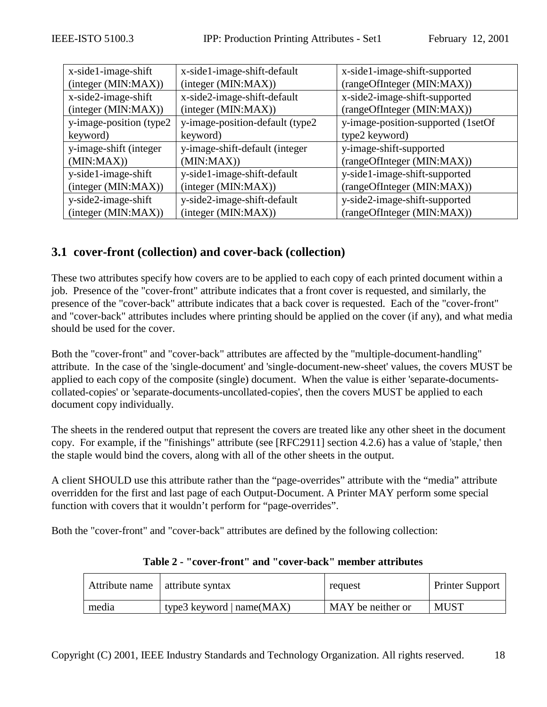<span id="page-17-0"></span>

| x-side1-image-shift      | x-side1-image-shift-default      | x-side1-image-shift-supported       |
|--------------------------|----------------------------------|-------------------------------------|
| (integer (MIN:MAX))      | (integer (MIN:MAX))              | (rangeOfInteger (MIN:MAX))          |
| x-side2-image-shift      | x-side2-image-shift-default      | x-side2-image-shift-supported       |
| (integer (MIN:MAX))      | (integer (MIN:MAX))              | (rangeOfInteger (MIN:MAX))          |
| y-image-position (type2) | y-image-position-default (type2) | y-image-position-supported (1setOf) |
| keyword)                 | keyword)                         | type2 keyword)                      |
| y-image-shift (integer   | y-image-shift-default (integer   | y-image-shift-supported             |
| (MIN:MAX)                | (MIN:MAX)                        | (rangeOfInteger (MIN:MAX))          |
| y-side1-image-shift      | y-side1-image-shift-default      | y-side1-image-shift-supported       |
| (integer (MIN:MAX))      | (integer (MIN:MAX))              | (rangeOfInteger (MIN:MAX))          |
| y-side2-image-shift      | y-side2-image-shift-default      | y-side2-image-shift-supported       |
| (integer (MIN:MAX))      | (integer (MIN:MAX))              | (rangeOfInteger (MIN:MAX))          |

## **3.1 cover-front (collection) and cover-back (collection)**

These two attributes specify how covers are to be applied to each copy of each printed document within a job. Presence of the "cover-front" attribute indicates that a front cover is requested, and similarly, the presence of the "cover-back" attribute indicates that a back cover is requested. Each of the "cover-front" and "cover-back" attributes includes where printing should be applied on the cover (if any), and what media should be used for the cover.

Both the "cover-front" and "cover-back" attributes are affected by the "multiple-document-handling" attribute. In the case of the 'single-document' and 'single-document-new-sheet' values, the covers MUST be applied to each copy of the composite (single) document. When the value is either 'separate-documentscollated-copies' or 'separate-documents-uncollated-copies', then the covers MUST be applied to each document copy individually.

The sheets in the rendered output that represent the covers are treated like any other sheet in the document copy. For example, if the "finishings" attribute (see [RFC2911] section 4.2.6) has a value of 'staple,' then the staple would bind the covers, along with all of the other sheets in the output.

A client SHOULD use this attribute rather than the "page-overrides" attribute with the "media" attribute overridden for the first and last page of each Output-Document. A Printer MAY perform some special function with covers that it wouldn't perform for "page-overrides".

Both the "cover-front" and "cover-back" attributes are defined by the following collection:

|       | Attribute name   attribute syntax | request           | <b>Printer Support</b> |
|-------|-----------------------------------|-------------------|------------------------|
| media | type3 keyword   $name(MAX)$       | MAY be neither or | <b>MUST</b>            |

#### **Table 2 - "cover-front" and "cover-back" member attributes**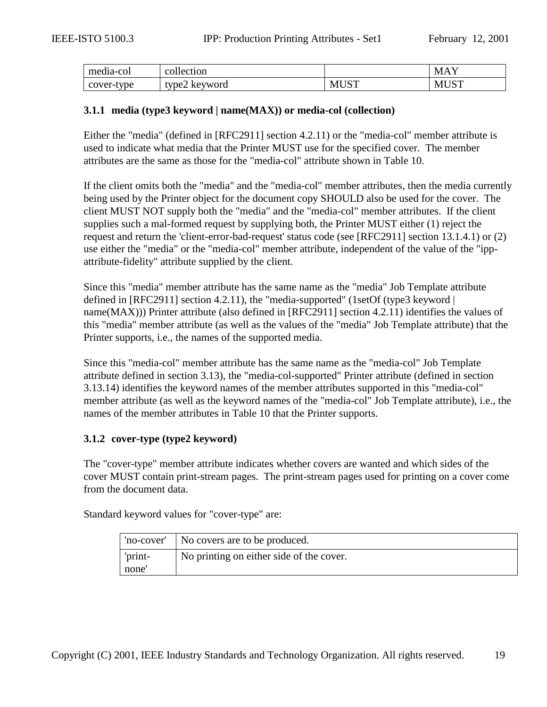<span id="page-18-0"></span>

| media-col        | - -<br>collection           |                                     | $\sqrt{2}$<br>NЛ |
|------------------|-----------------------------|-------------------------------------|------------------|
| -tvpe<br>cover-t | $t$ vpe $\angle$<br>keyword | TCTT<br>M <sub>I</sub><br><u>UN</u> | $T \cap T$<br>NЛ |

#### **3.1.1 media (type3 keyword | name(MAX)) or media-col (collection)**

Either the "media" (defined in [RFC2911] section 4.2.11) or the "media-col" member attribute is used to indicate what media that the Printer MUST use for the specified cover. The member attributes are the same as those for the "media-col" attribute shown in [Table 10.](#page-39-0)

If the client omits both the "media" and the "media-col" member attributes, then the media currently being used by the Printer object for the document copy SHOULD also be used for the cover. The client MUST NOT supply both the "media" and the "media-col" member attributes. If the client supplies such a mal-formed request by supplying both, the Printer MUST either (1) reject the request and return the 'client-error-bad-request' status code (see [RFC2911] section 13.1.4.1) or (2) use either the "media" or the "media-col" member attribute, independent of the value of the "ippattribute-fidelity" attribute supplied by the client.

Since this "media" member attribute has the same name as the "media" Job Template attribute defined in [RFC2911] section 4.2.11), the "media-supported" (1setOf (type3 keyword | name(MAX))) Printer attribute (also defined in [RFC2911] section 4.2.11) identifies the values of this "media" member attribute (as well as the values of the "media" Job Template attribute) that the Printer supports, i.e., the names of the supported media.

Since this "media-col" member attribute has the same name as the "media-col" Job Template attribute defined in section [3.13\)](#page-37-0), the "media-col-supported" Printer attribute (defined in section [3.13.14\)](#page-47-0) identifies the keyword names of the member attributes supported in this "media-col" member attribute (as well as the keyword names of the "media-col" Job Template attribute), i.e., the names of the member attributes in [Table 10](#page-39-0) that the Printer supports.

#### **3.1.2 cover-type (type2 keyword)**

The "cover-type" member attribute indicates whether covers are wanted and which sides of the cover MUST contain print-stream pages. The print-stream pages used for printing on a cover come from the document data.

Standard keyword values for "cover-type" are:

|                              | 'no-cover'   No covers are to be produced. |
|------------------------------|--------------------------------------------|
| 'print-<br>none <sup>'</sup> | No printing on either side of the cover.   |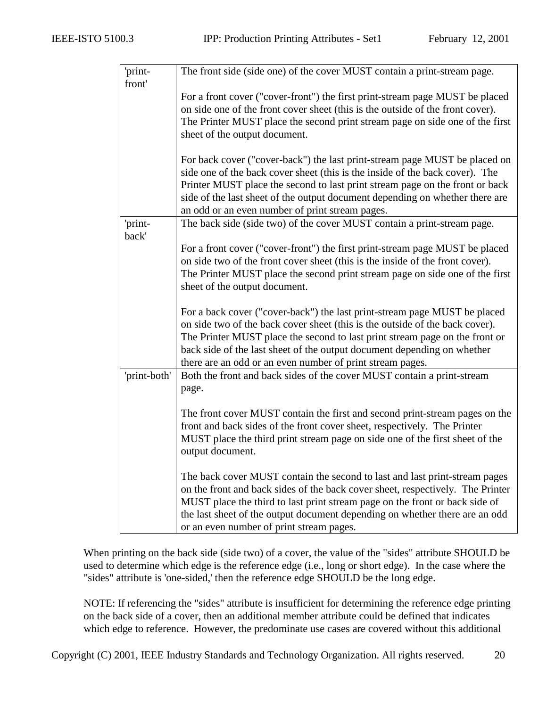| 'print-      | The front side (side one) of the cover MUST contain a print-stream page.       |
|--------------|--------------------------------------------------------------------------------|
| front'       |                                                                                |
|              | For a front cover ("cover-front") the first print-stream page MUST be placed   |
|              | on side one of the front cover sheet (this is the outside of the front cover). |
|              | The Printer MUST place the second print stream page on side one of the first   |
|              | sheet of the output document.                                                  |
|              |                                                                                |
|              | For back cover ("cover-back") the last print-stream page MUST be placed on     |
|              | side one of the back cover sheet (this is the inside of the back cover). The   |
|              | Printer MUST place the second to last print stream page on the front or back   |
|              | side of the last sheet of the output document depending on whether there are   |
|              | an odd or an even number of print stream pages.                                |
| 'print-      | The back side (side two) of the cover MUST contain a print-stream page.        |
| back'        |                                                                                |
|              | For a front cover ("cover-front") the first print-stream page MUST be placed   |
|              | on side two of the front cover sheet (this is the inside of the front cover).  |
|              | The Printer MUST place the second print stream page on side one of the first   |
|              | sheet of the output document.                                                  |
|              |                                                                                |
|              | For a back cover ("cover-back") the last print-stream page MUST be placed      |
|              | on side two of the back cover sheet (this is the outside of the back cover).   |
|              | The Printer MUST place the second to last print stream page on the front or    |
|              | back side of the last sheet of the output document depending on whether        |
|              | there are an odd or an even number of print stream pages.                      |
| 'print-both' | Both the front and back sides of the cover MUST contain a print-stream         |
|              | page.                                                                          |
|              |                                                                                |
|              | The front cover MUST contain the first and second print-stream pages on the    |
|              | front and back sides of the front cover sheet, respectively. The Printer       |
|              | MUST place the third print stream page on side one of the first sheet of the   |
|              | output document.                                                               |
|              |                                                                                |
|              | The back cover MUST contain the second to last and last print-stream pages     |
|              | on the front and back sides of the back cover sheet, respectively. The Printer |
|              | MUST place the third to last print stream page on the front or back side of    |
|              | the last sheet of the output document depending on whether there are an odd    |
|              | or an even number of print stream pages.                                       |

When printing on the back side (side two) of a cover, the value of the "sides" attribute SHOULD be used to determine which edge is the reference edge (i.e., long or short edge). In the case where the "sides" attribute is 'one-sided,' then the reference edge SHOULD be the long edge.

NOTE: If referencing the "sides" attribute is insufficient for determining the reference edge printing on the back side of a cover, then an additional member attribute could be defined that indicates which edge to reference. However, the predominate use cases are covered without this additional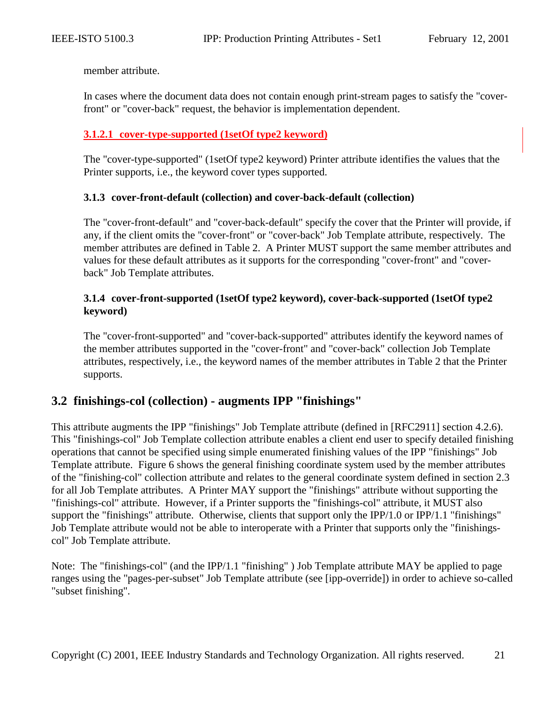<span id="page-20-0"></span>member attribute.

In cases where the document data does not contain enough print-stream pages to satisfy the "coverfront" or "cover-back" request, the behavior is implementation dependent.

#### **3.1.2.1 cover-type-supported (1setOf type2 keyword)**

The "cover-type-supported" (1setOf type2 keyword) Printer attribute identifies the values that the Printer supports, i.e., the keyword cover types supported.

#### **3.1.3 cover-front-default (collection) and cover-back-default (collection)**

The "cover-front-default" and "cover-back-default" specify the cover that the Printer will provide, if any, if the client omits the "cover-front" or "cover-back" Job Template attribute, respectively. The member attributes are defined in [Table 2.](#page-17-0) A Printer MUST support the same member attributes and values for these default attributes as it supports for the corresponding "cover-front" and "coverback" Job Template attributes.

#### **3.1.4 cover-front-supported (1setOf type2 keyword), cover-back-supported (1setOf type2 keyword)**

The "cover-front-supported" and "cover-back-supported" attributes identify the keyword names of the member attributes supported in the "cover-front" and "cover-back" collection Job Template attributes, respectively, i.e., the keyword names of the member attributes in [Table 2](#page-17-0) that the Printer supports.

#### **3.2 finishings-col (collection) - augments IPP "finishings"**

This attribute augments the IPP "finishings" Job Template attribute (defined in [RFC2911] section 4.2.6). This "finishings-col" Job Template collection attribute enables a client end user to specify detailed finishing operations that cannot be specified using simple enumerated finishing values of the IPP "finishings" Job Template attribute. [Figure 6](#page-21-0) shows the general finishing coordinate system used by the member attributes of the "finishing-col" collection attribute and relates to the general coordinate system defined in section [2.3](#page-12-0)  for all Job Template attributes. A Printer MAY support the "finishings" attribute without supporting the "finishings-col" attribute. However, if a Printer supports the "finishings-col" attribute, it MUST also support the "finishings" attribute. Otherwise, clients that support only the IPP/1.0 or IPP/1.1 "finishings" Job Template attribute would not be able to interoperate with a Printer that supports only the "finishingscol" Job Template attribute.

Note: The "finishings-col" (and the IPP/1.1 "finishing" ) Job Template attribute MAY be applied to page ranges using the "pages-per-subset" Job Template attribute (see [ipp-override]) in order to achieve so-called "subset finishing".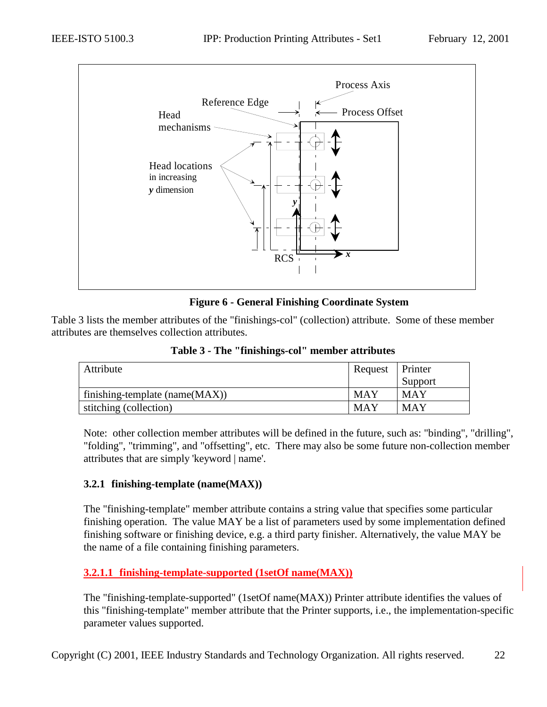<span id="page-21-0"></span>

#### **Figure 6 - General Finishing Coordinate System**

Table 3 lists the member attributes of the "finishings-col" (collection) attribute. Some of these member attributes are themselves collection attributes.

| Attribute                          | Request    | Printer    |
|------------------------------------|------------|------------|
|                                    |            | Support    |
| finishing-template ( $name(MAX)$ ) | <b>MAY</b> | MAY        |
| stitching (collection)             | <b>MAY</b> | <b>MAY</b> |

**Table 3 - The "finishings-col" member attributes** 

Note: other collection member attributes will be defined in the future, such as: "binding", "drilling", "folding", "trimming", and "offsetting", etc. There may also be some future non-collection member attributes that are simply 'keyword | name'.

#### **3.2.1 finishing-template (name(MAX))**

The "finishing-template" member attribute contains a string value that specifies some particular finishing operation. The value MAY be a list of parameters used by some implementation defined finishing software or finishing device, e.g. a third party finisher. Alternatively, the value MAY be the name of a file containing finishing parameters.

#### **3.2.1.1 finishing-template-supported (1setOf name(MAX))**

The "finishing-template-supported" (1setOf name(MAX)) Printer attribute identifies the values of this "finishing-template" member attribute that the Printer supports, i.e., the implementation-specific parameter values supported.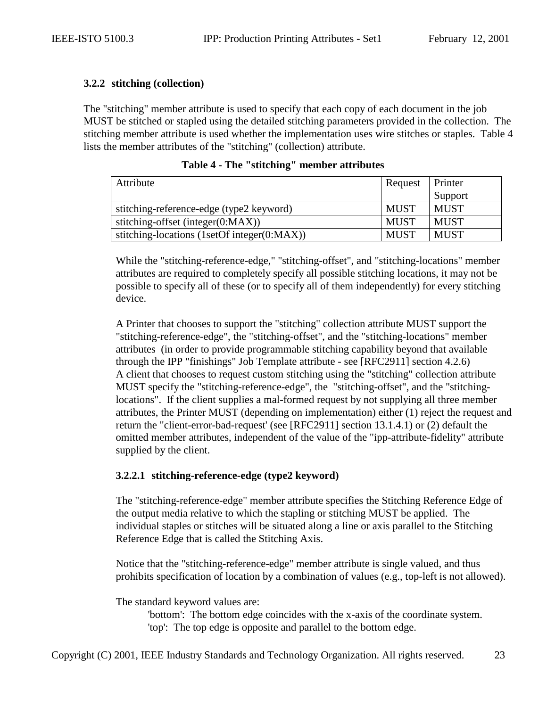#### <span id="page-22-0"></span>**3.2.2 stitching (collection)**

The "stitching" member attribute is used to specify that each copy of each document in the job MUST be stitched or stapled using the detailed stitching parameters provided in the collection. The stitching member attribute is used whether the implementation uses wire stitches or staples. Table 4 lists the member attributes of the "stitching" (collection) attribute.

| Attribute                                   | Request     | <b>Printer</b> |
|---------------------------------------------|-------------|----------------|
|                                             |             | Support        |
| stitching-reference-edge (type2 keyword)    | <b>MUST</b> | <b>MUST</b>    |
| stitching-offset (integer $(0:MAX)$ )       | <b>MUST</b> | <b>MUST</b>    |
| stitching-locations (1setOf integer(0:MAX)) | <b>MUST</b> | <b>MUST</b>    |

**Table 4 - The "stitching" member attributes** 

While the "stitching-reference-edge," "stitching-offset", and "stitching-locations" member attributes are required to completely specify all possible stitching locations, it may not be possible to specify all of these (or to specify all of them independently) for every stitching device.

A Printer that chooses to support the "stitching" collection attribute MUST support the "stitching-reference-edge", the "stitching-offset", and the "stitching-locations" member attributes (in order to provide programmable stitching capability beyond that available through the IPP "finishings" Job Template attribute - see [RFC2911] section 4.2.6) A client that chooses to request custom stitching using the "stitching" collection attribute MUST specify the "stitching-reference-edge", the "stitching-offset", and the "stitchinglocations". If the client supplies a mal-formed request by not supplying all three member attributes, the Printer MUST (depending on implementation) either (1) reject the request and return the "client-error-bad-request' (see [RFC2911] section 13.1.4.1) or (2) default the omitted member attributes, independent of the value of the "ipp-attribute-fidelity" attribute supplied by the client.

#### **3.2.2.1 stitching-reference-edge (type2 keyword)**

The "stitching-reference-edge" member attribute specifies the Stitching Reference Edge of the output media relative to which the stapling or stitching MUST be applied. The individual staples or stitches will be situated along a line or axis parallel to the Stitching Reference Edge that is called the Stitching Axis.

Notice that the "stitching-reference-edge" member attribute is single valued, and thus prohibits specification of location by a combination of values (e.g., top-left is not allowed).

The standard keyword values are:

'bottom': The bottom edge coincides with the x-axis of the coordinate system. 'top': The top edge is opposite and parallel to the bottom edge.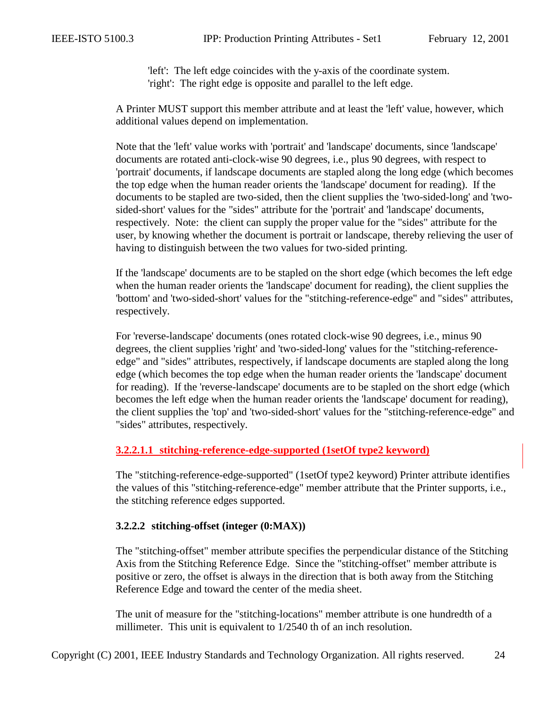'left': The left edge coincides with the y-axis of the coordinate system. 'right': The right edge is opposite and parallel to the left edge.

<span id="page-23-0"></span>A Printer MUST support this member attribute and at least the 'left' value, however, which additional values depend on implementation.

Note that the 'left' value works with 'portrait' and 'landscape' documents, since 'landscape' documents are rotated anti-clock-wise 90 degrees, i.e., plus 90 degrees, with respect to 'portrait' documents, if landscape documents are stapled along the long edge (which becomes the top edge when the human reader orients the 'landscape' document for reading). If the documents to be stapled are two-sided, then the client supplies the 'two-sided-long' and 'twosided-short' values for the "sides" attribute for the 'portrait' and 'landscape' documents, respectively. Note: the client can supply the proper value for the "sides" attribute for the user, by knowing whether the document is portrait or landscape, thereby relieving the user of having to distinguish between the two values for two-sided printing.

If the 'landscape' documents are to be stapled on the short edge (which becomes the left edge when the human reader orients the 'landscape' document for reading), the client supplies the 'bottom' and 'two-sided-short' values for the "stitching-reference-edge" and "sides" attributes, respectively.

For 'reverse-landscape' documents (ones rotated clock-wise 90 degrees, i.e., minus 90 degrees, the client supplies 'right' and 'two-sided-long' values for the "stitching-referenceedge" and "sides" attributes, respectively, if landscape documents are stapled along the long edge (which becomes the top edge when the human reader orients the 'landscape' document for reading). If the 'reverse-landscape' documents are to be stapled on the short edge (which becomes the left edge when the human reader orients the 'landscape' document for reading), the client supplies the 'top' and 'two-sided-short' values for the "stitching-reference-edge" and "sides" attributes, respectively.

#### **3.2.2.1.1 stitching-reference-edge-supported (1setOf type2 keyword)**

The "stitching-reference-edge-supported" (1setOf type2 keyword) Printer attribute identifies the values of this "stitching-reference-edge" member attribute that the Printer supports, i.e., the stitching reference edges supported.

#### **3.2.2.2 stitching-offset (integer (0:MAX))**

The "stitching-offset" member attribute specifies the perpendicular distance of the Stitching Axis from the Stitching Reference Edge. Since the "stitching-offset" member attribute is positive or zero, the offset is always in the direction that is both away from the Stitching Reference Edge and toward the center of the media sheet.

The unit of measure for the "stitching-locations" member attribute is one hundredth of a millimeter. This unit is equivalent to 1/2540 th of an inch resolution.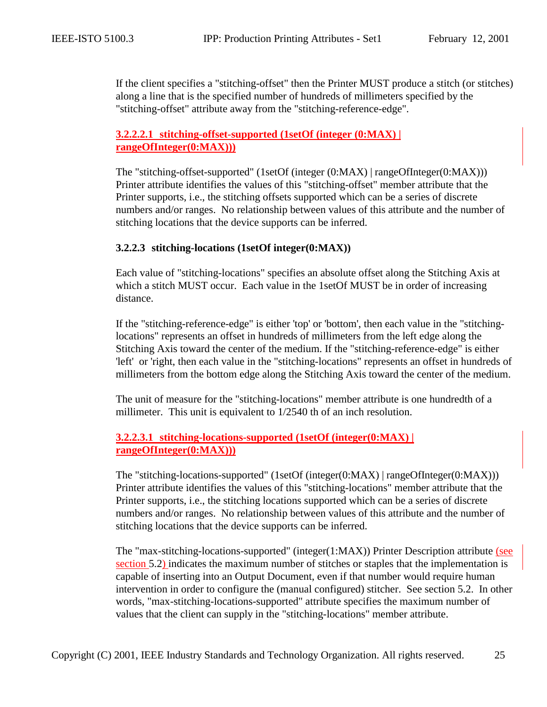<span id="page-24-0"></span>If the client specifies a "stitching-offset" then the Printer MUST produce a stitch (or stitches) along a line that is the specified number of hundreds of millimeters specified by the "stitching-offset" attribute away from the "stitching-reference-edge".

#### **3.2.2.2.1 stitching-offset-supported (1setOf (integer (0:MAX) | rangeOfInteger(0:MAX)))**

The "stitching-offset-supported" (1setOf (integer (0:MAX) | rangeOfInteger(0:MAX))) Printer attribute identifies the values of this "stitching-offset" member attribute that the Printer supports, i.e., the stitching offsets supported which can be a series of discrete numbers and/or ranges. No relationship between values of this attribute and the number of stitching locations that the device supports can be inferred.

#### **3.2.2.3 stitching-locations (1setOf integer(0:MAX))**

Each value of "stitching-locations" specifies an absolute offset along the Stitching Axis at which a stitch MUST occur. Each value in the 1set Of MUST be in order of increasing distance.

If the "stitching-reference-edge" is either 'top' or 'bottom', then each value in the "stitchinglocations" represents an offset in hundreds of millimeters from the left edge along the Stitching Axis toward the center of the medium. If the "stitching-reference-edge" is either 'left' or 'right, then each value in the "stitching-locations" represents an offset in hundreds of millimeters from the bottom edge along the Stitching Axis toward the center of the medium.

The unit of measure for the "stitching-locations" member attribute is one hundredth of a millimeter. This unit is equivalent to 1/2540 th of an inch resolution.

#### **3.2.2.3.1 stitching-locations-supported (1setOf (integer(0:MAX) | rangeOfInteger(0:MAX)))**

The "stitching-locations-supported" (1setOf (integer(0:MAX) | rangeOfInteger(0:MAX))) Printer attribute identifies the values of this "stitching-locations" member attribute that the Printer supports, i.e., the stitching locations supported which can be a series of discrete numbers and/or ranges. No relationship between values of this attribute and the number of stitching locations that the device supports can be inferred.

The "max-stitching-locations-supported" (integer(1:MAX)) Printer Description attribute (see section [5.2\)](#page-65-0) indicates the maximum number of stitches or staples that the implementation is capable of inserting into an Output Document, even if that number would require human intervention in order to configure the (manual configured) stitcher. See section [5.2.](#page-65-0) In other words, "max-stitching-locations-supported" attribute specifies the maximum number of values that the client can supply in the "stitching-locations" member attribute.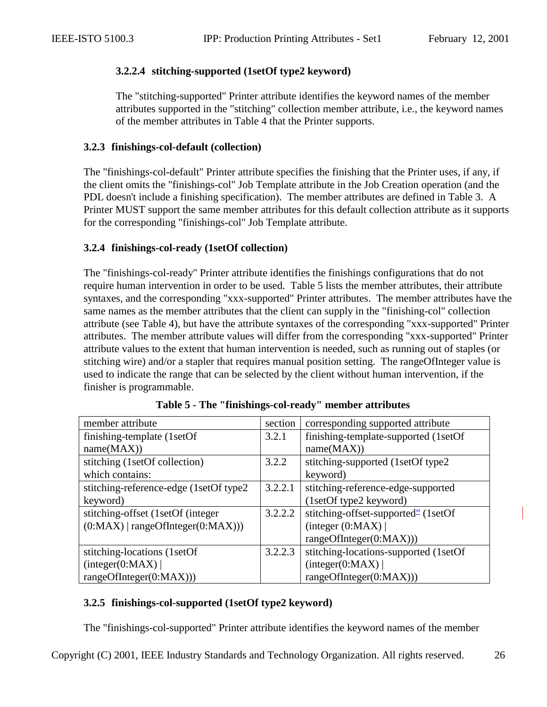#### <span id="page-25-0"></span>**3.2.2.4 stitching-supported (1setOf type2 keyword)**

The "stitching-supported" Printer attribute identifies the keyword names of the member attributes supported in the "stitching" collection member attribute, i.e., the keyword names of the member attributes in [Table 4](#page-22-0) that the Printer supports.

#### **3.2.3 finishings-col-default (collection)**

The "finishings-col-default" Printer attribute specifies the finishing that the Printer uses, if any, if the client omits the "finishings-col" Job Template attribute in the Job Creation operation (and the PDL doesn't include a finishing specification). The member attributes are defined in [Table 3.](#page-21-0) A Printer MUST support the same member attributes for this default collection attribute as it supports for the corresponding "finishings-col" Job Template attribute.

#### **3.2.4 finishings-col-ready (1setOf collection)**

The "finishings-col-ready" Printer attribute identifies the finishings configurations that do not require human intervention in order to be used. Table 5 lists the member attributes, their attribute syntaxes, and the corresponding "xxx-supported" Printer attributes. The member attributes have the same names as the member attributes that the client can supply in the "finishing-col" collection attribute (see [Table 4\)](#page-22-0), but have the attribute syntaxes of the corresponding "xxx-supported" Printer attributes. The member attribute values will differ from the corresponding "xxx-supported" Printer attribute values to the extent that human intervention is needed, such as running out of staples (or stitching wire) and/or a stapler that requires manual position setting. The rangeOfInteger value is used to indicate the range that can be selected by the client without human intervention, if the finisher is programmable.

| member attribute                        | section | corresponding supported attribute               |
|-----------------------------------------|---------|-------------------------------------------------|
| finishing-template (1setOf)             | 3.2.1   | finishing-template-supported (1setOf)           |
| name(MAX))                              |         | name(MAX))                                      |
| stitching (1setOf collection)           | 3.2.2   | stitching-supported (1setOf type2               |
| which contains:                         |         | keyword)                                        |
| stitching-reference-edge (1setOf type2) | 3.2.2.1 | stitching-reference-edge-supported              |
| keyword)                                |         | (1setOf type2 keyword)                          |
| stitching-offset (1setOf (integer       | 3.2.2.2 | stitching-offset-supported <sup>"</sup> (1setOf |
| $(0:MAX)$   rangeOfInteger $(0:MAX))$   |         | (integer (0:MAX)                                |
|                                         |         | rangeOfInteger(0:MAX)))                         |
| stitching-locations (1setOf             | 3.2.2.3 | stitching-locations-supported (1setOf)          |
| interger(0:MAX)                         |         | interger(0:MAX)                                 |
| rangeOfInteger(0:MAX))                  |         | rangeOfInteger(0:MAX))                          |

|  | Table 5 - The "finishings-col-ready" member attributes |  |  |  |
|--|--------------------------------------------------------|--|--|--|
|--|--------------------------------------------------------|--|--|--|

#### **3.2.5 finishings-col-supported (1setOf type2 keyword)**

The "finishings-col-supported" Printer attribute identifies the keyword names of the member

Copyright (C) 2001, IEEE Industry Standards and Technology Organization. All rights reserved. 26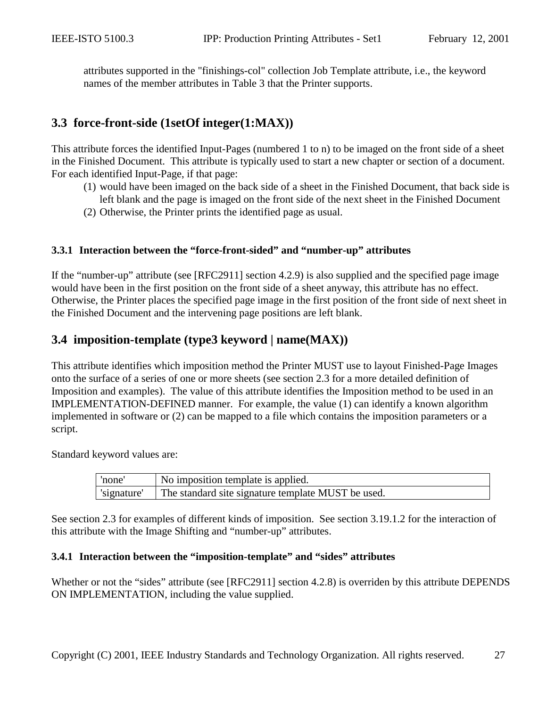<span id="page-26-0"></span>attributes supported in the "finishings-col" collection Job Template attribute, i.e., the keyword names of the member attributes in [Table 3](#page-21-0) that the Printer supports.

## **3.3 force-front-side (1setOf integer(1:MAX))**

This attribute forces the identified Input-Pages (numbered 1 to n) to be imaged on the front side of a sheet in the Finished Document. This attribute is typically used to start a new chapter or section of a document. For each identified Input-Page, if that page:

- (1) would have been imaged on the back side of a sheet in the Finished Document, that back side is left blank and the page is imaged on the front side of the next sheet in the Finished Document
- (2) Otherwise, the Printer prints the identified page as usual.

#### **3.3.1 Interaction between the "force-front-sided" and "number-up" attributes**

If the "number-up" attribute (see [RFC2911] section 4.2.9) is also supplied and the specified page image would have been in the first position on the front side of a sheet anyway, this attribute has no effect. Otherwise, the Printer places the specified page image in the first position of the front side of next sheet in the Finished Document and the intervening page positions are left blank.

## **3.4 imposition-template (type3 keyword | name(MAX))**

This attribute identifies which imposition method the Printer MUST use to layout Finished-Page Images onto the surface of a series of one or more sheets (see section [2.3](#page-9-0) for a more detailed definition of Imposition and examples). The value of this attribute identifies the Imposition method to be used in an IMPLEMENTATION-DEFINED manner. For example, the value (1) can identify a known algorithm implemented in software or (2) can be mapped to a file which contains the imposition parameters or a script.

Standard keyword values are:

| 'none'      | No imposition template is applied.                 |
|-------------|----------------------------------------------------|
| 'signature' | The standard site signature template MUST be used. |

See section [2.3](#page-9-0) for examples of different kinds of imposition. See section [3.19.1.2](#page-56-0) for the interaction of this attribute with the Image Shifting and "number-up" attributes.

#### **3.4.1 Interaction between the "imposition-template" and "sides" attributes**

Whether or not the "sides" attribute (see [RFC2911] section 4.2.8) is overriden by this attribute DEPENDS ON IMPLEMENTATION, including the value supplied.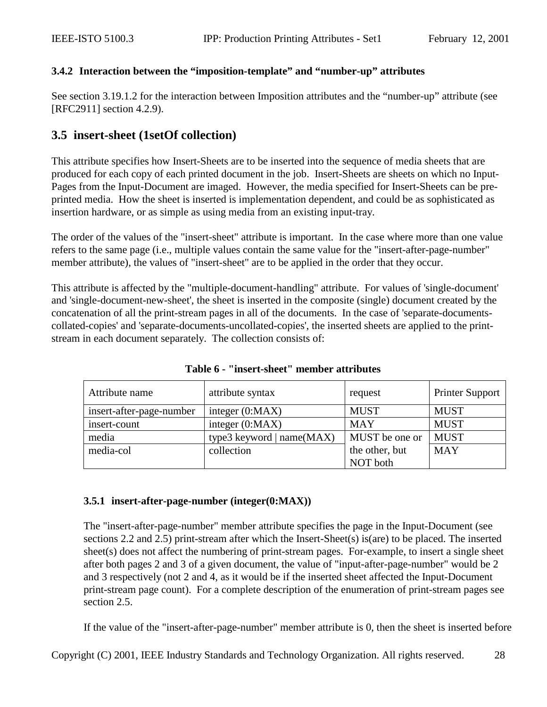#### <span id="page-27-0"></span>**3.4.2 Interaction between the "imposition-template" and "number-up" attributes**

See section [3.19.1.2](#page-56-0) for the interaction between Imposition attributes and the "number-up" attribute (see [RFC2911] section 4.2.9).

## **3.5 insert-sheet (1setOf collection)**

This attribute specifies how Insert-Sheets are to be inserted into the sequence of media sheets that are produced for each copy of each printed document in the job. Insert-Sheets are sheets on which no Input-Pages from the Input-Document are imaged. However, the media specified for Insert-Sheets can be preprinted media. How the sheet is inserted is implementation dependent, and could be as sophisticated as insertion hardware, or as simple as using media from an existing input-tray.

The order of the values of the "insert-sheet" attribute is important. In the case where more than one value refers to the same page (i.e., multiple values contain the same value for the "insert-after-page-number" member attribute), the values of "insert-sheet" are to be applied in the order that they occur.

This attribute is affected by the "multiple-document-handling" attribute. For values of 'single-document' and 'single-document-new-sheet', the sheet is inserted in the composite (single) document created by the concatenation of all the print-stream pages in all of the documents. In the case of 'separate-documentscollated-copies' and 'separate-documents-uncollated-copies', the inserted sheets are applied to the printstream in each document separately. The collection consists of:

| Attribute name           | attribute syntax            | request        | <b>Printer Support</b> |
|--------------------------|-----------------------------|----------------|------------------------|
| insert-after-page-number | integer $(0:MAX)$           | <b>MUST</b>    | <b>MUST</b>            |
| insert-count             | integer $(0:MAX)$           | <b>MAY</b>     | <b>MUST</b>            |
| media                    | type3 keyword $ name(MAX) $ | MUST be one or | <b>MUST</b>            |
| media-col                | collection                  | the other, but | <b>MAY</b>             |
|                          |                             | NOT both       |                        |

**Table 6 - "insert-sheet" member attributes** 

#### **3.5.1 insert-after-page-number (integer(0:MAX))**

The "insert-after-page-number" member attribute specifies the page in the Input-Document (see sections [2.2](#page-8-0) and [2.5\)](#page-13-0) print-stream after which the Insert-Sheet(s) is(are) to be placed. The inserted sheet(s) does not affect the numbering of print-stream pages. For-example, to insert a single sheet after both pages 2 and 3 of a given document, the value of "input-after-page-number" would be 2 and 3 respectively (not 2 and 4, as it would be if the inserted sheet affected the Input-Document print-stream page count). For a complete description of the enumeration of print-stream pages see section [2.5.](#page-13-0)

If the value of the "insert-after-page-number" member attribute is 0, then the sheet is inserted before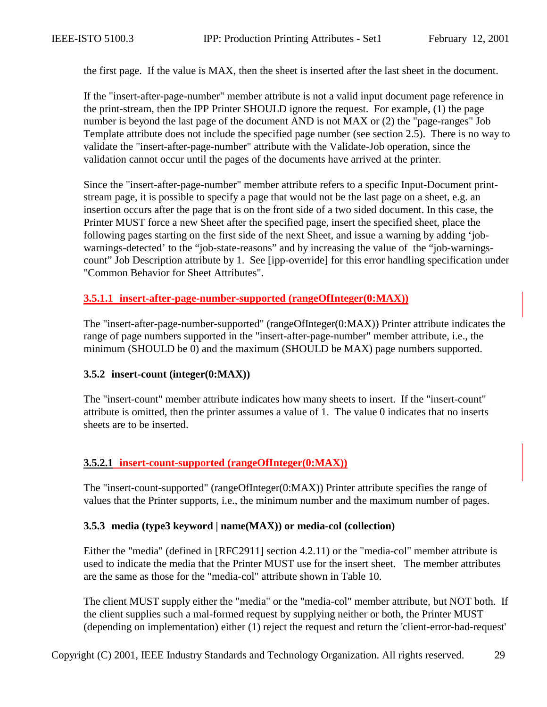<span id="page-28-0"></span>the first page. If the value is MAX, then the sheet is inserted after the last sheet in the document.

If the "insert-after-page-number" member attribute is not a valid input document page reference in the print-stream, then the IPP Printer SHOULD ignore the request. For example, (1) the page number is beyond the last page of the document AND is not MAX or (2) the "page-ranges" Job Template attribute does not include the specified page number (see section [2.5\)](#page-13-0). There is no way to validate the "insert-after-page-number" attribute with the Validate-Job operation, since the validation cannot occur until the pages of the documents have arrived at the printer.

Since the "insert-after-page-number" member attribute refers to a specific Input-Document printstream page, it is possible to specify a page that would not be the last page on a sheet, e.g. an insertion occurs after the page that is on the front side of a two sided document. In this case, the Printer MUST force a new Sheet after the specified page, insert the specified sheet, place the following pages starting on the first side of the next Sheet, and issue a warning by adding 'jobwarnings-detected' to the "job-state-reasons" and by increasing the value of the "job-warningscount" Job Description attribute by 1. See [ipp-override] for this error handling specification under "Common Behavior for Sheet Attributes".

#### **3.5.1.1 insert-after-page-number-supported (rangeOfInteger(0:MAX))**

The "insert-after-page-number-supported" (rangeOfInteger(0:MAX)) Printer attribute indicates the range of page numbers supported in the "insert-after-page-number" member attribute, i.e., the minimum (SHOULD be 0) and the maximum (SHOULD be MAX) page numbers supported.

#### **3.5.2 insert-count (integer(0:MAX))**

The "insert-count" member attribute indicates how many sheets to insert. If the "insert-count" attribute is omitted, then the printer assumes a value of 1. The value 0 indicates that no inserts sheets are to be inserted.

#### **3.5.2.1 insert-count-supported (rangeOfInteger(0:MAX))**

The "insert-count-supported" (rangeOfInteger(0:MAX)) Printer attribute specifies the range of values that the Printer supports, i.e., the minimum number and the maximum number of pages.

#### **3.5.3 media (type3 keyword | name(MAX)) or media-col (collection)**

Either the "media" (defined in [RFC2911] section 4.2.11) or the "media-col" member attribute is used to indicate the media that the Printer MUST use for the insert sheet. The member attributes are the same as those for the "media-col" attribute shown in [Table 10.](#page-39-0)

The client MUST supply either the "media" or the "media-col" member attribute, but NOT both. If the client supplies such a mal-formed request by supplying neither or both, the Printer MUST (depending on implementation) either (1) reject the request and return the 'client-error-bad-request'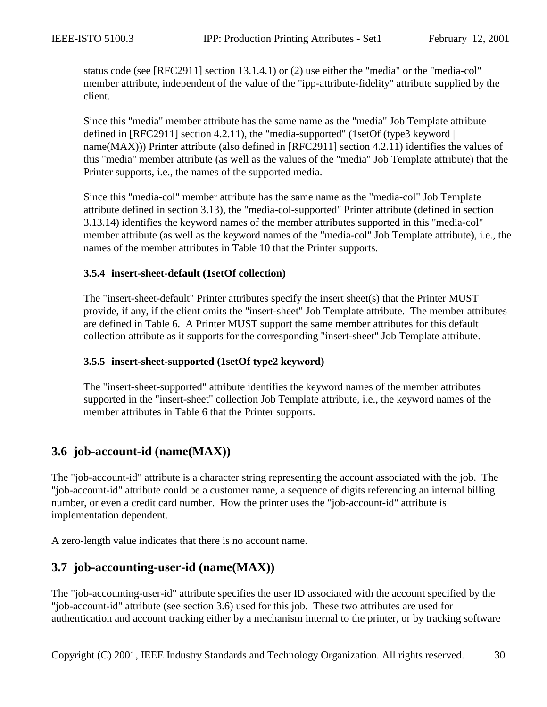<span id="page-29-0"></span>status code (see [RFC2911] section 13.1.4.1) or (2) use either the "media" or the "media-col" member attribute, independent of the value of the "ipp-attribute-fidelity" attribute supplied by the client.

Since this "media" member attribute has the same name as the "media" Job Template attribute defined in  $[RFC2911]$  section 4.2.11), the "media-supported" (1setOf (type3 keyword | name(MAX))) Printer attribute (also defined in [RFC2911] section 4.2.11) identifies the values of this "media" member attribute (as well as the values of the "media" Job Template attribute) that the Printer supports, i.e., the names of the supported media.

Since this "media-col" member attribute has the same name as the "media-col" Job Template attribute defined in section [3.13\)](#page-37-0), the "media-col-supported" Printer attribute (defined in section [3.13.14\)](#page-47-0) identifies the keyword names of the member attributes supported in this "media-col" member attribute (as well as the keyword names of the "media-col" Job Template attribute), i.e., the names of the member attributes in [Table 10](#page-39-0) that the Printer supports.

#### **3.5.4 insert-sheet-default (1setOf collection)**

The "insert-sheet-default" Printer attributes specify the insert sheet(s) that the Printer MUST provide, if any, if the client omits the "insert-sheet" Job Template attribute. The member attributes are defined in [Table 6.](#page-27-0) A Printer MUST support the same member attributes for this default collection attribute as it supports for the corresponding "insert-sheet" Job Template attribute.

#### **3.5.5 insert-sheet-supported (1setOf type2 keyword)**

The "insert-sheet-supported" attribute identifies the keyword names of the member attributes supported in the "insert-sheet" collection Job Template attribute, i.e., the keyword names of the member attributes in [Table 6](#page-27-0) that the Printer supports.

## **3.6 job-account-id (name(MAX))**

The "job-account-id" attribute is a character string representing the account associated with the job. The "job-account-id" attribute could be a customer name, a sequence of digits referencing an internal billing number, or even a credit card number. How the printer uses the "job-account-id" attribute is implementation dependent.

A zero-length value indicates that there is no account name.

## **3.7 job-accounting-user-id (name(MAX))**

The "job-accounting-user-id" attribute specifies the user ID associated with the account specified by the "job-account-id" attribute (see section 3.6) used for this job. These two attributes are used for authentication and account tracking either by a mechanism internal to the printer, or by tracking software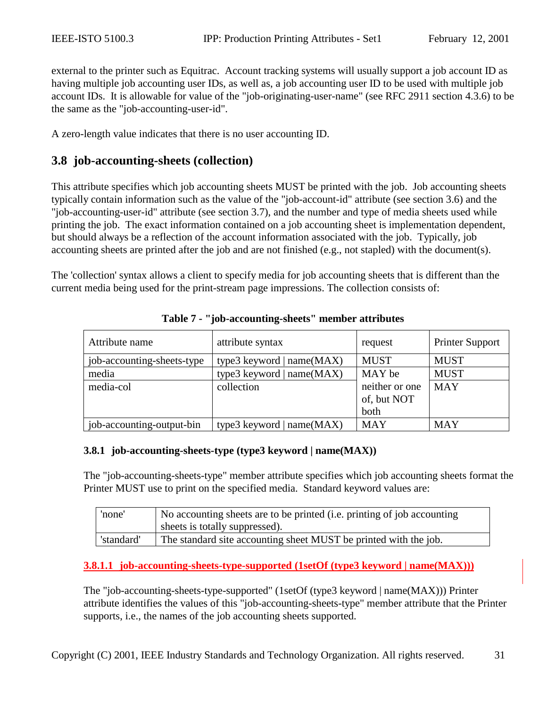<span id="page-30-0"></span>external to the printer such as Equitrac. Account tracking systems will usually support a job account ID as having multiple job accounting user IDs, as well as, a job accounting user ID to be used with multiple job account IDs. It is allowable for value of the "job-originating-user-name" (see RFC 2911 section 4.3.6) to be the same as the "job-accounting-user-id".

A zero-length value indicates that there is no user accounting ID.

## **3.8 job-accounting-sheets (collection)**

This attribute specifies which job accounting sheets MUST be printed with the job. Job accounting sheets typically contain information such as the value of the "job-account-id" attribute (see section [3.6\)](#page-29-0) and the "job-accounting-user-id" attribute (see section [3.7\)](#page-29-0), and the number and type of media sheets used while printing the job. The exact information contained on a job accounting sheet is implementation dependent, but should always be a reflection of the account information associated with the job. Typically, job accounting sheets are printed after the job and are not finished (e.g., not stapled) with the document(s).

The 'collection' syntax allows a client to specify media for job accounting sheets that is different than the current media being used for the print-stream page impressions. The collection consists of:

| Attribute name             | attribute syntax            | request                       | <b>Printer Support</b> |
|----------------------------|-----------------------------|-------------------------------|------------------------|
| job-accounting-sheets-type | type3 keyword $ name(MAX) $ | <b>MUST</b>                   | <b>MUST</b>            |
| media                      | type3 keyword $ name(MAX) $ | MAY be                        | <b>MUST</b>            |
| media-col                  | collection                  | neither or one<br>of, but NOT | <b>MAY</b>             |
|                            |                             | both                          |                        |
| job-accounting-output-bin  | type3 keyword   $name(MAX)$ | <b>MAY</b>                    | <b>MAY</b>             |

#### **Table 7 - "job-accounting-sheets" member attributes**

#### **3.8.1 job-accounting-sheets-type (type3 keyword | name(MAX))**

The "job-accounting-sheets-type" member attribute specifies which job accounting sheets format the Printer MUST use to print on the specified media. Standard keyword values are:

| 'none'     | No accounting sheets are to be printed (i.e. printing of job accounting<br>sheets is totally suppressed). |
|------------|-----------------------------------------------------------------------------------------------------------|
| 'standard' | The standard site accounting sheet MUST be printed with the job.                                          |

**3.8.1.1 job-accounting-sheets-type-supported (1setOf (type3 keyword | name(MAX)))**

The "job-accounting-sheets-type-supported" (1setOf (type3 keyword | name(MAX))) Printer attribute identifies the values of this "job-accounting-sheets-type" member attribute that the Printer supports, i.e., the names of the job accounting sheets supported.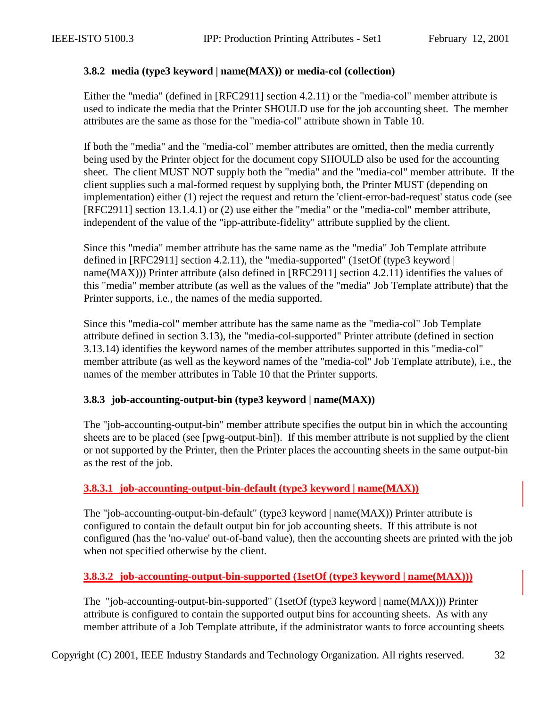#### <span id="page-31-0"></span>**3.8.2 media (type3 keyword | name(MAX)) or media-col (collection)**

Either the "media" (defined in [RFC2911] section 4.2.11) or the "media-col" member attribute is used to indicate the media that the Printer SHOULD use for the job accounting sheet. The member attributes are the same as those for the "media-col" attribute shown in [Table 10.](#page-39-0)

If both the "media" and the "media-col" member attributes are omitted, then the media currently being used by the Printer object for the document copy SHOULD also be used for the accounting sheet. The client MUST NOT supply both the "media" and the "media-col" member attribute. If the client supplies such a mal-formed request by supplying both, the Printer MUST (depending on implementation) either (1) reject the request and return the 'client-error-bad-request' status code (see [RFC2911] section 13.1.4.1) or (2) use either the "media" or the "media-col" member attribute, independent of the value of the "ipp-attribute-fidelity" attribute supplied by the client.

Since this "media" member attribute has the same name as the "media" Job Template attribute defined in [RFC2911] section 4.2.11), the "media-supported" (1setOf (type3 keyword | name(MAX))) Printer attribute (also defined in [RFC2911] section 4.2.11) identifies the values of this "media" member attribute (as well as the values of the "media" Job Template attribute) that the Printer supports, i.e., the names of the media supported.

Since this "media-col" member attribute has the same name as the "media-col" Job Template attribute defined in section [3.13\)](#page-37-0), the "media-col-supported" Printer attribute (defined in section [3.13.14\)](#page-47-0) identifies the keyword names of the member attributes supported in this "media-col" member attribute (as well as the keyword names of the "media-col" Job Template attribute), i.e., the names of the member attributes in [Table 10](#page-39-0) that the Printer supports.

#### **3.8.3 job-accounting-output-bin (type3 keyword | name(MAX))**

The "job-accounting-output-bin" member attribute specifies the output bin in which the accounting sheets are to be placed (see [pwg-output-bin]). If this member attribute is not supplied by the client or not supported by the Printer, then the Printer places the accounting sheets in the same output-bin as the rest of the job.

#### **3.8.3.1 job-accounting-output-bin-default (type3 keyword | name(MAX))**

The "job-accounting-output-bin-default" (type3 keyword | name(MAX)) Printer attribute is configured to contain the default output bin for job accounting sheets. If this attribute is not configured (has the 'no-value' out-of-band value), then the accounting sheets are printed with the job when not specified otherwise by the client.

#### **3.8.3.2 job-accounting-output-bin-supported (1setOf (type3 keyword | name(MAX)))**

The "job-accounting-output-bin-supported" (1setOf (type3 keyword | name(MAX))) Printer attribute is configured to contain the supported output bins for accounting sheets. As with any member attribute of a Job Template attribute, if the administrator wants to force accounting sheets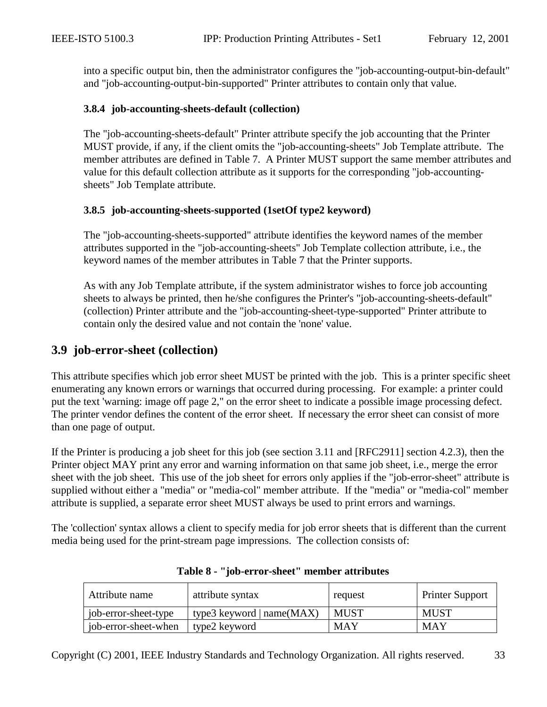<span id="page-32-0"></span>into a specific output bin, then the administrator configures the "job-accounting-output-bin-default" and "job-accounting-output-bin-supported" Printer attributes to contain only that value.

#### **3.8.4 job-accounting-sheets-default (collection)**

The "job-accounting-sheets-default" Printer attribute specify the job accounting that the Printer MUST provide, if any, if the client omits the "job-accounting-sheets" Job Template attribute. The member attributes are defined in [Table 7.](#page-30-0) A Printer MUST support the same member attributes and value for this default collection attribute as it supports for the corresponding "job-accountingsheets" Job Template attribute.

#### **3.8.5 job-accounting-sheets-supported (1setOf type2 keyword)**

The "job-accounting-sheets-supported" attribute identifies the keyword names of the member attributes supported in the "job-accounting-sheets" Job Template collection attribute, i.e., the keyword names of the member attributes in [Table 7](#page-30-0) that the Printer supports.

As with any Job Template attribute, if the system administrator wishes to force job accounting sheets to always be printed, then he/she configures the Printer's "job-accounting-sheets-default" (collection) Printer attribute and the "job-accounting-sheet-type-supported" Printer attribute to contain only the desired value and not contain the 'none' value.

### **3.9 job-error-sheet (collection)**

This attribute specifies which job error sheet MUST be printed with the job. This is a printer specific sheet enumerating any known errors or warnings that occurred during processing. For example: a printer could put the text 'warning: image off page 2," on the error sheet to indicate a possible image processing defect. The printer vendor defines the content of the error sheet. If necessary the error sheet can consist of more than one page of output.

If the Printer is producing a job sheet for this job (see section [3.11](#page-35-0) and [RFC2911] section 4.2.3), then the Printer object MAY print any error and warning information on that same job sheet, i.e., merge the error sheet with the job sheet. This use of the job sheet for errors only applies if the "job-error-sheet" attribute is supplied without either a "media" or "media-col" member attribute. If the "media" or "media-col" member attribute is supplied, a separate error sheet MUST always be used to print errors and warnings.

The 'collection' syntax allows a client to specify media for job error sheets that is different than the current media being used for the print-stream page impressions. The collection consists of:

| Attribute name       | attribute syntax            | request     | <b>Printer Support</b> |
|----------------------|-----------------------------|-------------|------------------------|
| job-error-sheet-type | type3 keyword $ name(MAX) $ | <b>MUST</b> | <b>MUST</b>            |
| job-error-sheet-when | type2 keyword               | <b>MAY</b>  | <b>MAY</b>             |

|  |  | Table 8 - "job-error-sheet" member attributes |
|--|--|-----------------------------------------------|
|--|--|-----------------------------------------------|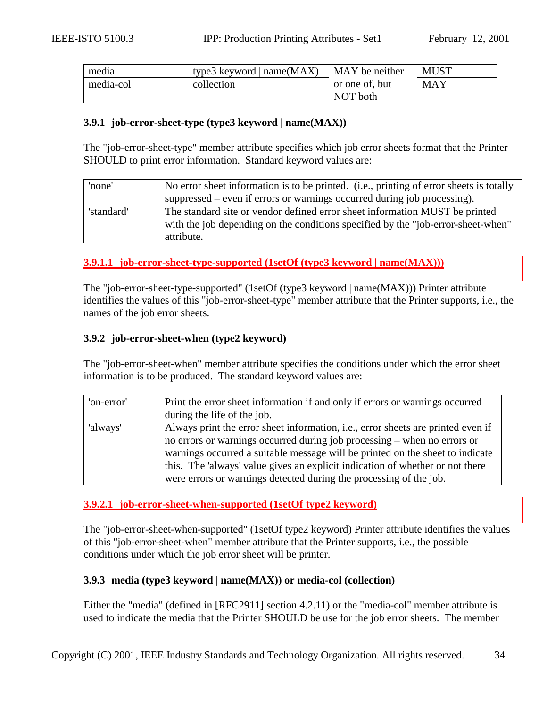<span id="page-33-0"></span>

| media     | type3 keyword $ name(MAX) $ | MAY be neither | <b>MUST</b> |
|-----------|-----------------------------|----------------|-------------|
| media-col | collection                  | or one of, but | <b>MAY</b>  |
|           |                             | NOT both       |             |

#### **3.9.1 job-error-sheet-type (type3 keyword | name(MAX))**

The "job-error-sheet-type" member attribute specifies which job error sheets format that the Printer SHOULD to print error information. Standard keyword values are:

| 'none'     | No error sheet information is to be printed. (i.e., printing of error sheets is totally |
|------------|-----------------------------------------------------------------------------------------|
|            | suppressed – even if errors or warnings occurred during job processing).                |
| 'standard' | The standard site or vendor defined error sheet information MUST be printed             |
|            | with the job depending on the conditions specified by the "job-error-sheet-when"        |
|            | attribute.                                                                              |

#### **3.9.1.1 job-error-sheet-type-supported (1setOf (type3 keyword | name(MAX)))**

The "job-error-sheet-type-supported" (1setOf (type3 keyword | name(MAX))) Printer attribute identifies the values of this "job-error-sheet-type" member attribute that the Printer supports, i.e., the names of the job error sheets.

#### **3.9.2 job-error-sheet-when (type2 keyword)**

The "job-error-sheet-when" member attribute specifies the conditions under which the error sheet information is to be produced. The standard keyword values are:

| 'on-error' | Print the error sheet information if and only if errors or warnings occurred     |
|------------|----------------------------------------------------------------------------------|
|            | during the life of the job.                                                      |
| 'always'   | Always print the error sheet information, i.e., error sheets are printed even if |
|            | no errors or warnings occurred during job processing – when no errors or         |
|            | warnings occurred a suitable message will be printed on the sheet to indicate    |
|            | this. The 'always' value gives an explicit indication of whether or not there    |
|            | were errors or warnings detected during the processing of the job.               |

#### **3.9.2.1 job-error-sheet-when-supported (1setOf type2 keyword)**

The "job-error-sheet-when-supported" (1setOf type2 keyword) Printer attribute identifies the values of this "job-error-sheet-when" member attribute that the Printer supports, i.e., the possible conditions under which the job error sheet will be printer.

#### **3.9.3 media (type3 keyword | name(MAX)) or media-col (collection)**

Either the "media" (defined in [RFC2911] section 4.2.11) or the "media-col" member attribute is used to indicate the media that the Printer SHOULD be use for the job error sheets. The member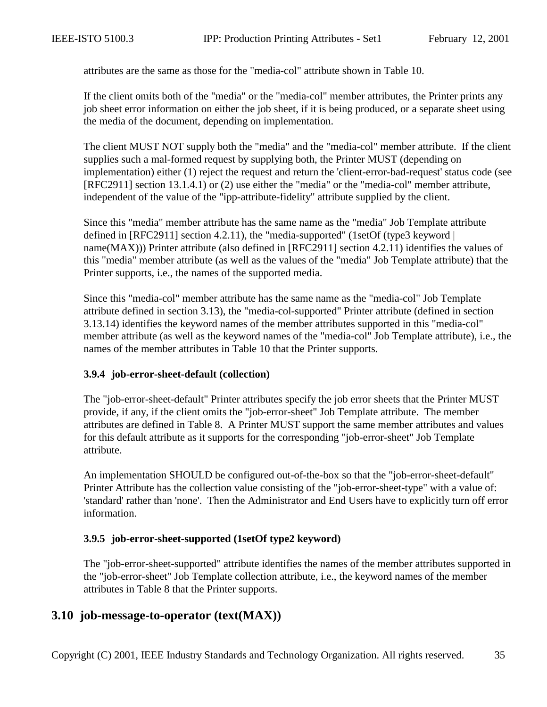<span id="page-34-0"></span>attributes are the same as those for the "media-col" attribute shown in [Table 10.](#page-39-0)

If the client omits both of the "media" or the "media-col" member attributes, the Printer prints any job sheet error information on either the job sheet, if it is being produced, or a separate sheet using the media of the document, depending on implementation.

The client MUST NOT supply both the "media" and the "media-col" member attribute. If the client supplies such a mal-formed request by supplying both, the Printer MUST (depending on implementation) either (1) reject the request and return the 'client-error-bad-request' status code (see [RFC2911] section 13.1.4.1) or (2) use either the "media" or the "media-col" member attribute, independent of the value of the "ipp-attribute-fidelity" attribute supplied by the client.

Since this "media" member attribute has the same name as the "media" Job Template attribute defined in [RFC2911] section 4.2.11), the "media-supported" (1setOf (type3 keyword | name(MAX))) Printer attribute (also defined in [RFC2911] section 4.2.11) identifies the values of this "media" member attribute (as well as the values of the "media" Job Template attribute) that the Printer supports, i.e., the names of the supported media.

Since this "media-col" member attribute has the same name as the "media-col" Job Template attribute defined in section [3.13\)](#page-37-0), the "media-col-supported" Printer attribute (defined in section [3.13.14\)](#page-47-0) identifies the keyword names of the member attributes supported in this "media-col" member attribute (as well as the keyword names of the "media-col" Job Template attribute), i.e., the names of the member attributes in [Table 10](#page-39-0) that the Printer supports.

#### **3.9.4 job-error-sheet-default (collection)**

The "job-error-sheet-default" Printer attributes specify the job error sheets that the Printer MUST provide, if any, if the client omits the "job-error-sheet" Job Template attribute. The member attributes are defined in [Table 8.](#page-32-0) A Printer MUST support the same member attributes and values for this default attribute as it supports for the corresponding "job-error-sheet" Job Template attribute.

An implementation SHOULD be configured out-of-the-box so that the "job-error-sheet-default" Printer Attribute has the collection value consisting of the "job-error-sheet-type" with a value of: 'standard' rather than 'none'. Then the Administrator and End Users have to explicitly turn off error information.

#### **3.9.5 job-error-sheet-supported (1setOf type2 keyword)**

The "job-error-sheet-supported" attribute identifies the names of the member attributes supported in the "job-error-sheet" Job Template collection attribute, i.e., the keyword names of the member attributes in [Table 8](#page-32-0) that the Printer supports.

#### **3.10 job-message-to-operator (text(MAX))**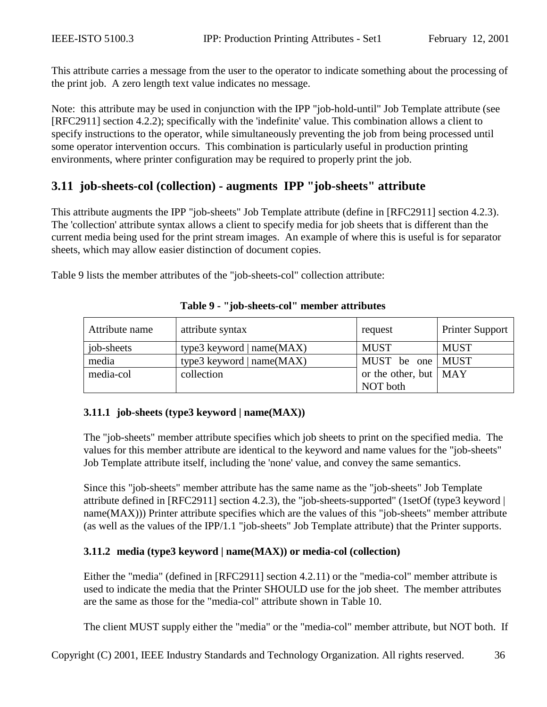<span id="page-35-0"></span>This attribute carries a message from the user to the operator to indicate something about the processing of the print job. A zero length text value indicates no message.

Note: this attribute may be used in conjunction with the IPP "job-hold-until" Job Template attribute (see [RFC2911] section 4.2.2); specifically with the 'indefinite' value. This combination allows a client to specify instructions to the operator, while simultaneously preventing the job from being processed until some operator intervention occurs. This combination is particularly useful in production printing environments, where printer configuration may be required to properly print the job.

## **3.11 job-sheets-col (collection) - augments IPP "job-sheets" attribute**

This attribute augments the IPP "job-sheets" Job Template attribute (define in [RFC2911] section 4.2.3). The 'collection' attribute syntax allows a client to specify media for job sheets that is different than the current media being used for the print stream images. An example of where this is useful is for separator sheets, which may allow easier distinction of document copies.

Table 9 lists the member attributes of the "job-sheets-col" collection attribute:

| Attribute name | attribute syntax            | request                       | <b>Printer Support</b> |
|----------------|-----------------------------|-------------------------------|------------------------|
| job-sheets     | type3 keyword $ name(MAX) $ | <b>MUST</b>                   | <b>MUST</b>            |
| media          | type3 keyword $ name(MAX) $ | MUST be one MUST              |                        |
| media-col      | collection                  | or the other, but $\vert$ MAY |                        |
|                |                             | NOT both                      |                        |

#### **Table 9 - "job-sheets-col" member attributes**

#### **3.11.1 job-sheets (type3 keyword | name(MAX))**

The "job-sheets" member attribute specifies which job sheets to print on the specified media. The values for this member attribute are identical to the keyword and name values for the "job-sheets" Job Template attribute itself, including the 'none' value, and convey the same semantics.

Since this "job-sheets" member attribute has the same name as the "job-sheets" Job Template attribute defined in [RFC2911] section 4.2.3), the "job-sheets-supported" (1setOf (type3 keyword | name(MAX))) Printer attribute specifies which are the values of this "job-sheets" member attribute (as well as the values of the IPP/1.1 "job-sheets" Job Template attribute) that the Printer supports.

#### **3.11.2 media (type3 keyword | name(MAX)) or media-col (collection)**

Either the "media" (defined in [RFC2911] section 4.2.11) or the "media-col" member attribute is used to indicate the media that the Printer SHOULD use for the job sheet. The member attributes are the same as those for the "media-col" attribute shown in [Table 10.](#page-39-0)

The client MUST supply either the "media" or the "media-col" member attribute, but NOT both. If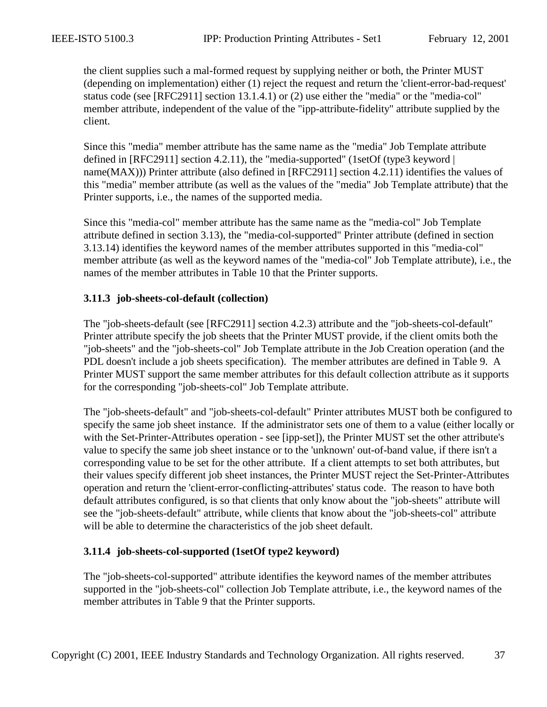the client supplies such a mal-formed request by supplying neither or both, the Printer MUST (depending on implementation) either (1) reject the request and return the 'client-error-bad-request' status code (see [RFC2911] section 13.1.4.1) or (2) use either the "media" or the "media-col" member attribute, independent of the value of the "ipp-attribute-fidelity" attribute supplied by the client.

Since this "media" member attribute has the same name as the "media" Job Template attribute defined in  $[RFC2911]$  section 4.2.11), the "media-supported" (1setOf (type3 keyword | name(MAX))) Printer attribute (also defined in [RFC2911] section 4.2.11) identifies the values of this "media" member attribute (as well as the values of the "media" Job Template attribute) that the Printer supports, i.e., the names of the supported media.

Since this "media-col" member attribute has the same name as the "media-col" Job Template attribute defined in section [3.13\)](#page-37-0), the "media-col-supported" Printer attribute (defined in section [3.13.14\)](#page-47-0) identifies the keyword names of the member attributes supported in this "media-col" member attribute (as well as the keyword names of the "media-col" Job Template attribute), i.e., the names of the member attributes in [Table 10](#page-39-0) that the Printer supports.

#### **3.11.3 job-sheets-col-default (collection)**

The "job-sheets-default (see [RFC2911] section 4.2.3) attribute and the "job-sheets-col-default" Printer attribute specify the job sheets that the Printer MUST provide, if the client omits both the "job-sheets" and the "job-sheets-col" Job Template attribute in the Job Creation operation (and the PDL doesn't include a job sheets specification). The member attributes are defined in [Table 9.](#page-35-0) A Printer MUST support the same member attributes for this default collection attribute as it supports for the corresponding "job-sheets-col" Job Template attribute.

The "job-sheets-default" and "job-sheets-col-default" Printer attributes MUST both be configured to specify the same job sheet instance. If the administrator sets one of them to a value (either locally or with the Set-Printer-Attributes operation - see [ipp-set]), the Printer MUST set the other attribute's value to specify the same job sheet instance or to the 'unknown' out-of-band value, if there isn't a corresponding value to be set for the other attribute. If a client attempts to set both attributes, but their values specify different job sheet instances, the Printer MUST reject the Set-Printer-Attributes operation and return the 'client-error-conflicting-attributes' status code. The reason to have both default attributes configured, is so that clients that only know about the "job-sheets" attribute will see the "job-sheets-default" attribute, while clients that know about the "job-sheets-col" attribute will be able to determine the characteristics of the job sheet default.

### **3.11.4 job-sheets-col-supported (1setOf type2 keyword)**

The "job-sheets-col-supported" attribute identifies the keyword names of the member attributes supported in the "job-sheets-col" collection Job Template attribute, i.e., the keyword names of the member attributes in [Table 9](#page-35-0) that the Printer supports.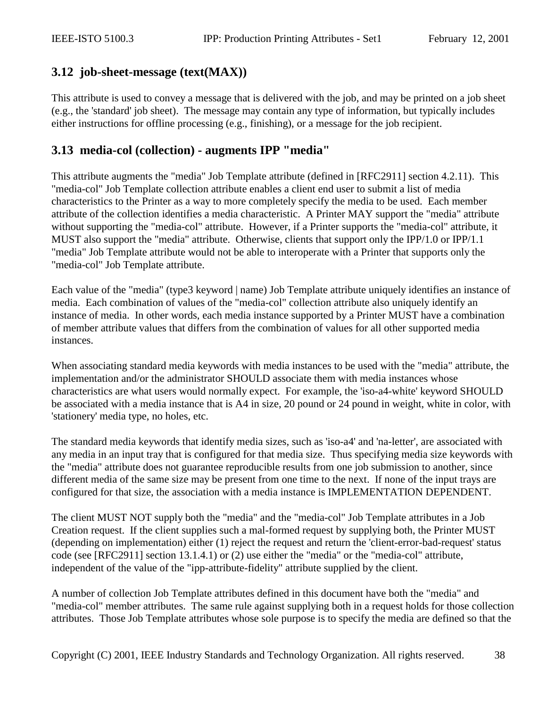# <span id="page-37-0"></span>**3.12 job-sheet-message (text(MAX))**

This attribute is used to convey a message that is delivered with the job, and may be printed on a job sheet (e.g., the 'standard' job sheet). The message may contain any type of information, but typically includes either instructions for offline processing (e.g., finishing), or a message for the job recipient.

## **3.13 media-col (collection) - augments IPP "media"**

This attribute augments the "media" Job Template attribute (defined in [RFC2911] section 4.2.11). This "media-col" Job Template collection attribute enables a client end user to submit a list of media characteristics to the Printer as a way to more completely specify the media to be used. Each member attribute of the collection identifies a media characteristic. A Printer MAY support the "media" attribute without supporting the "media-col" attribute. However, if a Printer supports the "media-col" attribute, it MUST also support the "media" attribute. Otherwise, clients that support only the IPP/1.0 or IPP/1.1 "media" Job Template attribute would not be able to interoperate with a Printer that supports only the "media-col" Job Template attribute.

Each value of the "media" (type3 keyword | name) Job Template attribute uniquely identifies an instance of media. Each combination of values of the "media-col" collection attribute also uniquely identify an instance of media. In other words, each media instance supported by a Printer MUST have a combination of member attribute values that differs from the combination of values for all other supported media instances.

When associating standard media keywords with media instances to be used with the "media" attribute, the implementation and/or the administrator SHOULD associate them with media instances whose characteristics are what users would normally expect. For example, the 'iso-a4-white' keyword SHOULD be associated with a media instance that is A4 in size, 20 pound or 24 pound in weight, white in color, with 'stationery' media type, no holes, etc.

The standard media keywords that identify media sizes, such as 'iso-a4' and 'na-letter', are associated with any media in an input tray that is configured for that media size. Thus specifying media size keywords with the "media" attribute does not guarantee reproducible results from one job submission to another, since different media of the same size may be present from one time to the next. If none of the input trays are configured for that size, the association with a media instance is IMPLEMENTATION DEPENDENT.

The client MUST NOT supply both the "media" and the "media-col" Job Template attributes in a Job Creation request. If the client supplies such a mal-formed request by supplying both, the Printer MUST (depending on implementation) either (1) reject the request and return the 'client-error-bad-request' status code (see [RFC2911] section 13.1.4.1) or (2) use either the "media" or the "media-col" attribute, independent of the value of the "ipp-attribute-fidelity" attribute supplied by the client.

A number of collection Job Template attributes defined in this document have both the "media" and "media-col" member attributes. The same rule against supplying both in a request holds for those collection attributes. Those Job Template attributes whose sole purpose is to specify the media are defined so that the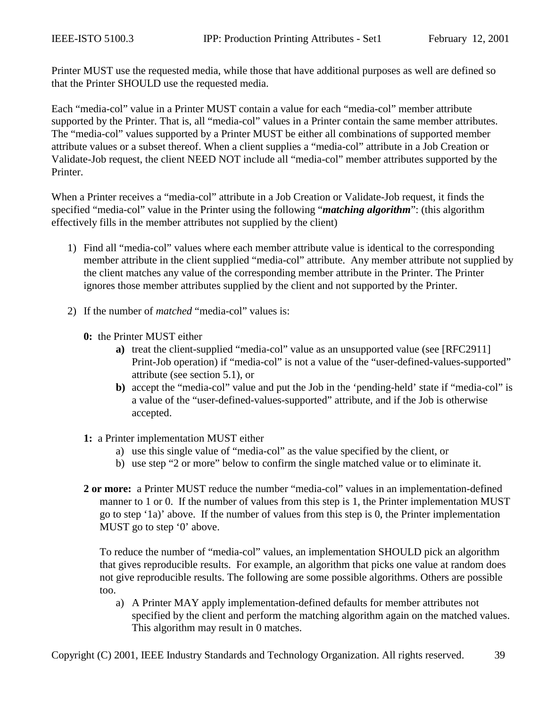Printer MUST use the requested media, while those that have additional purposes as well are defined so that the Printer SHOULD use the requested media.

Each "media-col" value in a Printer MUST contain a value for each "media-col" member attribute supported by the Printer. That is, all "media-col" values in a Printer contain the same member attributes. The "media-col" values supported by a Printer MUST be either all combinations of supported member attribute values or a subset thereof. When a client supplies a "media-col" attribute in a Job Creation or Validate-Job request, the client NEED NOT include all "media-col" member attributes supported by the Printer.

When a Printer receives a "media-col" attribute in a Job Creation or Validate-Job request, it finds the specified "media-col" value in the Printer using the following "*matching algorithm*": (this algorithm effectively fills in the member attributes not supplied by the client)

- 1) Find all "media-col" values where each member attribute value is identical to the corresponding member attribute in the client supplied "media-col" attribute. Any member attribute not supplied by the client matches any value of the corresponding member attribute in the Printer. The Printer ignores those member attributes supplied by the client and not supported by the Printer.
- 2) If the number of *matched* "media-col" values is:
	- **0:** the Printer MUST either
		- **a)** treat the client-supplied "media-col" value as an unsupported value (see [RFC2911] Print-Job operation) if "media-col" is not a value of the "user-defined-values-supported" attribute (see section [5.1\)](#page-64-0), or
		- **b)** accept the "media-col" value and put the Job in the 'pending-held' state if "media-col" is a value of the "user-defined-values-supported" attribute, and if the Job is otherwise accepted.
	- **1:** a Printer implementation MUST either
		- a) use this single value of "media-col" as the value specified by the client, or
		- b) use step "2 or more" below to confirm the single matched value or to eliminate it.
	- **2 or more:** a Printer MUST reduce the number "media-col" values in an implementation-defined manner to 1 or 0. If the number of values from this step is 1, the Printer implementation MUST go to step '1a)' above. If the number of values from this step is 0, the Printer implementation MUST go to step '0' above.

To reduce the number of "media-col" values, an implementation SHOULD pick an algorithm that gives reproducible results. For example, an algorithm that picks one value at random does not give reproducible results. The following are some possible algorithms. Others are possible too.

a) A Printer MAY apply implementation-defined defaults for member attributes not specified by the client and perform the matching algorithm again on the matched values. This algorithm may result in 0 matches.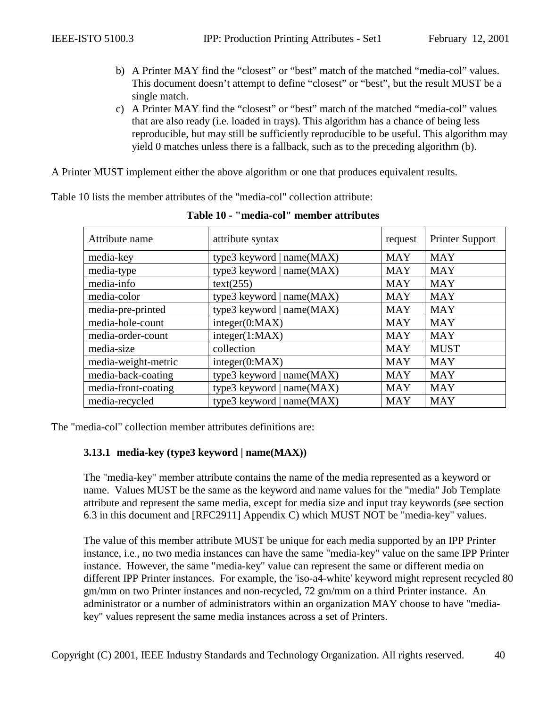- <span id="page-39-0"></span>b) A Printer MAY find the "closest" or "best" match of the matched "media-col" values. This document doesn't attempt to define "closest" or "best", but the result MUST be a single match.
- c) A Printer MAY find the "closest" or "best" match of the matched "media-col" values that are also ready (i.e. loaded in trays). This algorithm has a chance of being less reproducible, but may still be sufficiently reproducible to be useful. This algorithm may yield 0 matches unless there is a fallback, such as to the preceding algorithm (b).

A Printer MUST implement either the above algorithm or one that produces equivalent results.

Table 10 lists the member attributes of the "media-col" collection attribute:

| Attribute name      | attribute syntax            | request    | <b>Printer Support</b> |
|---------------------|-----------------------------|------------|------------------------|
| media-key           | type3 keyword   $name(MAX)$ | <b>MAY</b> | <b>MAY</b>             |
| media-type          | type3 keyword   name(MAX)   | <b>MAY</b> | <b>MAY</b>             |
| media-info          | text(255)                   | <b>MAY</b> | <b>MAY</b>             |
| media-color         | type3 keyword   name(MAX)   | <b>MAY</b> | <b>MAY</b>             |
| media-pre-printed   | type3 keyword   name(MAX)   | <b>MAY</b> | <b>MAY</b>             |
| media-hole-count    | integer(0:MAX)              | <b>MAY</b> | <b>MAY</b>             |
| media-order-count   | integer(1:MAX)              | <b>MAY</b> | <b>MAY</b>             |
| media-size          | collection                  | <b>MAY</b> | <b>MUST</b>            |
| media-weight-metric | integer(0:MAX)              | <b>MAY</b> | <b>MAY</b>             |
| media-back-coating  | type3 keyword   name(MAX)   | <b>MAY</b> | <b>MAY</b>             |
| media-front-coating | type3 keyword   name(MAX)   | <b>MAY</b> | <b>MAY</b>             |
| media-recycled      | type3 keyword $ name(MAX) $ | <b>MAY</b> | <b>MAY</b>             |

**Table 10 - "media-col" member attributes** 

The "media-col" collection member attributes definitions are:

### **3.13.1 media-key (type3 keyword | name(MAX))**

The "media-key" member attribute contains the name of the media represented as a keyword or name. Values MUST be the same as the keyword and name values for the "media" Job Template attribute and represent the same media, except for media size and input tray keywords (see section [6.3](#page-67-0) in this document and [RFC2911] Appendix C) which MUST NOT be "media-key" values.

The value of this member attribute MUST be unique for each media supported by an IPP Printer instance, i.e., no two media instances can have the same "media-key" value on the same IPP Printer instance. However, the same "media-key" value can represent the same or different media on different IPP Printer instances. For example, the 'iso-a4-white' keyword might represent recycled 80 gm/mm on two Printer instances and non-recycled, 72 gm/mm on a third Printer instance. An administrator or a number of administrators within an organization MAY choose to have "mediakey" values represent the same media instances across a set of Printers.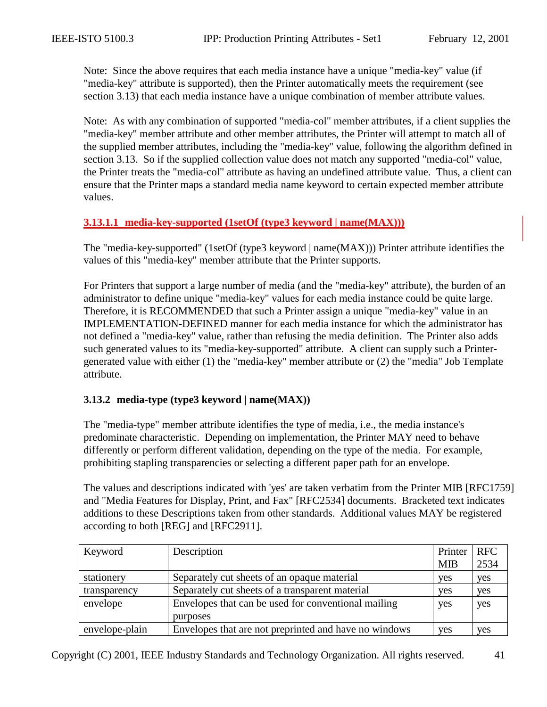<span id="page-40-0"></span>Note: Since the above requires that each media instance have a unique "media-key" value (if "media-key" attribute is supported), then the Printer automatically meets the requirement (see section [3.13\)](#page-37-0) that each media instance have a unique combination of member attribute values.

Note: As with any combination of supported "media-col" member attributes, if a client supplies the "media-key" member attribute and other member attributes, the Printer will attempt to match all of the supplied member attributes, including the "media-key" value, following the algorithm defined in section [3.13.](#page-37-0) So if the supplied collection value does not match any supported "media-col" value, the Printer treats the "media-col" attribute as having an undefined attribute value. Thus, a client can ensure that the Printer maps a standard media name keyword to certain expected member attribute values.

### **3.13.1.1 media-key-supported (1setOf (type3 keyword | name(MAX)))**

The "media-key-supported" (1setOf (type3 keyword | name(MAX))) Printer attribute identifies the values of this "media-key" member attribute that the Printer supports.

For Printers that support a large number of media (and the "media-key" attribute), the burden of an administrator to define unique "media-key" values for each media instance could be quite large. Therefore, it is RECOMMENDED that such a Printer assign a unique "media-key" value in an IMPLEMENTATION-DEFINED manner for each media instance for which the administrator has not defined a "media-key" value, rather than refusing the media definition. The Printer also adds such generated values to its "media-key-supported" attribute. A client can supply such a Printergenerated value with either (1) the "media-key" member attribute or (2) the "media" Job Template attribute.

#### **3.13.2 media-type (type3 keyword | name(MAX))**

The "media-type" member attribute identifies the type of media, i.e., the media instance's predominate characteristic. Depending on implementation, the Printer MAY need to behave differently or perform different validation, depending on the type of the media. For example, prohibiting stapling transparencies or selecting a different paper path for an envelope.

The values and descriptions indicated with 'yes' are taken verbatim from the Printer MIB [RFC1759] and "Media Features for Display, Print, and Fax" [RFC2534] documents. Bracketed text indicates additions to these Descriptions taken from other standards. Additional values MAY be registered according to both [REG] and [RFC2911].

| Keyword        | Description                                           | Printer    | $ $ RFC    |
|----------------|-------------------------------------------------------|------------|------------|
|                |                                                       | <b>MIB</b> | 2534       |
| stationery     | Separately cut sheets of an opaque material           | yes        | yes        |
| transparency   | Separately cut sheets of a transparent material       | yes        | yes        |
| envelope       | Envelopes that can be used for conventional mailing   | yes        | yes        |
|                | purposes                                              |            |            |
| envelope-plain | Envelopes that are not preprinted and have no windows | yes        | <b>ves</b> |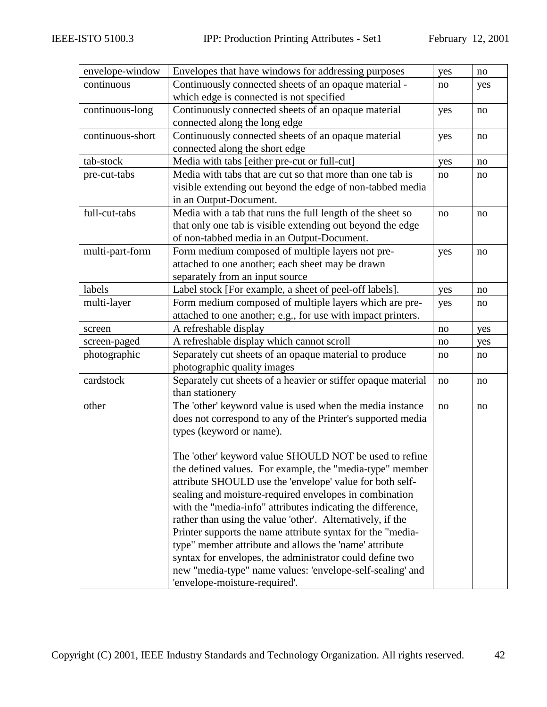| envelope-window  | Envelopes that have windows for addressing purposes           | yes | no  |
|------------------|---------------------------------------------------------------|-----|-----|
| continuous       | Continuously connected sheets of an opaque material -         | no  | yes |
|                  | which edge is connected is not specified                      |     |     |
| continuous-long  | Continuously connected sheets of an opaque material           | yes | no  |
|                  | connected along the long edge                                 |     |     |
| continuous-short | Continuously connected sheets of an opaque material           | yes | no  |
|                  | connected along the short edge                                |     |     |
| tab-stock        | Media with tabs [either pre-cut or full-cut]                  | yes | no  |
| pre-cut-tabs     | Media with tabs that are cut so that more than one tab is     | no  | no  |
|                  | visible extending out beyond the edge of non-tabbed media     |     |     |
|                  | in an Output-Document.                                        |     |     |
| full-cut-tabs    | Media with a tab that runs the full length of the sheet so    | no  | no  |
|                  | that only one tab is visible extending out beyond the edge    |     |     |
|                  | of non-tabbed media in an Output-Document.                    |     |     |
| multi-part-form  | Form medium composed of multiple layers not pre-              | yes | no  |
|                  | attached to one another; each sheet may be drawn              |     |     |
|                  | separately from an input source                               |     |     |
| labels           | Label stock [For example, a sheet of peel-off labels].        | yes | no  |
| multi-layer      | Form medium composed of multiple layers which are pre-        | yes | no  |
|                  | attached to one another; e.g., for use with impact printers.  |     |     |
| screen           | A refreshable display                                         | no  | yes |
| screen-paged     | A refreshable display which cannot scroll                     | no  | yes |
| photographic     | Separately cut sheets of an opaque material to produce        | no  | no  |
|                  | photographic quality images                                   |     |     |
| cardstock        | Separately cut sheets of a heavier or stiffer opaque material | no  | no  |
|                  | than stationery                                               |     |     |
| other            | The 'other' keyword value is used when the media instance     | no  | no  |
|                  | does not correspond to any of the Printer's supported media   |     |     |
|                  | types (keyword or name).                                      |     |     |
|                  |                                                               |     |     |
|                  | The 'other' keyword value SHOULD NOT be used to refine        |     |     |
|                  | the defined values. For example, the "media-type" member      |     |     |
|                  | attribute SHOULD use the 'envelope' value for both self-      |     |     |
|                  | sealing and moisture-required envelopes in combination        |     |     |
|                  | with the "media-info" attributes indicating the difference,   |     |     |
|                  | rather than using the value 'other'. Alternatively, if the    |     |     |
|                  | Printer supports the name attribute syntax for the "media-    |     |     |
|                  | type" member attribute and allows the 'name' attribute        |     |     |
|                  | syntax for envelopes, the administrator could define two      |     |     |
|                  | new "media-type" name values: 'envelope-self-sealing' and     |     |     |
|                  | 'envelope-moisture-required'.                                 |     |     |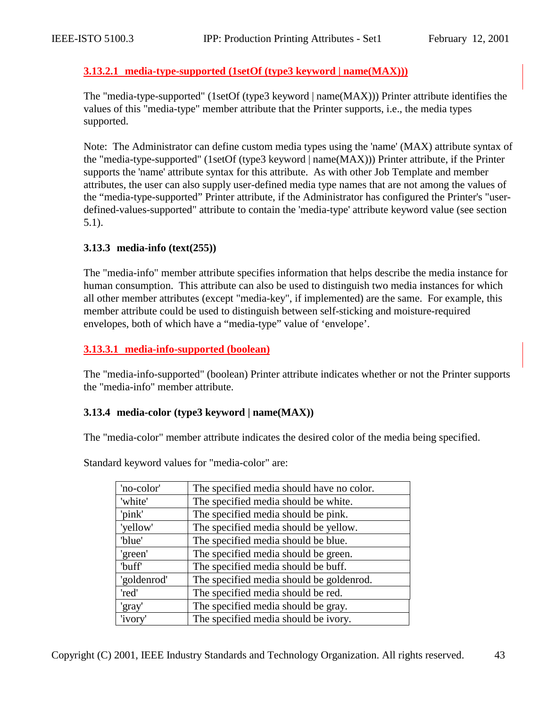### <span id="page-42-0"></span>**3.13.2.1 media-type-supported (1setOf (type3 keyword | name(MAX)))**

The "media-type-supported" (1setOf (type3 keyword | name(MAX))) Printer attribute identifies the values of this "media-type" member attribute that the Printer supports, i.e., the media types supported.

Note: The Administrator can define custom media types using the 'name' (MAX) attribute syntax of the "media-type-supported" (1setOf (type3 keyword | name(MAX))) Printer attribute, if the Printer supports the 'name' attribute syntax for this attribute. As with other Job Template and member attributes, the user can also supply user-defined media type names that are not among the values of the "media-type-supported" Printer attribute, if the Administrator has configured the Printer's "userdefined-values-supported" attribute to contain the 'media-type' attribute keyword value (see section [5.1\)](#page-64-0).

### **3.13.3 media-info (text(255))**

The "media-info" member attribute specifies information that helps describe the media instance for human consumption. This attribute can also be used to distinguish two media instances for which all other member attributes (except "media-key", if implemented) are the same. For example, this member attribute could be used to distinguish between self-sticking and moisture-required envelopes, both of which have a "media-type" value of 'envelope'.

## **3.13.3.1 media-info-supported (boolean)**

The "media-info-supported" (boolean) Printer attribute indicates whether or not the Printer supports the "media-info" member attribute.

### **3.13.4 media-color (type3 keyword | name(MAX))**

The "media-color" member attribute indicates the desired color of the media being specified.

| 'no-color'  | The specified media should have no color. |
|-------------|-------------------------------------------|
| 'white'     | The specified media should be white.      |
| 'pink'      | The specified media should be pink.       |
| 'yellow'    | The specified media should be yellow.     |
| 'blue'      | The specified media should be blue.       |
| 'green'     | The specified media should be green.      |
| 'buff'      | The specified media should be buff.       |
| 'goldenrod' | The specified media should be goldenrod.  |
| 'red'       | The specified media should be red.        |
| 'gray'      | The specified media should be gray.       |
| 'ivory'     | The specified media should be ivory.      |

Standard keyword values for "media-color" are: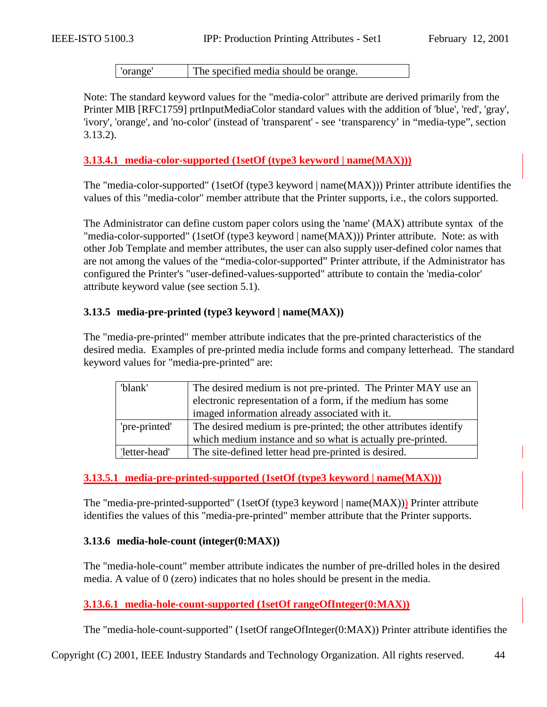'orange' The specified media should be orange.

<span id="page-43-0"></span>Note: The standard keyword values for the "media-color" attribute are derived primarily from the Printer MIB [RFC1759] prtInputMediaColor standard values with the addition of 'blue', 'red', 'gray', 'ivory', 'orange', and 'no-color' (instead of 'transparent' - see 'transparency' in "media-type", section [3.13.2\)](#page-40-0).

#### **3.13.4.1 media-color-supported (1setOf (type3 keyword | name(MAX)))**

The "media-color-supported" (1setOf (type3 keyword | name(MAX))) Printer attribute identifies the values of this "media-color" member attribute that the Printer supports, i.e., the colors supported.

The Administrator can define custom paper colors using the 'name' (MAX) attribute syntax of the "media-color-supported" (1setOf (type3 keyword | name(MAX))) Printer attribute. Note: as with other Job Template and member attributes, the user can also supply user-defined color names that are not among the values of the "media-color-supported" Printer attribute, if the Administrator has configured the Printer's "user-defined-values-supported" attribute to contain the 'media-color' attribute keyword value (see section [5.1\)](#page-64-0).

#### **3.13.5 media-pre-printed (type3 keyword | name(MAX))**

The "media-pre-printed" member attribute indicates that the pre-printed characteristics of the desired media. Examples of pre-printed media include forms and company letterhead. The standard keyword values for "media-pre-printed" are:

| 'blank'       | The desired medium is not pre-printed. The Printer MAY use an    |
|---------------|------------------------------------------------------------------|
|               | electronic representation of a form, if the medium has some      |
|               | imaged information already associated with it.                   |
| 'pre-printed' | The desired medium is pre-printed; the other attributes identify |
|               | which medium instance and so what is actually pre-printed.       |
| 'letter-head' | The site-defined letter head pre-printed is desired.             |

#### **3.13.5.1 media-pre-printed-supported (1setOf (type3 keyword | name(MAX)))**

The "media-pre-printed-supported" (1setOf (type3 keyword | name(MAX))) Printer attribute identifies the values of this "media-pre-printed" member attribute that the Printer supports.

#### **3.13.6 media-hole-count (integer(0:MAX))**

The "media-hole-count" member attribute indicates the number of pre-drilled holes in the desired media. A value of 0 (zero) indicates that no holes should be present in the media.

### **3.13.6.1 media-hole-count-supported (1setOf rangeOfInteger(0:MAX))**

The "media-hole-count-supported" (1setOf rangeOfInteger(0:MAX)) Printer attribute identifies the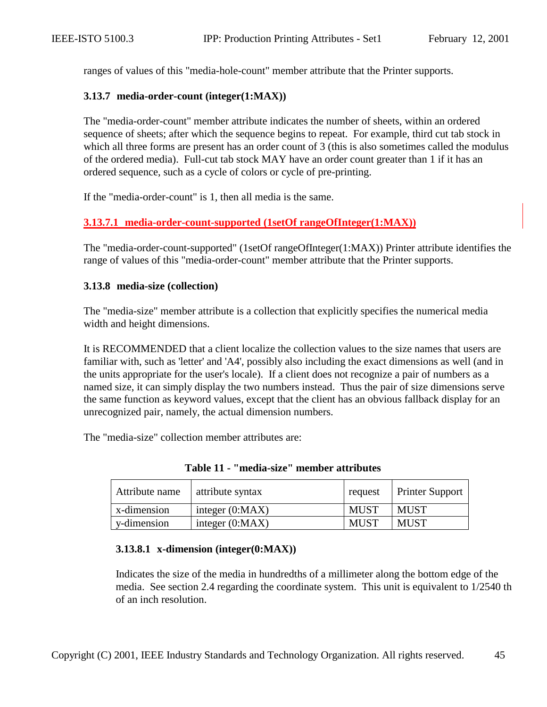<span id="page-44-0"></span>ranges of values of this "media-hole-count" member attribute that the Printer supports.

#### **3.13.7 media-order-count (integer(1:MAX))**

The "media-order-count" member attribute indicates the number of sheets, within an ordered sequence of sheets; after which the sequence begins to repeat. For example, third cut tab stock in which all three forms are present has an order count of 3 (this is also sometimes called the modulus of the ordered media). Full-cut tab stock MAY have an order count greater than 1 if it has an ordered sequence, such as a cycle of colors or cycle of pre-printing.

If the "media-order-count" is 1, then all media is the same.

## **3.13.7.1 media-order-count-supported (1setOf rangeOfInteger(1:MAX))**

The "media-order-count-supported" (1setOf rangeOfInteger(1:MAX)) Printer attribute identifies the range of values of this "media-order-count" member attribute that the Printer supports.

#### **3.13.8 media-size (collection)**

The "media-size" member attribute is a collection that explicitly specifies the numerical media width and height dimensions.

It is RECOMMENDED that a client localize the collection values to the size names that users are familiar with, such as 'letter' and 'A4', possibly also including the exact dimensions as well (and in the units appropriate for the user's locale). If a client does not recognize a pair of numbers as a named size, it can simply display the two numbers instead. Thus the pair of size dimensions serve the same function as keyword values, except that the client has an obvious fallback display for an unrecognized pair, namely, the actual dimension numbers.

The "media-size" collection member attributes are:

| Attribute name | attribute syntax  | request     | <b>Printer Support</b> |
|----------------|-------------------|-------------|------------------------|
| x-dimension    | integer $(0:MAX)$ | MUST        | MUST                   |
| y-dimension    | integer $(0:MAX)$ | <b>MUST</b> | MUST                   |

**Table 11 - "media-size" member attributes** 

### **3.13.8.1 x-dimension (integer(0:MAX))**

Indicates the size of the media in hundredths of a millimeter along the bottom edge of the media. See section [2.4](#page-12-0) regarding the coordinate system. This unit is equivalent to 1/2540 th of an inch resolution.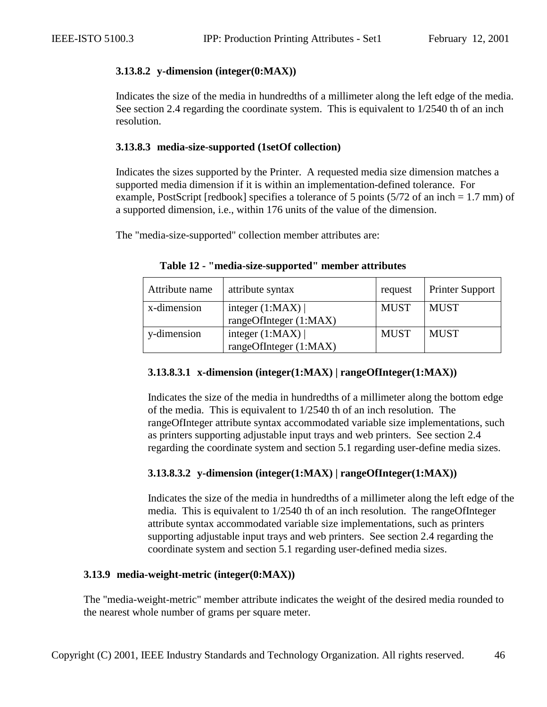## **3.13.8.2 y-dimension (integer(0:MAX))**

Indicates the size of the media in hundredths of a millimeter along the left edge of the media. See section [2.4](#page-12-0) regarding the coordinate system. This is equivalent to 1/2540 th of an inch resolution.

## **3.13.8.3 media-size-supported (1setOf collection)**

Indicates the sizes supported by the Printer. A requested media size dimension matches a supported media dimension if it is within an implementation-defined tolerance. For example, PostScript [redbook] specifies a tolerance of 5 points  $(5/72$  of an inch = 1.7 mm) of a supported dimension, i.e., within 176 units of the value of the dimension.

The "media-size-supported" collection member attributes are:

| Attribute name | attribute syntax                              | request     | <b>Printer Support</b> |
|----------------|-----------------------------------------------|-------------|------------------------|
| x-dimension    | integer $(1:MAX)$<br>rangeOfInteger $(1:MAX)$ | <b>MUST</b> | <b>MUST</b>            |
| y-dimension    | integer $(1:MAX)$<br>rangeOfInteger (1:MAX)   | <b>MUST</b> | <b>MUST</b>            |

#### **Table 12 - "media-size-supported" member attributes**

## **3.13.8.3.1 x-dimension (integer(1:MAX) | rangeOfInteger(1:MAX))**

Indicates the size of the media in hundredths of a millimeter along the bottom edge of the media. This is equivalent to 1/2540 th of an inch resolution. The rangeOfInteger attribute syntax accommodated variable size implementations, such as printers supporting adjustable input trays and web printers. See section [2.4](#page-12-0)  regarding the coordinate system and section [5.1](#page-64-0) regarding user-define media sizes.

## **3.13.8.3.2 y-dimension (integer(1:MAX) | rangeOfInteger(1:MAX))**

Indicates the size of the media in hundredths of a millimeter along the left edge of the media. This is equivalent to 1/2540 th of an inch resolution. The rangeOfInteger attribute syntax accommodated variable size implementations, such as printers supporting adjustable input trays and web printers. See section [2.4](#page-12-0) regarding the coordinate system and section [5.1](#page-64-0) regarding user-defined media sizes.

### **3.13.9 media-weight-metric (integer(0:MAX))**

The "media-weight-metric" member attribute indicates the weight of the desired media rounded to the nearest whole number of grams per square meter.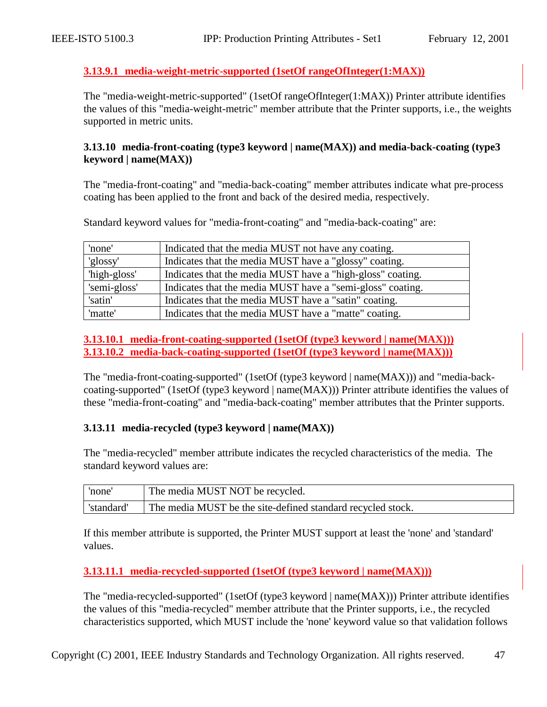## <span id="page-46-0"></span>**3.13.9.1 media-weight-metric-supported (1setOf rangeOfInteger(1:MAX))**

The "media-weight-metric-supported" (1setOf rangeOfInteger(1:MAX)) Printer attribute identifies the values of this "media-weight-metric" member attribute that the Printer supports, i.e., the weights supported in metric units.

### **3.13.10 media-front-coating (type3 keyword | name(MAX)) and media-back-coating (type3 keyword | name(MAX))**

The "media-front-coating" and "media-back-coating" member attributes indicate what pre-process coating has been applied to the front and back of the desired media, respectively.

Standard keyword values for "media-front-coating" and "media-back-coating" are:

| 'none'       | Indicated that the media MUST not have any coating.        |
|--------------|------------------------------------------------------------|
| 'glossy'     | Indicates that the media MUST have a "glossy" coating.     |
| 'high-gloss' | Indicates that the media MUST have a "high-gloss" coating. |
| 'semi-gloss' | Indicates that the media MUST have a "semi-gloss" coating. |
| 'satin'      | Indicates that the media MUST have a "satin" coating.      |
| 'matte'      | Indicates that the media MUST have a "matte" coating.      |

### **3.13.10.1 media-front-coating-supported (1setOf (type3 keyword | name(MAX))) 3.13.10.2 media-back-coating-supported (1setOf (type3 keyword | name(MAX)))**

The "media-front-coating-supported" (1setOf (type3 keyword | name(MAX))) and "media-backcoating-supported" (1setOf (type3 keyword | name(MAX))) Printer attribute identifies the values of these "media-front-coating" and "media-back-coating" member attributes that the Printer supports.

### **3.13.11 media-recycled (type3 keyword | name(MAX))**

The "media-recycled" member attribute indicates the recycled characteristics of the media. The standard keyword values are:

| 'none'    | The media MUST NOT be recycled.                             |
|-----------|-------------------------------------------------------------|
| 'standard | The media MUST be the site-defined standard recycled stock. |

If this member attribute is supported, the Printer MUST support at least the 'none' and 'standard' values.

### **3.13.11.1 media-recycled-supported (1setOf (type3 keyword | name(MAX)))**

The "media-recycled-supported" (1setOf (type3 keyword | name(MAX))) Printer attribute identifies the values of this "media-recycled" member attribute that the Printer supports, i.e., the recycled characteristics supported, which MUST include the 'none' keyword value so that validation follows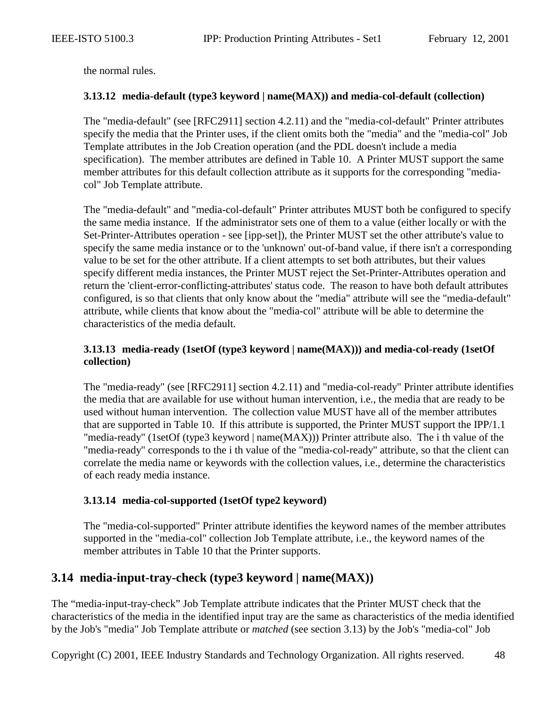<span id="page-47-0"></span>the normal rules.

#### **3.13.12 media-default (type3 keyword | name(MAX)) and media-col-default (collection)**

The "media-default" (see [RFC2911] section 4.2.11) and the "media-col-default" Printer attributes specify the media that the Printer uses, if the client omits both the "media" and the "media-col" Job Template attributes in the Job Creation operation (and the PDL doesn't include a media specification). The member attributes are defined in [Table 10.](#page-39-0) A Printer MUST support the same member attributes for this default collection attribute as it supports for the corresponding "mediacol" Job Template attribute.

The "media-default" and "media-col-default" Printer attributes MUST both be configured to specify the same media instance. If the administrator sets one of them to a value (either locally or with the Set-Printer-Attributes operation - see [ipp-set]), the Printer MUST set the other attribute's value to specify the same media instance or to the 'unknown' out-of-band value, if there isn't a corresponding value to be set for the other attribute. If a client attempts to set both attributes, but their values specify different media instances, the Printer MUST reject the Set-Printer-Attributes operation and return the 'client-error-conflicting-attributes' status code. The reason to have both default attributes configured, is so that clients that only know about the "media" attribute will see the "media-default" attribute, while clients that know about the "media-col" attribute will be able to determine the characteristics of the media default.

## **3.13.13 media-ready (1setOf (type3 keyword | name(MAX))) and media-col-ready (1setOf collection)**

The "media-ready" (see [RFC2911] section 4.2.11) and "media-col-ready" Printer attribute identifies the media that are available for use without human intervention, i.e., the media that are ready to be used without human intervention. The collection value MUST have all of the member attributes that are supported in [Table 10.](#page-39-0) If this attribute is supported, the Printer MUST support the IPP/1.1 "media-ready" (1setOf (type3 keyword | name(MAX))) Printer attribute also. The i th value of the "media-ready" corresponds to the i th value of the "media-col-ready" attribute, so that the client can correlate the media name or keywords with the collection values, i.e., determine the characteristics of each ready media instance.

### **3.13.14 media-col-supported (1setOf type2 keyword)**

The "media-col-supported" Printer attribute identifies the keyword names of the member attributes supported in the "media-col" collection Job Template attribute, i.e., the keyword names of the member attributes in [Table 10](#page-39-0) that the Printer supports.

# **3.14 media-input-tray-check (type3 keyword | name(MAX))**

The "media-input-tray-check" Job Template attribute indicates that the Printer MUST check that the characteristics of the media in the identified input tray are the same as characteristics of the media identified by the Job's "media" Job Template attribute or *matched* (see section [3.13\)](#page-37-0) by the Job's "media-col" Job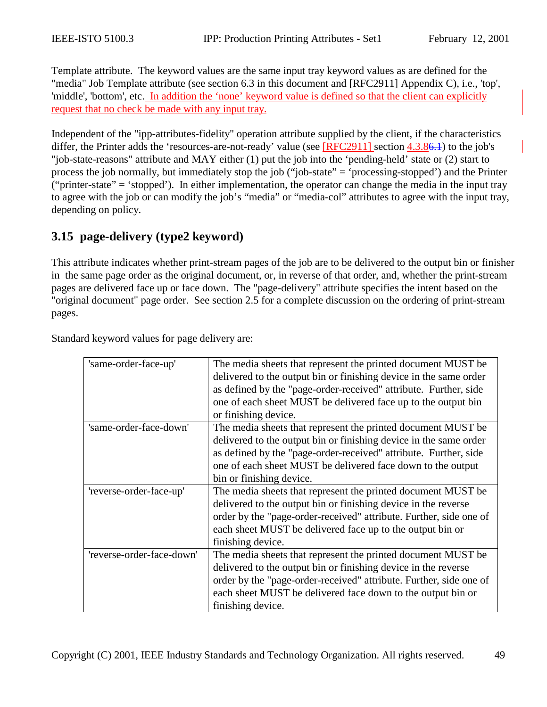<span id="page-48-0"></span>Template attribute. The keyword values are the same input tray keyword values as are defined for the "media" Job Template attribute (see section 6.3 in this document and [RFC2911] Appendix C), i.e., 'top', 'middle', 'bottom', etc. In addition the 'none' keyword value is defined so that the client can explicitly request that no check be made with any input tray.

Independent of the "ipp-attributes-fidelity" operation attribute supplied by the client, if the characteristics differ, the Printer adds the 'resources-are-not-ready' value (see [RFC2911] section 4.3.[86.1\)](#page-66-0) to the job's "job-state-reasons" attribute and MAY either (1) put the job into the 'pending-held' state or (2) start to process the job normally, but immediately stop the job ("job-state" = 'processing-stopped') and the Printer ("printer-state" = 'stopped'). In either implementation, the operator can change the media in the input tray to agree with the job or can modify the job's "media" or "media-col" attributes to agree with the input tray, depending on policy.

# **3.15 page-delivery (type2 keyword)**

This attribute indicates whether print-stream pages of the job are to be delivered to the output bin or finisher in the same page order as the original document, or, in reverse of that order, and, whether the print-stream pages are delivered face up or face down. The "page-delivery" attribute specifies the intent based on the "original document" page order. See section [2.5](#page-13-0) for a complete discussion on the ordering of print-stream pages.

| 'same-order-face-up'      | The media sheets that represent the printed document MUST be<br>delivered to the output bin or finishing device in the same order<br>as defined by the "page-order-received" attribute. Further, side<br>one of each sheet MUST be delivered face up to the output bin<br>or finishing device.    |
|---------------------------|---------------------------------------------------------------------------------------------------------------------------------------------------------------------------------------------------------------------------------------------------------------------------------------------------|
| 'same-order-face-down'    | The media sheets that represent the printed document MUST be.<br>delivered to the output bin or finishing device in the same order<br>as defined by the "page-order-received" attribute. Further, side<br>one of each sheet MUST be delivered face down to the output<br>bin or finishing device. |
| 'reverse-order-face-up'   | The media sheets that represent the printed document MUST be<br>delivered to the output bin or finishing device in the reverse<br>order by the "page-order-received" attribute. Further, side one of<br>each sheet MUST be delivered face up to the output bin or<br>finishing device.            |
| 'reverse-order-face-down' | The media sheets that represent the printed document MUST be<br>delivered to the output bin or finishing device in the reverse<br>order by the "page-order-received" attribute. Further, side one of<br>each sheet MUST be delivered face down to the output bin or<br>finishing device.          |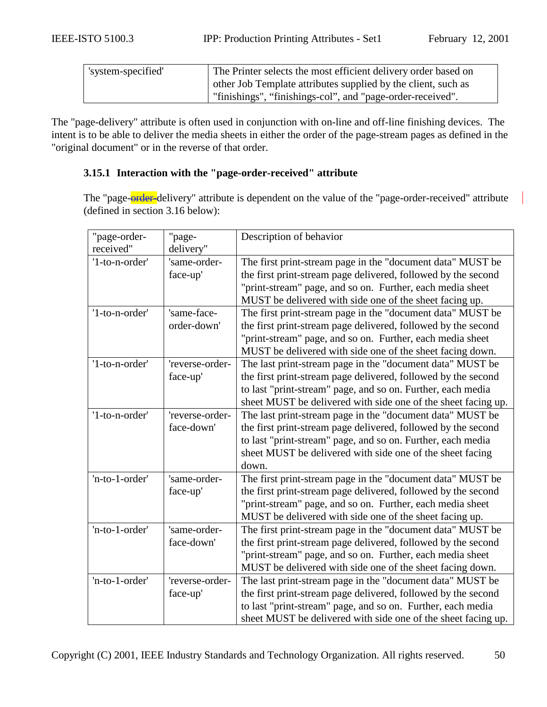| 'system-specified' | The Printer selects the most efficient delivery order based on |
|--------------------|----------------------------------------------------------------|
|                    | other Job Template attributes supplied by the client, such as  |
|                    | "finishings", "finishings-col", and "page-order-received".     |

The "page-delivery" attribute is often used in conjunction with on-line and off-line finishing devices. The intent is to be able to deliver the media sheets in either the order of the page-stream pages as defined in the "original document" or in the reverse of that order.

## **3.15.1 Interaction with the "page-order-received" attribute**

The "page-order-delivery" attribute is dependent on the value of the "page-order-received" attribute (defined in section [3.16 below\)](#page-50-0):

| "page-order-<br>received" | "page-<br>delivery"           | Description of behavior                                                                                                                                                                                                                                         |
|---------------------------|-------------------------------|-----------------------------------------------------------------------------------------------------------------------------------------------------------------------------------------------------------------------------------------------------------------|
| '1-to-n-order'            | 'same-order-<br>face-up'      | The first print-stream page in the "document data" MUST be<br>the first print-stream page delivered, followed by the second<br>"print-stream" page, and so on. Further, each media sheet<br>MUST be delivered with side one of the sheet facing up.             |
| '1-to-n-order'            | 'same-face-<br>order-down'    | The first print-stream page in the "document data" MUST be<br>the first print-stream page delivered, followed by the second<br>"print-stream" page, and so on. Further, each media sheet<br>MUST be delivered with side one of the sheet facing down.           |
| '1-to-n-order'            | 'reverse-order-<br>face-up'   | The last print-stream page in the "document data" MUST be<br>the first print-stream page delivered, followed by the second<br>to last "print-stream" page, and so on. Further, each media<br>sheet MUST be delivered with side one of the sheet facing up.      |
| '1-to-n-order'            | 'reverse-order-<br>face-down' | The last print-stream page in the "document data" MUST be<br>the first print-stream page delivered, followed by the second<br>to last "print-stream" page, and so on. Further, each media<br>sheet MUST be delivered with side one of the sheet facing<br>down. |
| 'n-to-1-order'            | 'same-order-<br>face-up'      | The first print-stream page in the "document data" MUST be<br>the first print-stream page delivered, followed by the second<br>"print-stream" page, and so on. Further, each media sheet<br>MUST be delivered with side one of the sheet facing up.             |
| 'n-to-1-order'            | 'same-order-<br>face-down'    | The first print-stream page in the "document data" MUST be<br>the first print-stream page delivered, followed by the second<br>"print-stream" page, and so on. Further, each media sheet<br>MUST be delivered with side one of the sheet facing down.           |
| 'n-to-1-order'            | 'reverse-order-<br>face-up'   | The last print-stream page in the "document data" MUST be<br>the first print-stream page delivered, followed by the second<br>to last "print-stream" page, and so on. Further, each media<br>sheet MUST be delivered with side one of the sheet facing up.      |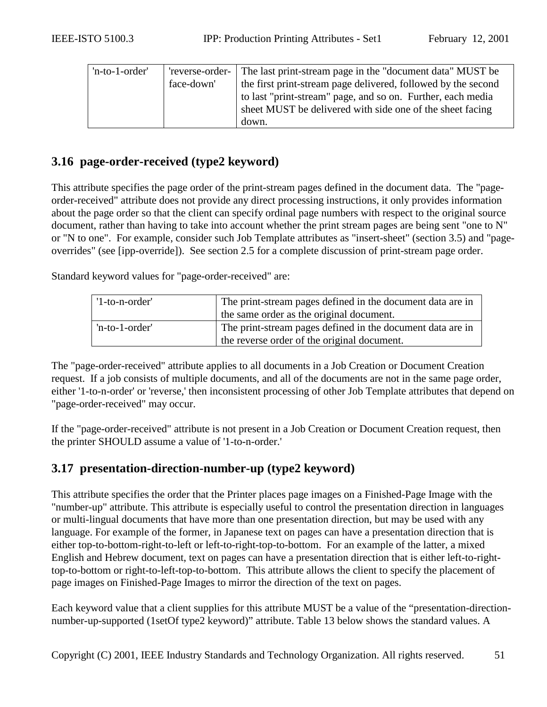<span id="page-50-0"></span>

| 'n-to-1-order' |            | reverse-order- The last print-stream page in the "document data" MUST be |
|----------------|------------|--------------------------------------------------------------------------|
|                | face-down' | the first print-stream page delivered, followed by the second            |
|                |            | to last "print-stream" page, and so on. Further, each media              |
|                |            | sheet MUST be delivered with side one of the sheet facing                |
|                |            | down.                                                                    |

# **3.16 page-order-received (type2 keyword)**

This attribute specifies the page order of the print-stream pages defined in the document data. The "pageorder-received" attribute does not provide any direct processing instructions, it only provides information about the page order so that the client can specify ordinal page numbers with respect to the original source document, rather than having to take into account whether the print stream pages are being sent "one to N" or "N to one". For example, consider such Job Template attributes as "insert-sheet" (section [3.5\)](#page-27-0) and "pageoverrides" (see [ipp-override]). See section [2.5](#page-13-0) for a complete discussion of print-stream page order.

Standard keyword values for "page-order-received" are:

| '1-to-n-order' | The print-stream pages defined in the document data are in |  |  |
|----------------|------------------------------------------------------------|--|--|
|                | the same order as the original document.                   |  |  |
| 'n-to-1-order' | The print-stream pages defined in the document data are in |  |  |
|                | the reverse order of the original document.                |  |  |

The "page-order-received" attribute applies to all documents in a Job Creation or Document Creation request. If a job consists of multiple documents, and all of the documents are not in the same page order, either '1-to-n-order' or 'reverse,' then inconsistent processing of other Job Template attributes that depend on "page-order-received" may occur.

If the "page-order-received" attribute is not present in a Job Creation or Document Creation request, then the printer SHOULD assume a value of '1-to-n-order.'

## **3.17 presentation-direction-number-up (type2 keyword)**

This attribute specifies the order that the Printer places page images on a Finished-Page Image with the "number-up" attribute. This attribute is especially useful to control the presentation direction in languages or multi-lingual documents that have more than one presentation direction, but may be used with any language. For example of the former, in Japanese text on pages can have a presentation direction that is either top-to-bottom-right-to-left or left-to-right-top-to-bottom. For an example of the latter, a mixed English and Hebrew document, text on pages can have a presentation direction that is either left-to-righttop-to-bottom or right-to-left-top-to-bottom. This attribute allows the client to specify the placement of page images on Finished-Page Images to mirror the direction of the text on pages.

Each keyword value that a client supplies for this attribute MUST be a value of the "presentation-directionnumber-up-supported (1setOf type2 keyword)" attribute. [Table 13](#page-52-0) below shows the standard values. A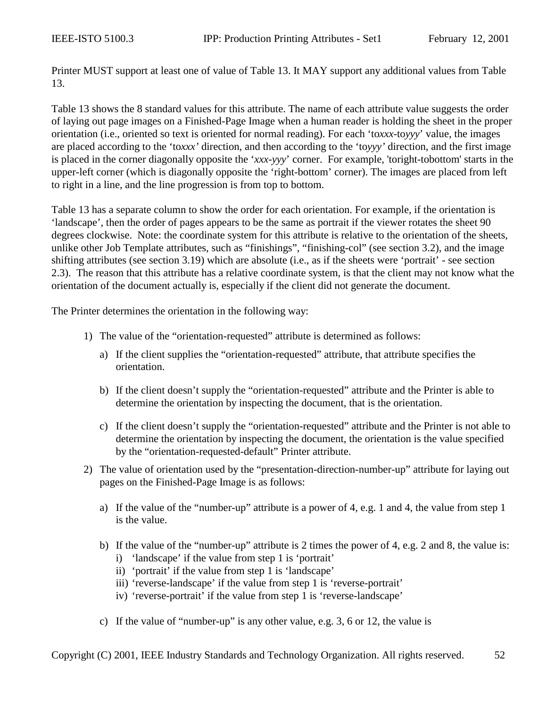Printer MUST support at least one of value of [Table 13.](#page-52-0) It MAY support any additional values from [Table](#page-52-0)  13[.](#page-52-0)

[Table 13](#page-52-0) shows the 8 standard values for this attribute. The name of each attribute value suggests the order of laying out page images on a Finished-Page Image when a human reader is holding the sheet in the proper orientation (i.e., oriented so text is oriented for normal reading). For each 'to*xxx*-to*yyy*' value, the images are placed according to the 'to*xxx'* direction, and then according to the 'to*yyy'* direction, and the first image is placed in the corner diagonally opposite the '*xxx*-*yyy*' corner. For example, 'toright-tobottom' starts in the upper-left corner (which is diagonally opposite the 'right-bottom' corner). The images are placed from left to right in a line, and the line progression is from top to bottom.

[Table 13](#page-52-0) has a separate column to show the order for each orientation. For example, if the orientation is 'landscape', then the order of pages appears to be the same as portrait if the viewer rotates the sheet 90 degrees clockwise. Note: the coordinate system for this attribute is relative to the orientation of the sheets, unlike other Job Template attributes, such as "finishings", "finishing-col" (see section [3.2\)](#page-20-0), and the image shifting attributes (see section [3.19\)](#page-55-0) which are absolute (i.e., as if the sheets were 'portrait' - see section [2.3\)](#page-12-0). The reason that this attribute has a relative coordinate system, is that the client may not know what the orientation of the document actually is, especially if the client did not generate the document.

The Printer determines the orientation in the following way:

- 1) The value of the "orientation-requested" attribute is determined as follows:
	- a) If the client supplies the "orientation-requested" attribute, that attribute specifies the orientation.
	- b) If the client doesn't supply the "orientation-requested" attribute and the Printer is able to determine the orientation by inspecting the document, that is the orientation.
	- c) If the client doesn't supply the "orientation-requested" attribute and the Printer is not able to determine the orientation by inspecting the document, the orientation is the value specified by the "orientation-requested-default" Printer attribute.
- 2) The value of orientation used by the "presentation-direction-number-up" attribute for laying out pages on the Finished-Page Image is as follows:
	- a) If the value of the "number-up" attribute is a power of 4, e.g. 1 and 4, the value from step 1 is the value.
	- b) If the value of the "number-up" attribute is 2 times the power of 4, e.g. 2 and 8, the value is:
		- i) 'landscape' if the value from step 1 is 'portrait'
		- ii) 'portrait' if the value from step 1 is 'landscape'
		- iii) 'reverse-landscape' if the value from step 1 is 'reverse-portrait'
		- iv) 'reverse-portrait' if the value from step 1 is 'reverse-landscape'
	- c) If the value of "number-up" is any other value, e.g. 3, 6 or 12, the value is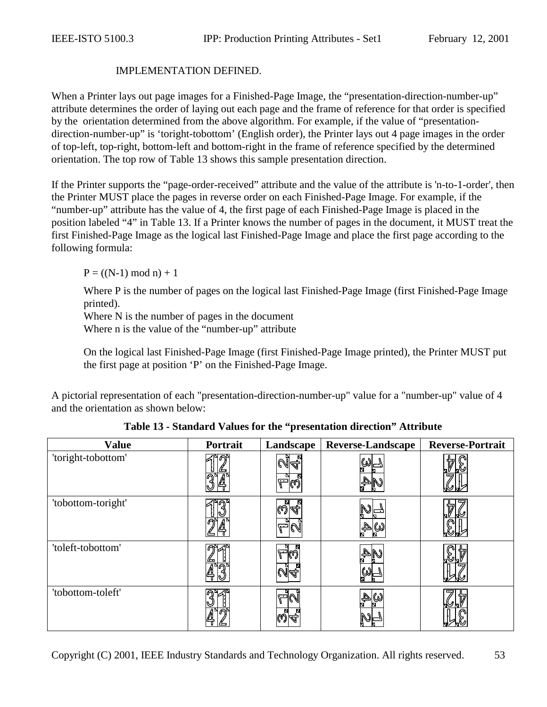#### IMPLEMENTATION DEFINED.

<span id="page-52-0"></span>When a Printer lays out page images for a Finished-Page Image, the "presentation-direction-number-up" attribute determines the order of laying out each page and the frame of reference for that order is specified by the orientation determined from the above algorithm. For example, if the value of "presentationdirection-number-up" is 'toright-tobottom' (English order), the Printer lays out 4 page images in the order of top-left, top-right, bottom-left and bottom-right in the frame of reference specified by the determined orientation. The top row of Table 13 shows this sample presentation direction.

If the Printer supports the "page-order-received" attribute and the value of the attribute is 'n-to-1-order', then the Printer MUST place the pages in reverse order on each Finished-Page Image. For example, if the "number-up" attribute has the value of 4, the first page of each Finished-Page Image is placed in the position labeled "4" in Table 13. If a Printer knows the number of pages in the document, it MUST treat the first Finished-Page Image as the logical last Finished-Page Image and place the first page according to the following formula:

 $P = ((N-1) \mod n) + 1$ 

Where P is the number of pages on the logical last Finished-Page Image (first Finished-Page Image printed).

Where N is the number of pages in the document

Where n is the value of the "number-up" attribute

On the logical last Finished-Page Image (first Finished-Page Image printed), the Printer MUST put the first page at position 'P' on the Finished-Page Image.

A pictorial representation of each "presentation-direction-number-up" value for a "number-up" value of 4 and the orientation as shown below:

| <b>Value</b>       | Portrait | Landscape | <b>Reverse-Landscape</b> | <b>Reverse-Portrait</b> |
|--------------------|----------|-----------|--------------------------|-------------------------|
| 'toright-tobottom' |          | 014.      |                          |                         |
| 'tobottom-toright' | ⋒        | ାଣ୍ଡାଙ୍କ  | ω                        |                         |
| 'toleft-tobottom'  |          | הαשוע     |                          | 43                      |
| 'tobottom-toleft'  |          |           |                          | 17                      |

**Table 13 - Standard Values for the "presentation direction" Attribute**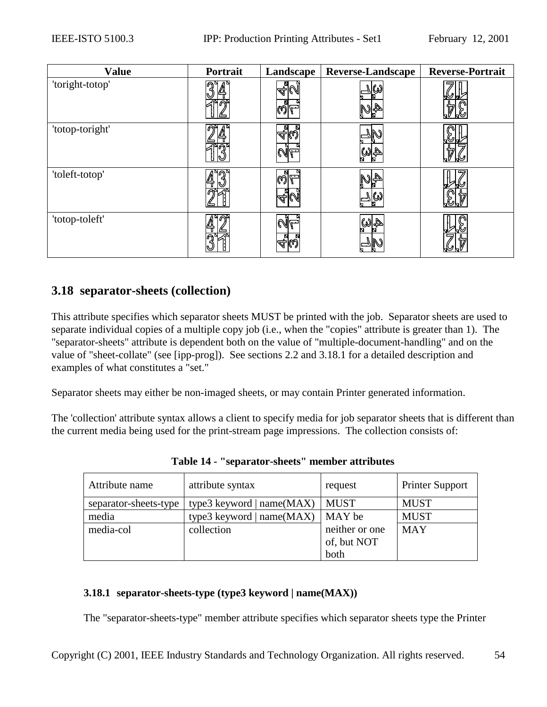<span id="page-53-0"></span>

| <b>Value</b>    | Portrait | Landscape                                      | <b>Reverse-Landscape</b> | <b>Reverse-Portrait</b> |
|-----------------|----------|------------------------------------------------|--------------------------|-------------------------|
| 'toright-totop' |          | N<br>N<br>∕ମା                                  |                          |                         |
| 'totop-toright' |          | 집.<br>ক∣©<br>CAI.                              |                          | ₩                       |
| 'toleft-totop'  | ឝ        | N<br>$\mathbb{Q}$<br>$\mathbb{Z}_{\mathbb{Z}}$ | ∣ພ                       |                         |
| 'totop-toleft'  |          | $\mathbb{N}$ L<br>д.<br>4K.                    | $\mathbb{A}[\omega]$     |                         |

# **3.18 separator-sheets (collection)**

This attribute specifies which separator sheets MUST be printed with the job. Separator sheets are used to separate individual copies of a multiple copy job (i.e., when the "copies" attribute is greater than 1). The "separator-sheets" attribute is dependent both on the value of "multiple-document-handling" and on the value of "sheet-collate" (see [ipp-prog]). See sections [2.2](#page-8-0) and 3.18.1 for a detailed description and examples of what constitutes a "set."

Separator sheets may either be non-imaged sheets, or may contain Printer generated information.

The 'collection' attribute syntax allows a client to specify media for job separator sheets that is different than the current media being used for the print-stream page impressions. The collection consists of:

| Attribute name        | attribute syntax            | request        | <b>Printer Support</b> |
|-----------------------|-----------------------------|----------------|------------------------|
| separator-sheets-type | type3 keyword   $name(MAX)$ | <b>MUST</b>    | <b>MUST</b>            |
| media                 | type3 keyword   $name(MAX)$ | MAY be         | <b>MUST</b>            |
| media-col             | collection                  | neither or one | <b>MAY</b>             |
|                       |                             | of, but NOT    |                        |
|                       |                             | both           |                        |

**Table 14 - "separator-sheets" member attributes** 

## **3.18.1 separator-sheets-type (type3 keyword | name(MAX))**

The "separator-sheets-type" member attribute specifies which separator sheets type the Printer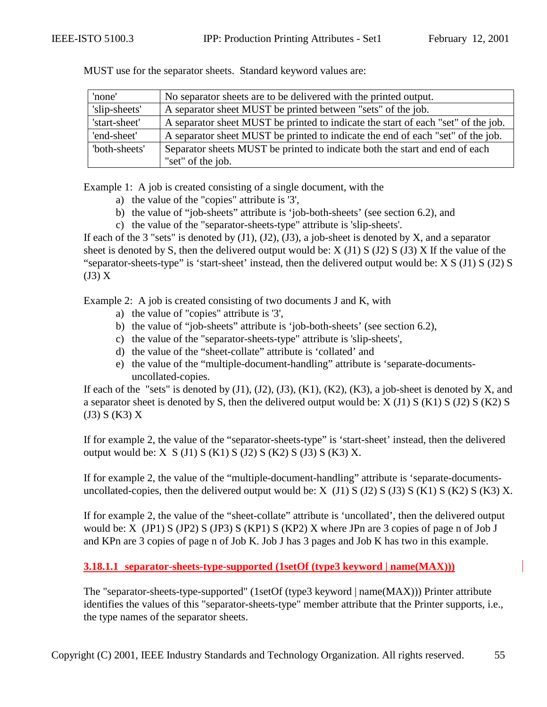| 'none'        | No separator sheets are to be delivered with the printed output.                  |
|---------------|-----------------------------------------------------------------------------------|
| 'slip-sheets' | A separator sheet MUST be printed between "sets" of the job.                      |
| 'start-sheet' | A separator sheet MUST be printed to indicate the start of each "set" of the job. |
| 'end-sheet'   | A separator sheet MUST be printed to indicate the end of each "set" of the job.   |
| 'both-sheets' | Separator sheets MUST be printed to indicate both the start and end of each       |
|               | "set" of the job.                                                                 |

<span id="page-54-0"></span>MUST use for the separator sheets. Standard keyword values are:

Example 1: A job is created consisting of a single document, with the

- a) the value of the "copies" attribute is '3',
- b) the value of "job-sheets" attribute is 'job-both-sheets' (see section [6.2\)](#page-66-0), and
- c) the value of the "separator-sheets-type" attribute is 'slip-sheets'.

If each of the 3 "sets" is denoted by  $(J1)$ ,  $(J2)$ ,  $(J3)$ , a job-sheet is denoted by X, and a separator sheet is denoted by S, then the delivered output would be:  $X(1)$  S ( $J2$ ) S ( $J3$ ) X If the value of the "separator-sheets-type" is 'start-sheet' instead, then the delivered output would be: X S (J1) S (J2) S (J3) X

Example 2: A job is created consisting of two documents J and K, with

- a) the value of "copies" attribute is '3',
- b) the value of "job-sheets" attribute is 'job-both-sheets' (see section [6.2\)](#page-66-0),
- c) the value of the "separator-sheets-type" attribute is 'slip-sheets',
- d) the value of the "sheet-collate" attribute is 'collated' and
- e) the value of the "multiple-document-handling" attribute is 'separate-documentsuncollated-copies.

If each of the "sets" is denoted by  $(J1)$ ,  $(J2)$ ,  $(J3)$ ,  $(K1)$ ,  $(K2)$ ,  $(K3)$ , a job-sheet is denoted by X, and a separator sheet is denoted by S, then the delivered output would be:  $X(11) S(K1) S(J2) S(K2) S$ (J3) S (K3) X

If for example 2, the value of the "separator-sheets-type" is 'start-sheet' instead, then the delivered output would be: X  $S$  (J1)  $S$  (K1)  $S$  (J2)  $S$  (K2)  $S$  (J3)  $S$  (K3)  $X$ .

If for example 2, the value of the "multiple-document-handling" attribute is 'separate-documentsuncollated-copies, then the delivered output would be:  $X$  (J1)  $S$  (J2)  $S$  (J3)  $S$  (K1)  $S$  (K2)  $S$  (K3)  $X$ .

If for example 2, the value of the "sheet-collate" attribute is 'uncollated', then the delivered output would be: X (JP1) S (JP2) S (JP3) S (KP1) S (KP2) X where JPn are 3 copies of page n of Job J and KPn are 3 copies of page n of Job K. Job J has 3 pages and Job K has two in this example.

**3.18.1.1 separator-sheets-type-supported (1setOf (type3 keyword | name(MAX)))**

The "separator-sheets-type-supported" (1setOf (type3 keyword | name(MAX))) Printer attribute identifies the values of this "separator-sheets-type" member attribute that the Printer supports, i.e., the type names of the separator sheets.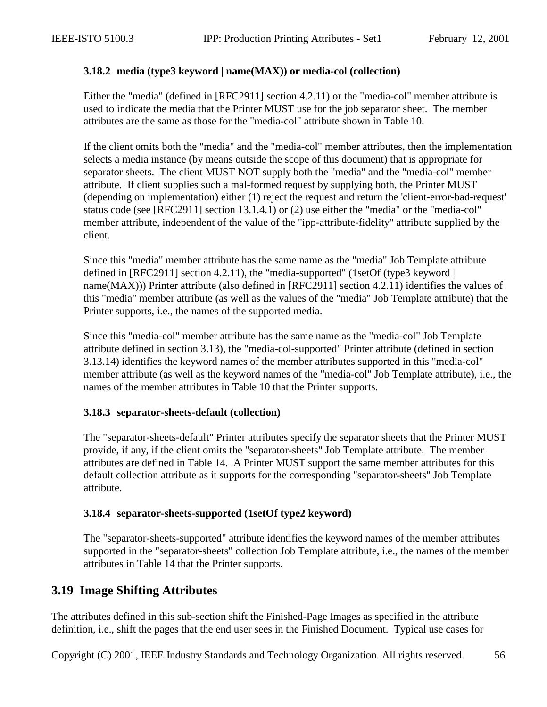### <span id="page-55-0"></span>**3.18.2 media (type3 keyword | name(MAX)) or media-col (collection)**

Either the "media" (defined in [RFC2911] section 4.2.11) or the "media-col" member attribute is used to indicate the media that the Printer MUST use for the job separator sheet. The member attributes are the same as those for the "media-col" attribute shown in [Table 10.](#page-39-0)

If the client omits both the "media" and the "media-col" member attributes, then the implementation selects a media instance (by means outside the scope of this document) that is appropriate for separator sheets. The client MUST NOT supply both the "media" and the "media-col" member attribute. If client supplies such a mal-formed request by supplying both, the Printer MUST (depending on implementation) either (1) reject the request and return the 'client-error-bad-request' status code (see [RFC2911] section 13.1.4.1) or (2) use either the "media" or the "media-col" member attribute, independent of the value of the "ipp-attribute-fidelity" attribute supplied by the client.

Since this "media" member attribute has the same name as the "media" Job Template attribute defined in [RFC2911] section 4.2.11), the "media-supported" (1setOf (type3 keyword | name(MAX))) Printer attribute (also defined in [RFC2911] section 4.2.11) identifies the values of this "media" member attribute (as well as the values of the "media" Job Template attribute) that the Printer supports, i.e., the names of the supported media.

Since this "media-col" member attribute has the same name as the "media-col" Job Template attribute defined in section [3.13\)](#page-37-0), the "media-col-supported" Printer attribute (defined in section [3.13.14\)](#page-47-0) identifies the keyword names of the member attributes supported in this "media-col" member attribute (as well as the keyword names of the "media-col" Job Template attribute), i.e., the names of the member attributes in [Table 10](#page-39-0) that the Printer supports.

### **3.18.3 separator-sheets-default (collection)**

The "separator-sheets-default" Printer attributes specify the separator sheets that the Printer MUST provide, if any, if the client omits the "separator-sheets" Job Template attribute. The member attributes are defined in [Table 14.](#page-53-0) A Printer MUST support the same member attributes for this default collection attribute as it supports for the corresponding "separator-sheets" Job Template attribute.

### **3.18.4 separator-sheets-supported (1setOf type2 keyword)**

The "separator-sheets-supported" attribute identifies the keyword names of the member attributes supported in the "separator-sheets" collection Job Template attribute, i.e., the names of the member attributes in [Table 14](#page-53-0) that the Printer supports.

# **3.19 Image Shifting Attributes**

The attributes defined in this sub-section shift the Finished-Page Images as specified in the attribute definition, i.e., shift the pages that the end user sees in the Finished Document. Typical use cases for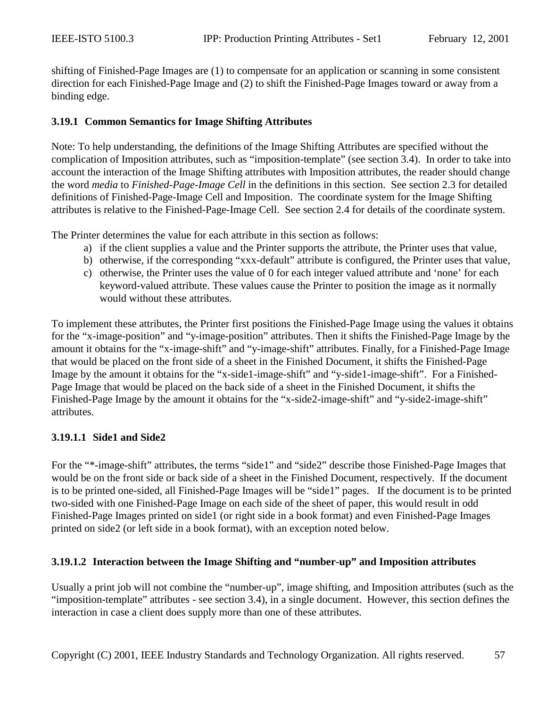<span id="page-56-0"></span>shifting of Finished-Page Images are (1) to compensate for an application or scanning in some consistent direction for each Finished-Page Image and (2) to shift the Finished-Page Images toward or away from a binding edge.

### **3.19.1 Common Semantics for Image Shifting Attributes**

Note: To help understanding, the definitions of the Image Shifting Attributes are specified without the complication of Imposition attributes, such as "imposition-template" (see section [3.4\)](#page-26-0). In order to take into account the interaction of the Image Shifting attributes with Imposition attributes, the reader should change the word *media* to *Finished-Page-Image Cell* in the definitions in this section. See section [2.3](#page-9-0) for detailed definitions of Finished-Page-Image Cell and Imposition. The coordinate system for the Image Shifting attributes is relative to the Finished-Page-Image Cell. See section [2.4](#page-12-0) for details of the coordinate system.

The Printer determines the value for each attribute in this section as follows:

- a) if the client supplies a value and the Printer supports the attribute, the Printer uses that value,
- b) otherwise, if the corresponding "xxx-default" attribute is configured, the Printer uses that value,
- c) otherwise, the Printer uses the value of 0 for each integer valued attribute and 'none' for each keyword-valued attribute. These values cause the Printer to position the image as it normally would without these attributes.

To implement these attributes, the Printer first positions the Finished-Page Image using the values it obtains for the "x-image-position" and "y-image-position" attributes. Then it shifts the Finished-Page Image by the amount it obtains for the "x-image-shift" and "y-image-shift" attributes. Finally, for a Finished-Page Image that would be placed on the front side of a sheet in the Finished Document, it shifts the Finished-Page Image by the amount it obtains for the "x-side1-image-shift" and "y-side1-image-shift". For a Finished-Page Image that would be placed on the back side of a sheet in the Finished Document, it shifts the Finished-Page Image by the amount it obtains for the "x-side2-image-shift" and "y-side2-image-shift" attributes.

### **3.19.1.1 Side1 and Side2**

For the "\*-image-shift" attributes, the terms "side1" and "side2" describe those Finished-Page Images that would be on the front side or back side of a sheet in the Finished Document, respectively. If the document is to be printed one-sided, all Finished-Page Images will be "side1" pages. If the document is to be printed two-sided with one Finished-Page Image on each side of the sheet of paper, this would result in odd Finished-Page Images printed on side1 (or right side in a book format) and even Finished-Page Images printed on side2 (or left side in a book format), with an exception noted below.

### **3.19.1.2 Interaction between the Image Shifting and "number-up" and Imposition attributes**

Usually a print job will not combine the "number-up", image shifting, and Imposition attributes (such as the "imposition-template" attributes - see section [3.4\)](#page-26-0), in a single document. However, this section defines the interaction in case a client does supply more than one of these attributes.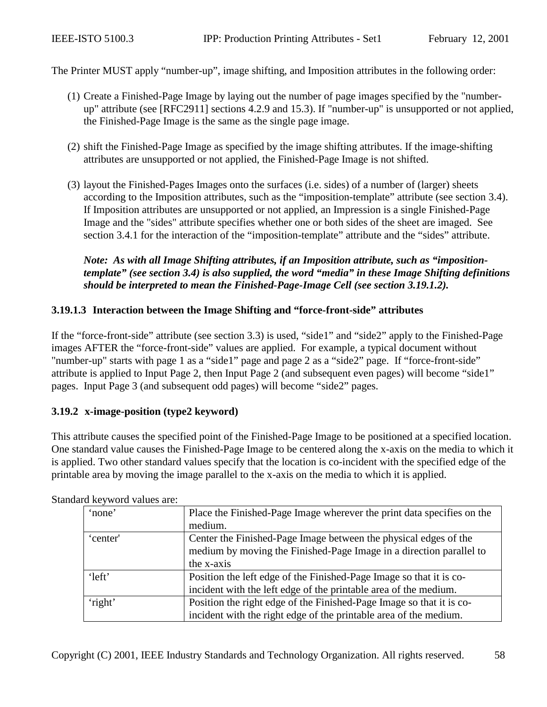<span id="page-57-0"></span>The Printer MUST apply "number-up", image shifting, and Imposition attributes in the following order:

- (1) Create a Finished-Page Image by laying out the number of page images specified by the "numberup" attribute (see [RFC2911] sections 4.2.9 and 15.3). If "number-up" is unsupported or not applied, the Finished-Page Image is the same as the single page image.
- (2) shift the Finished-Page Image as specified by the image shifting attributes. If the image-shifting attributes are unsupported or not applied, the Finished-Page Image is not shifted.
- (3) layout the Finished-Pages Images onto the surfaces (i.e. sides) of a number of (larger) sheets according to the Imposition attributes, such as the "imposition-template" attribute (see section [3.4\)](#page-26-0). If Imposition attributes are unsupported or not applied, an Impression is a single Finished-Page Image and the "sides" attribute specifies whether one or both sides of the sheet are imaged. See section [3.4.1](#page-26-0) for the interaction of the "imposition-template" attribute and the "sides" attribute.

### *Note: As with all Image Shifting attributes, if an Imposition attribute, such as "impositiontemplate" (see section [3.4\)](#page-26-0) is also supplied, the word "media" in these Image Shifting definitions should be interpreted to mean the Finished-Page-Image Cell (see section [3.19.1.2\)](#page-56-0).*

#### **3.19.1.3 Interaction between the Image Shifting and "force-front-side" attributes**

If the "force-front-side" attribute (see section [3.3\)](#page-26-0) is used, "side1" and "side2" apply to the Finished-Page images AFTER the "force-front-side" values are applied. For example, a typical document without "number-up" starts with page 1 as a "side1" page and page 2 as a "side2" page. If "force-front-side" attribute is applied to Input Page 2, then Input Page 2 (and subsequent even pages) will become "side1" pages. Input Page 3 (and subsequent odd pages) will become "side2" pages.

#### **3.19.2 x-image-position (type2 keyword)**

This attribute causes the specified point of the Finished-Page Image to be positioned at a specified location. One standard value causes the Finished-Page Image to be centered along the x-axis on the media to which it is applied. Two other standard values specify that the location is co-incident with the specified edge of the printable area by moving the image parallel to the x-axis on the media to which it is applied.

| 'none'   | Place the Finished-Page Image wherever the print data specifies on the |
|----------|------------------------------------------------------------------------|
|          | medium.                                                                |
| 'center' | Center the Finished-Page Image between the physical edges of the       |
|          | medium by moving the Finished-Page Image in a direction parallel to    |
|          | the x-axis                                                             |
| 'left'   | Position the left edge of the Finished-Page Image so that it is co-    |
|          | incident with the left edge of the printable area of the medium.       |
| 'right'  | Position the right edge of the Finished-Page Image so that it is co-   |
|          | incident with the right edge of the printable area of the medium.      |

Standard keyword values are: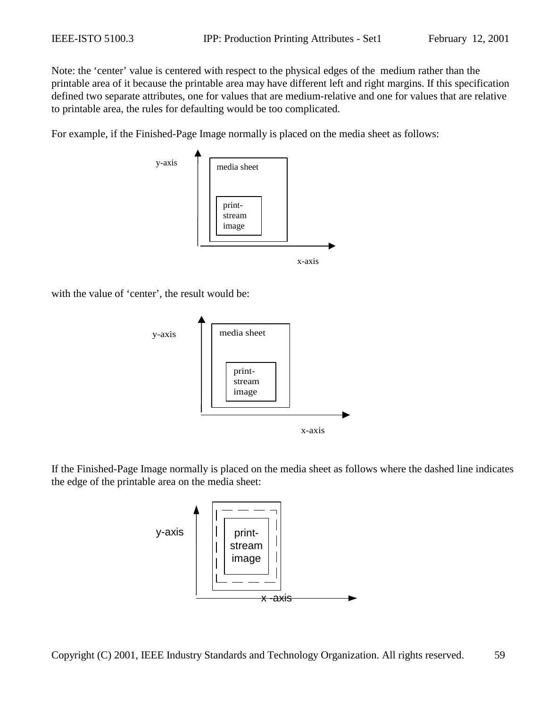Note: the 'center' value is centered with respect to the physical edges of the medium rather than the printable area of it because the printable area may have different left and right margins. If this specification defined two separate attributes, one for values that are medium-relative and one for values that are relative to printable area, the rules for defaulting would be too complicated.

For example, if the Finished-Page Image normally is placed on the media sheet as follows:



with the value of 'center', the result would be:



If the Finished-Page Image normally is placed on the media sheet as follows where the dashed line indicates the edge of the printable area on the media sheet:

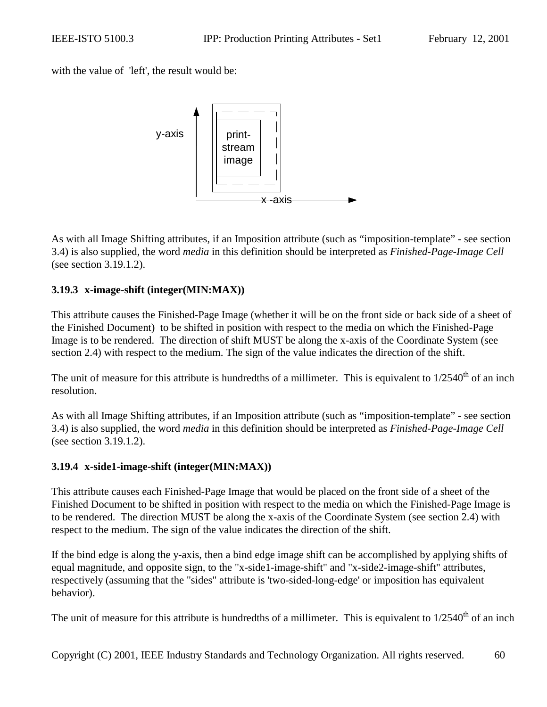<span id="page-59-0"></span>with the value of 'left', the result would be:



As with all Image Shifting attributes, if an Imposition attribute (such as "imposition-template" - see section [3.4\)](#page-26-0) is also supplied, the word *media* in this definition should be interpreted as *Finished-Page-Image Cell* (see section [3.19.1.2\)](#page-56-0).

### **3.19.3 x-image-shift (integer(MIN:MAX))**

This attribute causes the Finished-Page Image (whether it will be on the front side or back side of a sheet of the Finished Document) to be shifted in position with respect to the media on which the Finished-Page Image is to be rendered. The direction of shift MUST be along the x-axis of the Coordinate System (see section [2.4\)](#page-12-0) with respect to the medium. The sign of the value indicates the direction of the shift.

The unit of measure for this attribute is hundredths of a millimeter. This is equivalent to  $1/2540<sup>th</sup>$  of an inch resolution.

As with all Image Shifting attributes, if an Imposition attribute (such as "imposition-template" - see section [3.4\)](#page-26-0) is also supplied, the word *media* in this definition should be interpreted as *Finished-Page-Image Cell* (see section [3.19.1.2\)](#page-56-0).

### **3.19.4 x-side1-image-shift (integer(MIN:MAX))**

This attribute causes each Finished-Page Image that would be placed on the front side of a sheet of the Finished Document to be shifted in position with respect to the media on which the Finished-Page Image is to be rendered. The direction MUST be along the x-axis of the Coordinate System (see section [2.4\)](#page-12-0) with respect to the medium. The sign of the value indicates the direction of the shift.

If the bind edge is along the y-axis, then a bind edge image shift can be accomplished by applying shifts of equal magnitude, and opposite sign, to the "x-side1-image-shift" and "x-side2-image-shift" attributes, respectively (assuming that the "sides" attribute is 'two-sided-long-edge' or imposition has equivalent behavior).

The unit of measure for this attribute is hundredths of a millimeter. This is equivalent to  $1/2540<sup>th</sup>$  of an inch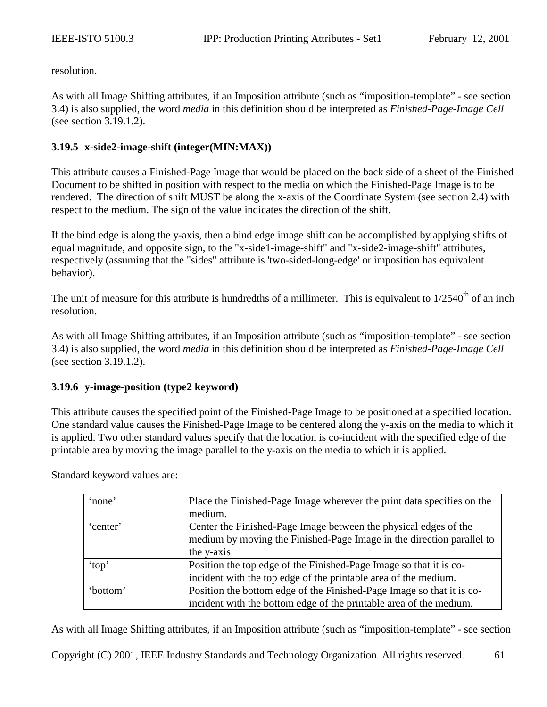<span id="page-60-0"></span>resolution.

As with all Image Shifting attributes, if an Imposition attribute (such as "imposition-template" - see section [3.4\)](#page-26-0) is also supplied, the word *media* in this definition should be interpreted as *Finished-Page-Image Cell* (see section [3.19.1.2\)](#page-56-0).

### **3.19.5 x-side2-image-shift (integer(MIN:MAX))**

This attribute causes a Finished-Page Image that would be placed on the back side of a sheet of the Finished Document to be shifted in position with respect to the media on which the Finished-Page Image is to be rendered. The direction of shift MUST be along the x-axis of the Coordinate System (see section [2.4\)](#page-12-0) with respect to the medium. The sign of the value indicates the direction of the shift.

If the bind edge is along the y-axis, then a bind edge image shift can be accomplished by applying shifts of equal magnitude, and opposite sign, to the "x-side1-image-shift" and "x-side2-image-shift" attributes, respectively (assuming that the "sides" attribute is 'two-sided-long-edge' or imposition has equivalent behavior).

The unit of measure for this attribute is hundredths of a millimeter. This is equivalent to  $1/2540<sup>th</sup>$  of an inch resolution.

As with all Image Shifting attributes, if an Imposition attribute (such as "imposition-template" - see section [3.4\)](#page-26-0) is also supplied, the word *media* in this definition should be interpreted as *Finished-Page-Image Cell* (see section [3.19.1.2\)](#page-56-0).

### **3.19.6 y-image-position (type2 keyword)**

This attribute causes the specified point of the Finished-Page Image to be positioned at a specified location. One standard value causes the Finished-Page Image to be centered along the y-axis on the media to which it is applied. Two other standard values specify that the location is co-incident with the specified edge of the printable area by moving the image parallel to the y-axis on the media to which it is applied.

Standard keyword values are:

| 'none'   | Place the Finished-Page Image wherever the print data specifies on the |  |  |
|----------|------------------------------------------------------------------------|--|--|
|          | medium.                                                                |  |  |
| 'center' | Center the Finished-Page Image between the physical edges of the       |  |  |
|          | medium by moving the Finished-Page Image in the direction parallel to  |  |  |
|          | the y-axis                                                             |  |  |
| 'top'    | Position the top edge of the Finished-Page Image so that it is co-     |  |  |
|          | incident with the top edge of the printable area of the medium.        |  |  |
| 'bottom' | Position the bottom edge of the Finished-Page Image so that it is co-  |  |  |
|          | incident with the bottom edge of the printable area of the medium.     |  |  |

As with all Image Shifting attributes, if an Imposition attribute (such as "imposition-template" - see section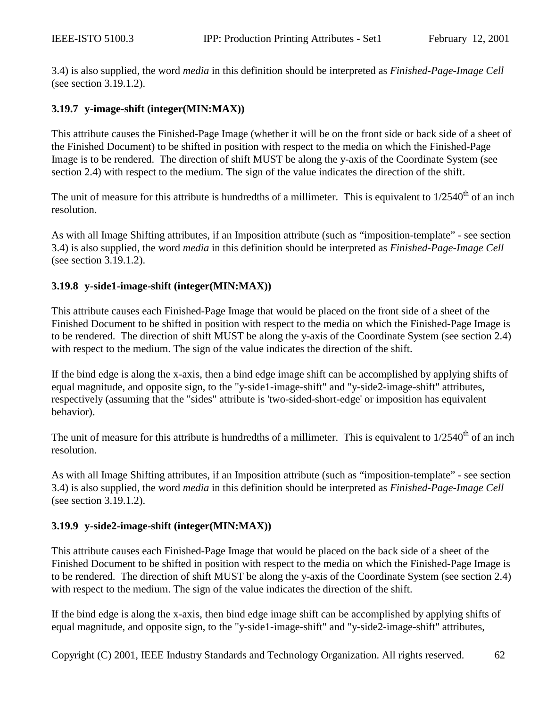<span id="page-61-0"></span>[3.4\)](#page-26-0) is also supplied, the word *media* in this definition should be interpreted as *Finished-Page-Image Cell* (see section [3.19.1.2\)](#page-56-0).

#### **3.19.7 y-image-shift (integer(MIN:MAX))**

This attribute causes the Finished-Page Image (whether it will be on the front side or back side of a sheet of the Finished Document) to be shifted in position with respect to the media on which the Finished-Page Image is to be rendered. The direction of shift MUST be along the y-axis of the Coordinate System (see section [2.4\)](#page-12-0) with respect to the medium. The sign of the value indicates the direction of the shift.

The unit of measure for this attribute is hundredths of a millimeter. This is equivalent to  $1/2540<sup>th</sup>$  of an inch resolution.

As with all Image Shifting attributes, if an Imposition attribute (such as "imposition-template" - see section [3.4\)](#page-26-0) is also supplied, the word *media* in this definition should be interpreted as *Finished-Page-Image Cell* (see section [3.19.1.2\)](#page-56-0).

#### **3.19.8 y-side1-image-shift (integer(MIN:MAX))**

This attribute causes each Finished-Page Image that would be placed on the front side of a sheet of the Finished Document to be shifted in position with respect to the media on which the Finished-Page Image is to be rendered. The direction of shift MUST be along the y-axis of the Coordinate System (see section [2.4\)](#page-12-0) with respect to the medium. The sign of the value indicates the direction of the shift.

If the bind edge is along the x-axis, then a bind edge image shift can be accomplished by applying shifts of equal magnitude, and opposite sign, to the "y-side1-image-shift" and "y-side2-image-shift" attributes, respectively (assuming that the "sides" attribute is 'two-sided-short-edge' or imposition has equivalent behavior).

The unit of measure for this attribute is hundredths of a millimeter. This is equivalent to  $1/2540<sup>th</sup>$  of an inch resolution.

As with all Image Shifting attributes, if an Imposition attribute (such as "imposition-template" - see section [3.4\)](#page-26-0) is also supplied, the word *media* in this definition should be interpreted as *Finished-Page-Image Cell* (see section [3.19.1.2\)](#page-56-0).

### **3.19.9 y-side2-image-shift (integer(MIN:MAX))**

This attribute causes each Finished-Page Image that would be placed on the back side of a sheet of the Finished Document to be shifted in position with respect to the media on which the Finished-Page Image is to be rendered. The direction of shift MUST be along the y-axis of the Coordinate System (see section [2.4\)](#page-12-0) with respect to the medium. The sign of the value indicates the direction of the shift.

If the bind edge is along the x-axis, then bind edge image shift can be accomplished by applying shifts of equal magnitude, and opposite sign, to the "y-side1-image-shift" and "y-side2-image-shift" attributes,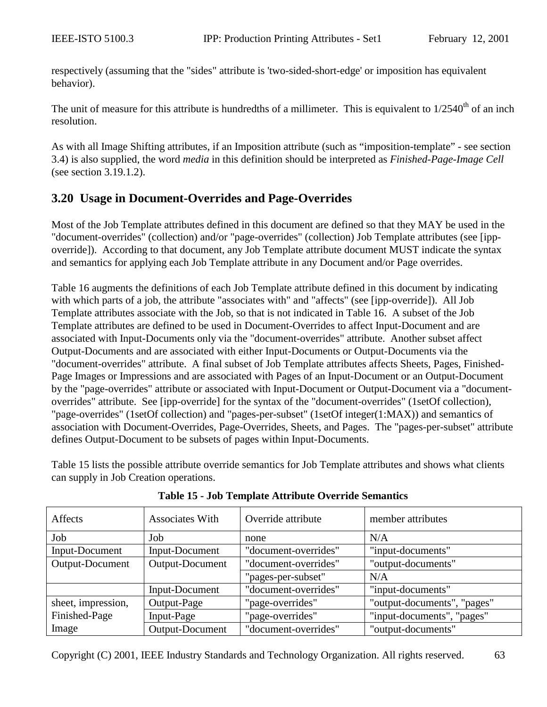<span id="page-62-0"></span>respectively (assuming that the "sides" attribute is 'two-sided-short-edge' or imposition has equivalent behavior).

The unit of measure for this attribute is hundredths of a millimeter. This is equivalent to  $1/2540<sup>th</sup>$  of an inch resolution.

As with all Image Shifting attributes, if an Imposition attribute (such as "imposition-template" - see section [3.4\)](#page-26-0) is also supplied, the word *media* in this definition should be interpreted as *Finished-Page-Image Cell* (see section [3.19.1.2\)](#page-56-0).

# **3.20 Usage in Document-Overrides and Page-Overrides**

Most of the Job Template attributes defined in this document are defined so that they MAY be used in the "document-overrides" (collection) and/or "page-overrides" (collection) Job Template attributes (see [ippoverride]). According to that document, any Job Template attribute document MUST indicate the syntax and semantics for applying each Job Template attribute in any Document and/or Page overrides.

[Table 16](#page-63-0) augments the definitions of each Job Template attribute defined in this document by indicating with which parts of a job, the attribute "associates with" and "affects" (see [ipp-override]). All Job Template attributes associate with the Job, so that is not indicated in [Table 16.](#page-63-0) A subset of the Job Template attributes are defined to be used in Document-Overrides to affect Input-Document and are associated with Input-Documents only via the "document-overrides" attribute. Another subset affect Output-Documents and are associated with either Input-Documents or Output-Documents via the "document-overrides" attribute. A final subset of Job Template attributes affects Sheets, Pages, Finished-Page Images or Impressions and are associated with Pages of an Input-Document or an Output-Document by the "page-overrides" attribute or associated with Input-Document or Output-Document via a "documentoverrides" attribute. See [ipp-override] for the syntax of the "document-overrides" (1setOf collection), "page-overrides" (1setOf collection) and "pages-per-subset" (1setOf integer(1:MAX)) and semantics of association with Document-Overrides, Page-Overrides, Sheets, and Pages. The "pages-per-subset" attribute defines Output-Document to be subsets of pages within Input-Documents.

Table 15 lists the possible attribute override semantics for Job Template attributes and shows what clients can supply in Job Creation operations.

| Affects            | <b>Associates With</b> | Override attribute   | member attributes           |
|--------------------|------------------------|----------------------|-----------------------------|
| Job                | Job                    | none                 | N/A                         |
| Input-Document     | Input-Document         | "document-overrides" | "input-documents"           |
| Output-Document    | <b>Output-Document</b> | "document-overrides" | "output-documents"          |
|                    |                        | "pages-per-subset"   | N/A                         |
|                    | Input-Document         | "document-overrides" | "input-documents"           |
| sheet, impression, | Output-Page            | "page-overrides"     | "output-documents", "pages" |
| Finished-Page      | Input-Page             | "page-overrides"     | "input-documents", "pages"  |
| Image              | <b>Output-Document</b> | "document-overrides" | "output-documents"          |

**Table 15 - Job Template Attribute Override Semantics**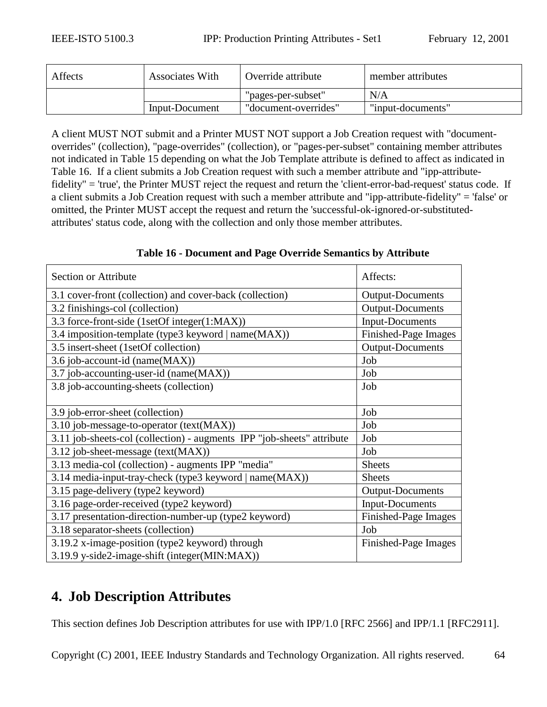<span id="page-63-0"></span>

| Affects | <b>Associates With</b> | Override attribute   | member attributes |
|---------|------------------------|----------------------|-------------------|
|         |                        | "pages-per-subset"   | N/A               |
|         | Input-Document         | "document-overrides" | "input-documents" |

A client MUST NOT submit and a Printer MUST NOT support a Job Creation request with "documentoverrides" (collection), "page-overrides" (collection), or "pages-per-subset" containing member attributes not indicated in [Table 15](#page-62-0) depending on what the Job Template attribute is defined to affect as indicated in Table 16. If a client submits a Job Creation request with such a member attribute and "ipp-attributefidelity" = 'true', the Printer MUST reject the request and return the 'client-error-bad-request' status code. If a client submits a Job Creation request with such a member attribute and "ipp-attribute-fidelity" = 'false' or omitted, the Printer MUST accept the request and return the 'successful-ok-ignored-or-substitutedattributes' status code, along with the collection and only those member attributes.

| Section or Attribute                                                   | Affects:                |
|------------------------------------------------------------------------|-------------------------|
| 3.1 cover-front (collection) and cover-back (collection)               | Output-Documents        |
| 3.2 finishings-col (collection)                                        | <b>Output-Documents</b> |
| 3.3 force-front-side (1setOf integer(1:MAX))                           | <b>Input-Documents</b>  |
| 3.4 imposition-template (type3 keyword   name(MAX))                    | Finished-Page Images    |
| 3.5 insert-sheet (1setOf collection)                                   | Output-Documents        |
| 3.6 job-account-id (name(MAX))                                         | Job                     |
| 3.7 job-accounting-user-id (name(MAX))                                 | Job                     |
| 3.8 job-accounting-sheets (collection)                                 | Job                     |
|                                                                        |                         |
| 3.9 job-error-sheet (collection)                                       | Job                     |
| 3.10 job-message-to-operator (text(MAX))                               | Job                     |
| 3.11 job-sheets-col (collection) - augments IPP "job-sheets" attribute | Job                     |
| 3.12 job-sheet-message (text(MAX))                                     | Job                     |
| 3.13 media-col (collection) - augments IPP "media"                     | <b>Sheets</b>           |
| 3.14 media-input-tray-check (type3 keyword   name(MAX))                | <b>Sheets</b>           |
| 3.15 page-delivery (type2 keyword)                                     | Output-Documents        |
| 3.16 page-order-received (type2 keyword)                               | <b>Input-Documents</b>  |
| 3.17 presentation-direction-number-up (type2 keyword)                  | Finished-Page Images    |
| 3.18 separator-sheets (collection)                                     | Job                     |
| 3.19.2 x-image-position (type2 keyword) through                        | Finished-Page Images    |
| 3.19.9 y-side2-image-shift (integer(MIN:MAX))                          |                         |

## **Table 16 - Document and Page Override Semantics by Attribute**

# **4. Job Description Attributes**

This section defines Job Description attributes for use with IPP/1.0 [RFC 2566] and IPP/1.1 [RFC2911].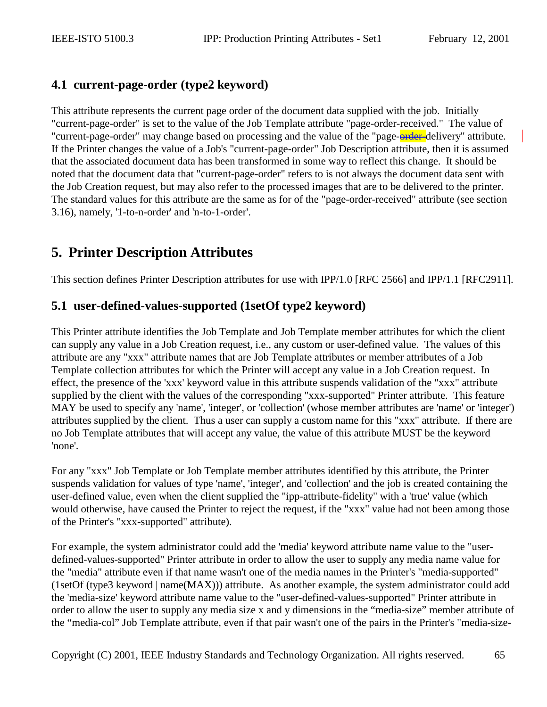# <span id="page-64-0"></span>**4.1 current-page-order (type2 keyword)**

This attribute represents the current page order of the document data supplied with the job. Initially "current-page-order" is set to the value of the Job Template attribute "page-order-received." The value of "current-page-order" may change based on processing and the value of the "page-order-delivery" attribute. If the Printer changes the value of a Job's "current-page-order" Job Description attribute, then it is assumed that the associated document data has been transformed in some way to reflect this change. It should be noted that the document data that "current-page-order" refers to is not always the document data sent with the Job Creation request, but may also refer to the processed images that are to be delivered to the printer. The standard values for this attribute are the same as for of the "page-order-received" attribute (see section [3.16\)](#page-50-0), namely, '1-to-n-order' and 'n-to-1-order'.

# **5. Printer Description Attributes**

This section defines Printer Description attributes for use with IPP/1.0 [RFC 2566] and IPP/1.1 [RFC2911].

# **5.1 user-defined-values-supported (1setOf type2 keyword)**

This Printer attribute identifies the Job Template and Job Template member attributes for which the client can supply any value in a Job Creation request, i.e., any custom or user-defined value. The values of this attribute are any "xxx" attribute names that are Job Template attributes or member attributes of a Job Template collection attributes for which the Printer will accept any value in a Job Creation request. In effect, the presence of the 'xxx' keyword value in this attribute suspends validation of the "xxx" attribute supplied by the client with the values of the corresponding "xxx-supported" Printer attribute. This feature MAY be used to specify any 'name', 'integer', or 'collection' (whose member attributes are 'name' or 'integer') attributes supplied by the client. Thus a user can supply a custom name for this "xxx" attribute. If there are no Job Template attributes that will accept any value, the value of this attribute MUST be the keyword 'none'.

For any "xxx" Job Template or Job Template member attributes identified by this attribute, the Printer suspends validation for values of type 'name', 'integer', and 'collection' and the job is created containing the user-defined value, even when the client supplied the "ipp-attribute-fidelity" with a 'true' value (which would otherwise, have caused the Printer to reject the request, if the "xxx" value had not been among those of the Printer's "xxx-supported" attribute).

For example, the system administrator could add the 'media' keyword attribute name value to the "userdefined-values-supported" Printer attribute in order to allow the user to supply any media name value for the "media" attribute even if that name wasn't one of the media names in the Printer's "media-supported" (1setOf (type3 keyword | name(MAX))) attribute. As another example, the system administrator could add the 'media-size' keyword attribute name value to the "user-defined-values-supported" Printer attribute in order to allow the user to supply any media size x and y dimensions in the "media-size" member attribute of the "media-col" Job Template attribute, even if that pair wasn't one of the pairs in the Printer's "media-size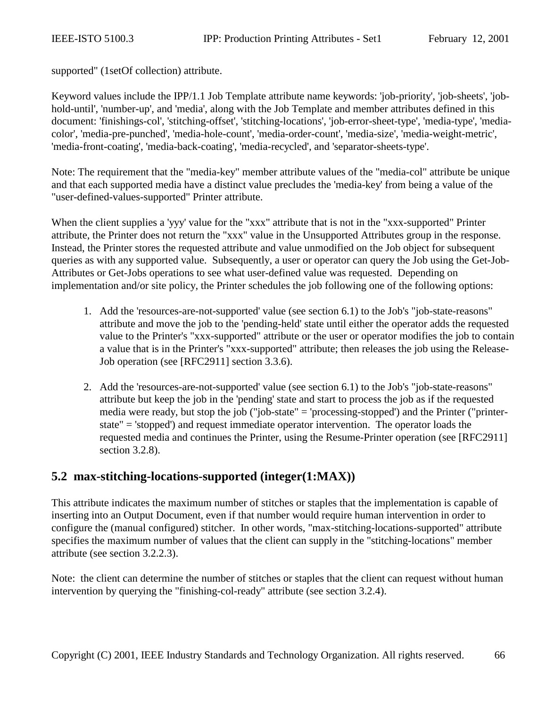<span id="page-65-0"></span>supported" (1setOf collection) attribute.

Keyword values include the IPP/1.1 Job Template attribute name keywords: 'job-priority', 'job-sheets', 'jobhold-until', 'number-up', and 'media', along with the Job Template and member attributes defined in this document: 'finishings-col', 'stitching-offset', 'stitching-locations', 'job-error-sheet-type', 'media-type', 'mediacolor', 'media-pre-punched', 'media-hole-count', 'media-order-count', 'media-size', 'media-weight-metric', 'media-front-coating', 'media-back-coating', 'media-recycled', and 'separator-sheets-type'.

Note: The requirement that the "media-key" member attribute values of the "media-col" attribute be unique and that each supported media have a distinct value precludes the 'media-key' from being a value of the "user-defined-values-supported" Printer attribute.

When the client supplies a 'yyy' value for the "xxx" attribute that is not in the "xxx-supported" Printer attribute, the Printer does not return the "xxx" value in the Unsupported Attributes group in the response. Instead, the Printer stores the requested attribute and value unmodified on the Job object for subsequent queries as with any supported value. Subsequently, a user or operator can query the Job using the Get-Job-Attributes or Get-Jobs operations to see what user-defined value was requested. Depending on implementation and/or site policy, the Printer schedules the job following one of the following options:

- 1. Add the 'resources-are-not-supported' value (see section [6.1\)](#page-66-0) to the Job's "job-state-reasons" attribute and move the job to the 'pending-held' state until either the operator adds the requested value to the Printer's "xxx-supported" attribute or the user or operator modifies the job to contain a value that is in the Printer's "xxx-supported" attribute; then releases the job using the Release-Job operation (see [RFC2911] section 3.3.6).
- 2. Add the 'resources-are-not-supported' value (see section [6.1\)](#page-66-0) to the Job's "job-state-reasons" attribute but keep the job in the 'pending' state and start to process the job as if the requested media were ready, but stop the job ("job-state" = 'processing-stopped') and the Printer ("printerstate" = 'stopped') and request immediate operator intervention. The operator loads the requested media and continues the Printer, using the Resume-Printer operation (see [RFC2911] section 3.2.8).

# **5.2 max-stitching-locations-supported (integer(1:MAX))**

This attribute indicates the maximum number of stitches or staples that the implementation is capable of inserting into an Output Document, even if that number would require human intervention in order to configure the (manual configured) stitcher. In other words, "max-stitching-locations-supported" attribute specifies the maximum number of values that the client can supply in the "stitching-locations" member attribute (see section [3.2.2.3\)](#page-24-0).

Note: the client can determine the number of stitches or staples that the client can request without human intervention by querying the "finishing-col-ready" attribute (see section [3.2.4\)](#page-25-0).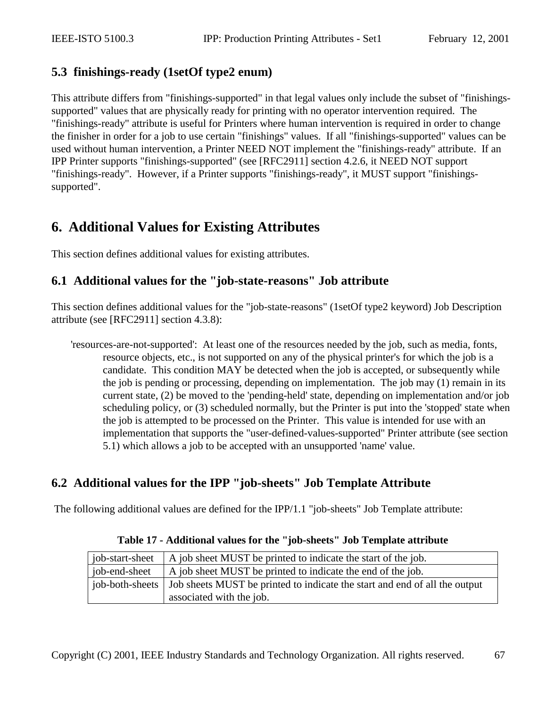# <span id="page-66-0"></span>**5.3 finishings-ready (1setOf type2 enum)**

This attribute differs from "finishings-supported" in that legal values only include the subset of "finishingssupported" values that are physically ready for printing with no operator intervention required. The "finishings-ready" attribute is useful for Printers where human intervention is required in order to change the finisher in order for a job to use certain "finishings" values. If all "finishings-supported" values can be used without human intervention, a Printer NEED NOT implement the "finishings-ready" attribute. If an IPP Printer supports "finishings-supported" (see [RFC2911] section 4.2.6, it NEED NOT support "finishings-ready". However, if a Printer supports "finishings-ready", it MUST support "finishingssupported".

# **6. Additional Values for Existing Attributes**

This section defines additional values for existing attributes.

# **6.1 Additional values for the "job-state-reasons" Job attribute**

This section defines additional values for the "job-state-reasons" (1setOf type2 keyword) Job Description attribute (see [RFC2911] section 4.3.8):

'resources-are-not-supported': At least one of the resources needed by the job, such as media, fonts, resource objects, etc., is not supported on any of the physical printer's for which the job is a candidate. This condition MAY be detected when the job is accepted, or subsequently while the job is pending or processing, depending on implementation. The job may (1) remain in its current state, (2) be moved to the 'pending-held' state, depending on implementation and/or job scheduling policy, or (3) scheduled normally, but the Printer is put into the 'stopped' state when the job is attempted to be processed on the Printer. This value is intended for use with an implementation that supports the "user-defined-values-supported" Printer attribute (see section [5.1\)](#page-64-0) which allows a job to be accepted with an unsupported 'name' value.

# **6.2 Additional values for the IPP "job-sheets" Job Template Attribute**

The following additional values are defined for the IPP/1.1 "job-sheets" Job Template attribute:

| job-start-sheet | A job sheet MUST be printed to indicate the start of the job.                                |  |
|-----------------|----------------------------------------------------------------------------------------------|--|
| job-end-sheet   | A job sheet MUST be printed to indicate the end of the job.                                  |  |
|                 | job-both-sheets   Job sheets MUST be printed to indicate the start and end of all the output |  |
|                 | associated with the job.                                                                     |  |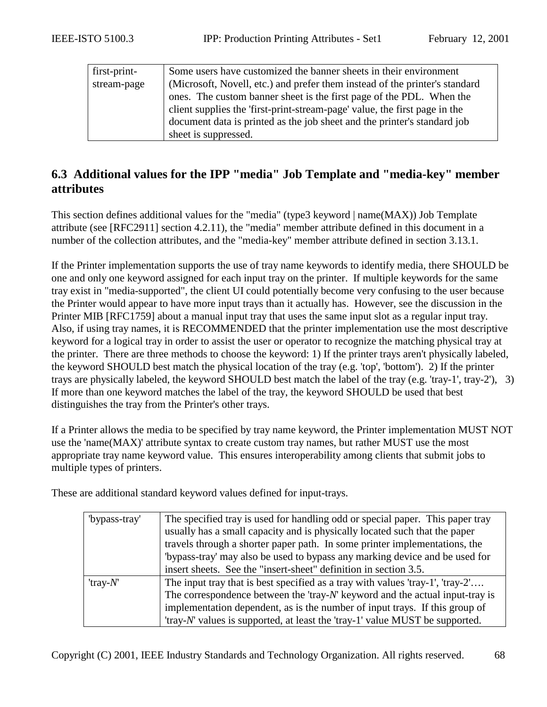<span id="page-67-0"></span>

| first-print- | Some users have customized the banner sheets in their environment           |  |  |  |
|--------------|-----------------------------------------------------------------------------|--|--|--|
| stream-page  | (Microsoft, Novell, etc.) and prefer them instead of the printer's standard |  |  |  |
|              | ones. The custom banner sheet is the first page of the PDL. When the        |  |  |  |
|              | client supplies the 'first-print-stream-page' value, the first page in the  |  |  |  |
|              | document data is printed as the job sheet and the printer's standard job    |  |  |  |
|              | sheet is suppressed.                                                        |  |  |  |
|              |                                                                             |  |  |  |

# **6.3 Additional values for the IPP "media" Job Template and "media-key" member attributes**

This section defines additional values for the "media" (type3 keyword | name(MAX)) Job Template attribute (see [RFC2911] section 4.2.11), the "media" member attribute defined in this document in a number of the collection attributes, and the "media-key" member attribute defined in section [3.13.1.](#page-39-0)

If the Printer implementation supports the use of tray name keywords to identify media, there SHOULD be one and only one keyword assigned for each input tray on the printer. If multiple keywords for the same tray exist in "media-supported", the client UI could potentially become very confusing to the user because the Printer would appear to have more input trays than it actually has. However, see the discussion in the Printer MIB [RFC1759] about a manual input tray that uses the same input slot as a regular input tray. Also, if using tray names, it is RECOMMENDED that the printer implementation use the most descriptive keyword for a logical tray in order to assist the user or operator to recognize the matching physical tray at the printer. There are three methods to choose the keyword: 1) If the printer trays aren't physically labeled, the keyword SHOULD best match the physical location of the tray (e.g. 'top', 'bottom'). 2) If the printer trays are physically labeled, the keyword SHOULD best match the label of the tray (e.g. 'tray-1', tray-2'), 3) If more than one keyword matches the label of the tray, the keyword SHOULD be used that best distinguishes the tray from the Printer's other trays.

If a Printer allows the media to be specified by tray name keyword, the Printer implementation MUST NOT use the 'name(MAX)' attribute syntax to create custom tray names, but rather MUST use the most appropriate tray name keyword value. This ensures interoperability among clients that submit jobs to multiple types of printers.

These are additional standard keyword values defined for input-trays.

| "bypass-tray" | The specified tray is used for handling odd or special paper. This paper tray<br>usually has a small capacity and is physically located such that the paper |
|---------------|-------------------------------------------------------------------------------------------------------------------------------------------------------------|
|               | travels through a shorter paper path. In some printer implementations, the                                                                                  |
|               | "bypass-tray' may also be used to bypass any marking device and be used for                                                                                 |
|               | insert sheets. See the "insert-sheet" definition in section 3.5.                                                                                            |
| 'tray- $N'$   | The input tray that is best specified as a tray with values 'tray-1', 'tray-2'                                                                              |
|               | The correspondence between the 'tray- $N'$ keyword and the actual input-tray is                                                                             |
|               | implementation dependent, as is the number of input trays. If this group of                                                                                 |
|               | 'tray-N' values is supported, at least the 'tray-1' value MUST be supported.                                                                                |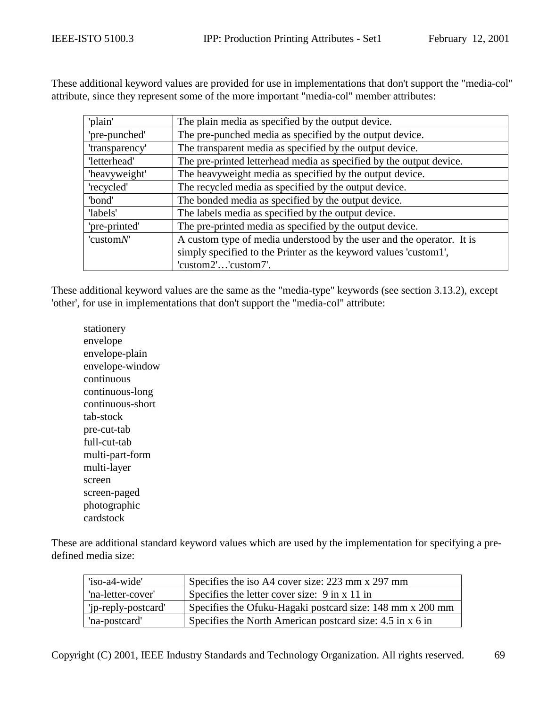These additional keyword values are provided for use in implementations that don't support the "media-col" attribute, since they represent some of the more important "media-col" member attributes:

| 'plain'        | The plain media as specified by the output device.                    |
|----------------|-----------------------------------------------------------------------|
| 'pre-punched'  | The pre-punched media as specified by the output device.              |
| 'transparency' | The transparent media as specified by the output device.              |
| 'letterhead'   | The pre-printed letterhead media as specified by the output device.   |
| 'heavyweight'  | The heavyweight media as specified by the output device.              |
| 'recycled'     | The recycled media as specified by the output device.                 |
| 'bond'         | The bonded media as specified by the output device.                   |
| 'labels'       | The labels media as specified by the output device.                   |
| 'pre-printed'  | The pre-printed media as specified by the output device.              |
| 'custom $N$ '  | A custom type of media understood by the user and the operator. It is |
|                | simply specified to the Printer as the keyword values 'custom1',      |
|                | 'custom2''custom7'.                                                   |

These additional keyword values are the same as the "media-type" keywords (see section [3.13.2\)](#page-40-0), except 'other', for use in implementations that don't support the "media-col" attribute:

stationery envelope envelope-plain envelope-window continuous continuous-long continuous-short tab-stock pre-cut-tab full-cut-tab multi-part-form multi-layer screen screen-paged photographic cardstock

These are additional standard keyword values which are used by the implementation for specifying a predefined media size:

| 'iso-a4-wide'       | Specifies the iso A4 cover size: 223 mm x 297 mm          |
|---------------------|-----------------------------------------------------------|
| 'na-letter-cover'   | Specifies the letter cover size: 9 in x 11 in             |
| 'ip-reply-postcard' | Specifies the Ofuku-Hagaki postcard size: 148 mm x 200 mm |
| 'na-postcard'       | Specifies the North American postcard size: 4.5 in x 6 in |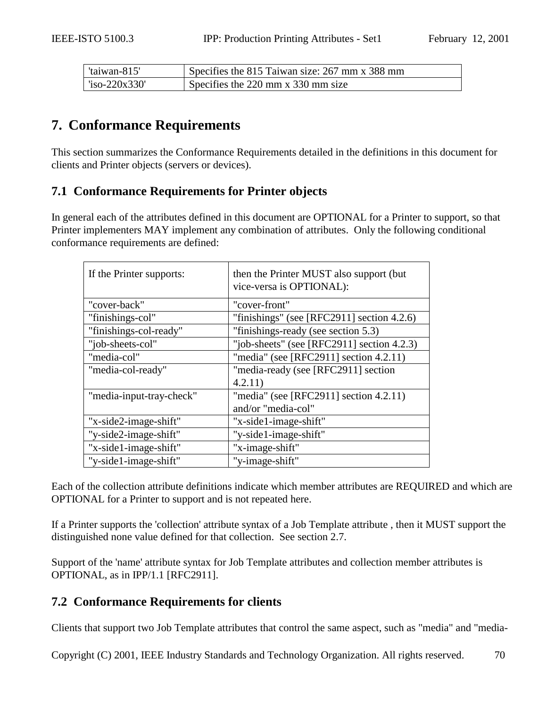| 'taiwan-815'              | Specifies the 815 Taiwan size: 267 mm x 388 mm |
|---------------------------|------------------------------------------------|
| $\frac{1}{2}$ so-220x330' | Specifies the 220 mm x 330 mm size             |

# **7. Conformance Requirements**

This section summarizes the Conformance Requirements detailed in the definitions in this document for clients and Printer objects (servers or devices).

# **7.1 Conformance Requirements for Printer objects**

In general each of the attributes defined in this document are OPTIONAL for a Printer to support, so that Printer implementers MAY implement any combination of attributes. Only the following conditional conformance requirements are defined:

| If the Printer supports: | then the Printer MUST also support (but)<br>vice-versa is OPTIONAL): |
|--------------------------|----------------------------------------------------------------------|
| "cover-back"             | "cover-front"                                                        |
| "finishings-col"         | "finishings" (see [RFC2911] section $4.2.6$ )                        |
| "finishings-col-ready"   | "finishings-ready (see section 5.3)                                  |
| "job-sheets-col"         | "job-sheets" (see [RFC2911] section $4.2.3$ )                        |
| "media-col"              | "media" (see [RFC2911] section $4.2.11$ )                            |
| "media-col-ready"        | "media-ready (see [RFC2911] section                                  |
|                          | 4.2.11)                                                              |
| "media-input-tray-check" | "media" (see [RFC2911] section $4.2.11$ )                            |
|                          | and/or "media-col"                                                   |
| "x-side2-image-shift"    | "x-side1-image-shift"                                                |
| "y-side2-image-shift"    | "y-side1-image-shift"                                                |
| "x-side1-image-shift"    | "x-image-shift"                                                      |
| "y-side1-image-shift"    | "y-image-shift"                                                      |

Each of the collection attribute definitions indicate which member attributes are REQUIRED and which are OPTIONAL for a Printer to support and is not repeated here.

If a Printer supports the 'collection' attribute syntax of a Job Template attribute , then it MUST support the distinguished none value defined for that collection. See section [2.7.](#page-14-0)

Support of the 'name' attribute syntax for Job Template attributes and collection member attributes is OPTIONAL, as in IPP/1.1 [RFC2911].

# **7.2 Conformance Requirements for clients**

Clients that support two Job Template attributes that control the same aspect, such as "media" and "media-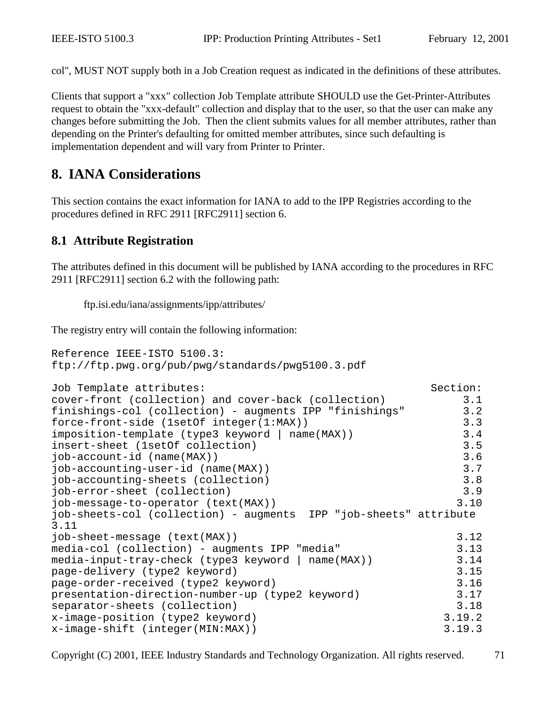col", MUST NOT supply both in a Job Creation request as indicated in the definitions of these attributes.

Clients that support a "xxx" collection Job Template attribute SHOULD use the Get-Printer-Attributes request to obtain the "xxx-default" collection and display that to the user, so that the user can make any changes before submitting the Job. Then the client submits values for all member attributes, rather than depending on the Printer's defaulting for omitted member attributes, since such defaulting is implementation dependent and will vary from Printer to Printer.

# **8. IANA Considerations**

This section contains the exact information for IANA to add to the IPP Registries according to the procedures defined in RFC 2911 [RFC2911] section 6.

## **8.1 Attribute Registration**

The attributes defined in this document will be published by IANA according to the procedures in RFC 2911 [RFC2911] section 6.2 with the following path:

ftp.isi.edu/iana/assignments/ipp/attributes/

The registry entry will contain the following information:

```
Reference IEEE-ISTO 5100.3:
ftp://ftp.pwg.org/pub/pwg/standards/pwg5100.3.pdf
Job Template attributes: Section:
cover-front (collection) and cover-back (collection) 3.1
finishings-col (collection) - augments IPP "finishings" 3.2
force-front-side (1setOf integer(1:MAX)) 3.3
imposition-template (type3 keyword | name(MAX)) 3.4
insert-sheet (1setOf collection)3.5
job-account-id (name(MAX)) 3.6
job-accounting-user-id (name(MAX)) 3.7
job-accounting-sheets (collection) 3.8
job-error-sheet (collection) 3.9
job-message-to-operator (text(MAX)) 3.10
job-sheets-col (collection) - augments IPP "job-sheets" attribute
3.11
job-sheet-message (text(MAX))3.12
media-col (collection) - augments IPP "media" 3.13
media-input-tray-check (type3 keyword | name(MAX)) 3.14
page-delivery (type2 keyword) 3.15
page-order-received (type2 keyword) 3.16
presentation-direction-number-up (type2 keyword) 3.17
separator-sheets (collection) 3.18
x-image-position (type2 keyword) 3.19.2
x-image-shift (integer(MIN:MAX)) 3.19.3
```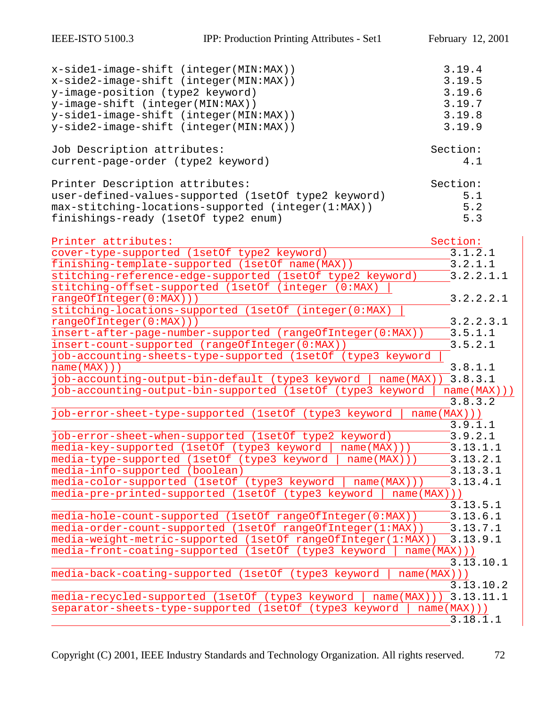| x-side1-image-shift (integer(MIN:MAX))<br>x-side2-image-shift (integer(MIN:MAX))<br>y-image-position (type2 keyword)<br>y-image-shift (integer(MIN:MAX))<br>y-side1-image-shift (integer(MIN:MAX))<br>y-side2-image-shift (integer(MIN:MAX)) | 3.19.4<br>3.19.5<br>3.19.6<br>3.19.7<br>3.19.8<br>3.19.9 |
|----------------------------------------------------------------------------------------------------------------------------------------------------------------------------------------------------------------------------------------------|----------------------------------------------------------|
| Job Description attributes:<br>current-page-order (type2 keyword)                                                                                                                                                                            | Section:<br>4.1                                          |
| Printer Description attributes:<br>user-defined-values-supported (1setOf type2 keyword)<br>max-stitching-locations-supported (integer(1:MAX))<br>finishings-ready (1setOf type2 enum)                                                        | Section:<br>5.1<br>5.2<br>5.3                            |
| Printer attributes:<br>cover-type-supported (1setOf type2 keyword)                                                                                                                                                                           | Section:<br>3.1.2.1                                      |
| finishing-template-supported (1setOf name(MAX))<br>stitching-reference-edge-supported (1setOf type2 keyword)<br>stitching-offset-supported (1setOf (integer (0:MAX)                                                                          | 3.2.1.1<br>3.2.2.1.1                                     |
| rangeOfInteger(0:MAX)))<br>stitching-locations-supported (lsetOf (integer(0:MAX)<br>rangeOfInteger(0:MAX)))                                                                                                                                  | 3.2.2.2.1<br>3.2.2.3.1                                   |
| insert-after-page-number-supported (rangeOfInteger(0:MAX))<br>insert-count-supported (rangeOfInteger(0:MAX))<br>job-accounting-sheets-type-supported (1setOf (type3 keyword                                                                  | 3.5.1.1<br>3.5.2.1                                       |
| name(MAX))<br>job-accounting-output-bin-default (type3 keyword<br>name (MAX)<br>job-accounting-output-bin-supported (1setOf (type3 keyword                                                                                                   | 3.8.1.1<br>3.8.3.1<br>name(MAX))                         |
| job-error-sheet-type-supported (1setOf (type3 keyword                                                                                                                                                                                        | 3.8.3.2<br>name(MAX))<br>3.9.1.1                         |
| job-error-sheet-when-supported (1setOf type2 keyword)<br>media-key-supported (1setOf (type3 keyword<br>name(MAX)))<br>media-type-supported (1setOf (type3 keyword<br>name(MAX))                                                              | 3.9.2.1<br>3.13.1.1<br>3.13.2.1                          |
| media-info-supported (boolean)<br>media-color-supported (1setOf (type3 keyword<br>name (MAX)                                                                                                                                                 | 3.13.3.1<br>3.13.4.1                                     |
| media-pre-printed-supported (1setOf (type3 keyword<br>name(MAX)))<br>media-hole-count-supported (1setOf rangeOfInteger(0:MAX))                                                                                                               | 3.13.5.1<br>3.13.6.1                                     |
| media-order-count-supported (1setOf rangeOfInteger(1:MAX))<br>media-weight-metric-supported (lsetOf rangeOfInteger(1:MAX))<br>media-front-coating-supported (1setOf (type3 keyword                                                           | 3.13.7.1<br>3.13.9.1<br>name(MAX))                       |
| media-back-coating-supported (1setOf (type3 keyword                                                                                                                                                                                          | 3.13.10.1<br>name(MAX))<br>3.13.10.2                     |
| media-recycled-supported (1setOf (type3 keyword<br>name(MAX))<br>separator-sheets-type-supported (1setOf (type3 keyword                                                                                                                      | 3.13.11.1<br>name(MAX))<br>3.18.1.1                      |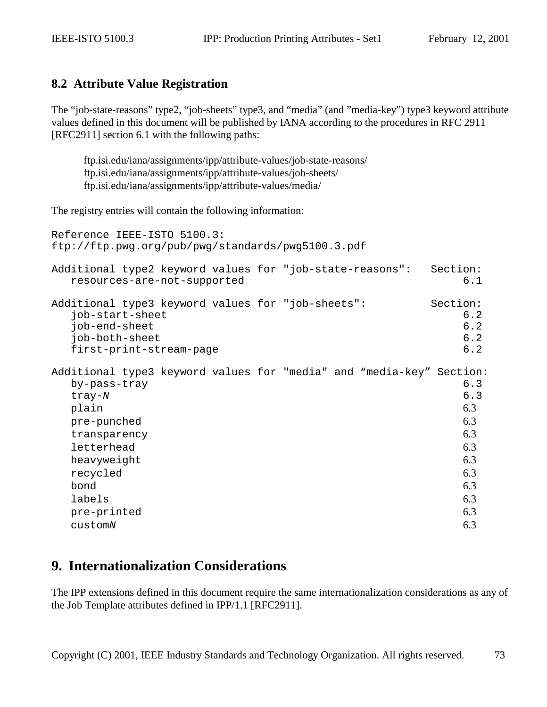### **8.2 Attribute Value Registration**

The "job-state-reasons" type2, "job-sheets" type3, and "media" (and "media-key") type3 keyword attribute values defined in this document will be published by IANA according to the procedures in RFC 2911 [RFC2911] section 6.1 with the following paths:

ftp.isi.edu/iana/assignments/ipp/attribute-values/job-state-reasons/ ftp.isi.edu/iana/assignments/ipp/attribute-values/job-sheets/ ftp.isi.edu/iana/assignments/ipp/attribute-values/media/

The registry entries will contain the following information:

```
Reference IEEE-ISTO 5100.3:
ftp://ftp.pwg.org/pub/pwg/standards/pwg5100.3.pdf
Additional type2 keyword values for "job-state-reasons": Section:
 resources-are-not-supported 6.1
Additional type3 keyword values for "job-sheets":<br>iob-start-sheet 6.2
 job-start-sheet 6.2
 6.2
 job-both-sheet 6.2
 6.2
Additional type3 keyword values for "media" and "media-key" Section:
 by-pass-tray 6.3
 \text{tray-}N6.3
 6.3
 pre-punched 6.3
 6.3
 6.3
 6.3
 6.3
 \lambda6.3
 \lambda6.3
 pre-printed 6.3
 6.3
```
## **9. Internationalization Considerations**

The IPP extensions defined in this document require the same internationalization considerations as any of the Job Template attributes defined in IPP/1.1 [RFC2911].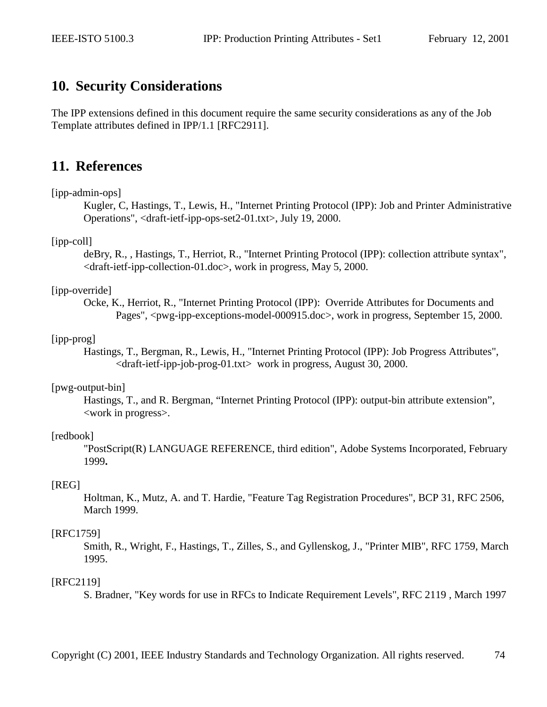### **10. Security Considerations**

The IPP extensions defined in this document require the same security considerations as any of the Job Template attributes defined in IPP/1.1 [RFC2911].

### **11. References**

#### [ipp-admin-ops]

 Kugler, C, Hastings, T., Lewis, H., "Internet Printing Protocol (IPP): Job and Printer Administrative Operations", <draft-ietf-ipp-ops-set2-01.txt>, July 19, 2000.

#### [ipp-coll]

 deBry, R., , Hastings, T., Herriot, R., "Internet Printing Protocol (IPP): collection attribute syntax",  $\langle$ draft-ietf-ipp-collection-01.doc>, work in progress, May 5, 2000.

#### [ipp-override]

Ocke, K., Herriot, R., "Internet Printing Protocol (IPP): Override Attributes for Documents and Pages", <pwg-ipp-exceptions-model-000915.doc>, work in progress, September 15, 2000.

#### [ipp-prog]

Hastings, T., Bergman, R., Lewis, H., "Internet Printing Protocol (IPP): Job Progress Attributes",  $\langle$ draft-ietf-ipp-job-prog-01.txt $>$  work in progress, August 30, 2000.

#### [pwg-output-bin]

 Hastings, T., and R. Bergman, "Internet Printing Protocol (IPP): output-bin attribute extension", <work in progress>.

#### [redbook]

 "PostScript(R) LANGUAGE REFERENCE, third edition", Adobe Systems Incorporated, February 1999**.**

#### [REG]

 Holtman, K., Mutz, A. and T. Hardie, "Feature Tag Registration Procedures", BCP 31, RFC 2506, March 1999.

#### [RFC1759]

 Smith, R., Wright, F., Hastings, T., Zilles, S., and Gyllenskog, J., "Printer MIB", RFC 1759, March 1995.

#### [RFC2119]

S. Bradner, "Key words for use in RFCs to Indicate Requirement Levels", RFC 2119 , March 1997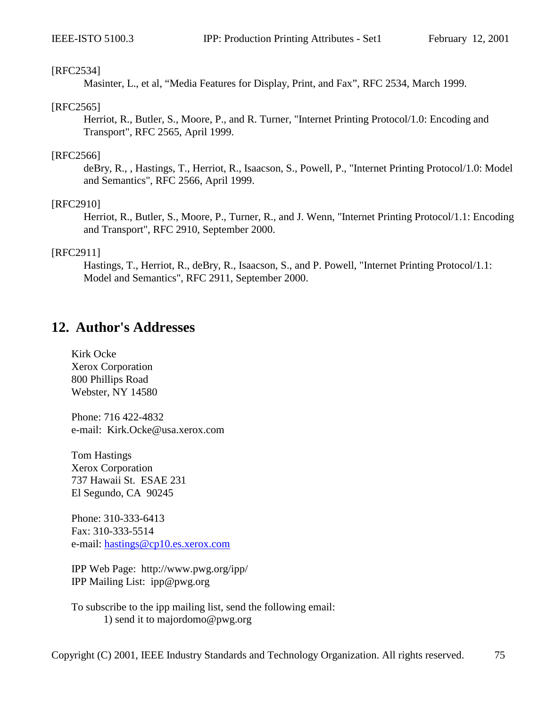#### [RFC2534]

Masinter, L., et al, "Media Features for Display, Print, and Fax", RFC 2534, March 1999.

#### [RFC2565]

Herriot, R., Butler, S., Moore, P., and R. Turner, "Internet Printing Protocol/1.0: Encoding and Transport", RFC 2565, April 1999.

#### [RFC2566]

 deBry, R., , Hastings, T., Herriot, R., Isaacson, S., Powell, P., "Internet Printing Protocol/1.0: Model and Semantics", RFC 2566, April 1999.

#### [RFC2910]

 Herriot, R., Butler, S., Moore, P., Turner, R., and J. Wenn, "Internet Printing Protocol/1.1: Encoding and Transport", RFC 2910, September 2000.

#### [RFC2911]

 Hastings, T., Herriot, R., deBry, R., Isaacson, S., and P. Powell, "Internet Printing Protocol/1.1: Model and Semantics", RFC 2911, September 2000.

### **12. Author's Addresses**

Kirk Ocke Xerox Corporation 800 Phillips Road Webster, NY 14580

Phone: 716 422-4832 e-mail: Kirk.Ocke@usa.xerox.com

Tom Hastings Xerox Corporation 737 Hawaii St. ESAE 231 El Segundo, CA 90245

Phone: 310-333-6413 Fax: 310-333-5514 e-mail: [hastings@cp10.es.xerox.com](mailto:hastings@cp10.es.xerox.com)

IPP Web Page: http://www.pwg.org/ipp/ IPP Mailing List: ipp@pwg.org

To subscribe to the ipp mailing list, send the following email: 1) send it to majordomo@pwg.org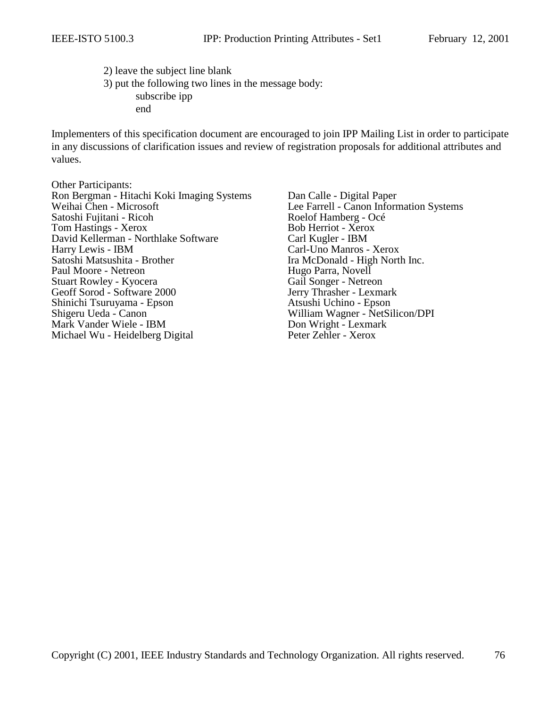2) leave the subject line blank 3) put the following two lines in the message body: subscribe ipp end

Implementers of this specification document are encouraged to join IPP Mailing List in order to participate in any discussions of clarification issues and review of registration proposals for additional attributes and values.

Other Participants: Ron Bergman - Hitachi Koki Imaging Systems Dan Calle - Digital Paper<br>Weihai Chen - Microsoft Lee Farrell - Canon Inform Satoshi Fujitani - Ricoh Roelof Hamberg - Océ Tom Hastings - Xerox Bob Herriot - Xerox David Kellerman - Northlake Software Carl Kugler - IBM Harry Lewis - IBM Carl-Uno Manros - Xerox<br>
Satoshi Matsushita - Brother Fame Carl Light North Carl Light North Paul Moore - Netreon Hugo Parra, Novell Stuart Rowley - Kyocera<br>
Gail Songer - Netreon<br>
Gail Songer - Netreon<br>
Jerry Thrasher - Lexmark Geoff Sorod - Software 2000 Shinichi Tsuruyama - Epson Atsushi Uchino - Epson Shigeru Ueda - Canon William Wagner - NetSilicon/DPI<br>
Mark Vander Wiele - IBM Don Wright - Lexmark Mark Vander Wiele - IBM Michael Wu - Heidelberg Digital Peter Zehler - Xerox

Lee Farrell - Canon Information Systems Ira McDonald - High North Inc.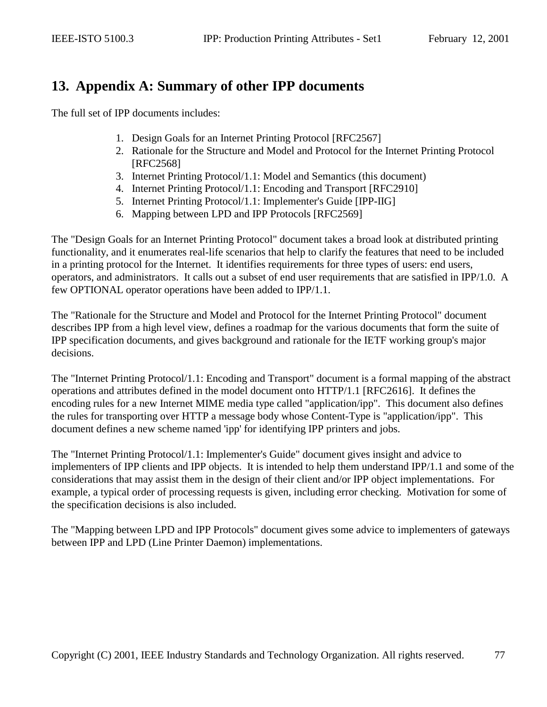# **13. Appendix A: Summary of other IPP documents**

The full set of IPP documents includes:

- 1. Design Goals for an Internet Printing Protocol [RFC2567]
- 2. Rationale for the Structure and Model and Protocol for the Internet Printing Protocol [RFC2568]
- 3. Internet Printing Protocol/1.1: Model and Semantics (this document)
- 4. Internet Printing Protocol/1.1: Encoding and Transport [RFC2910]
- 5. Internet Printing Protocol/1.1: Implementer's Guide [IPP-IIG]
- 6. Mapping between LPD and IPP Protocols [RFC2569]

The "Design Goals for an Internet Printing Protocol" document takes a broad look at distributed printing functionality, and it enumerates real-life scenarios that help to clarify the features that need to be included in a printing protocol for the Internet. It identifies requirements for three types of users: end users, operators, and administrators. It calls out a subset of end user requirements that are satisfied in IPP/1.0. A few OPTIONAL operator operations have been added to IPP/1.1.

The "Rationale for the Structure and Model and Protocol for the Internet Printing Protocol" document describes IPP from a high level view, defines a roadmap for the various documents that form the suite of IPP specification documents, and gives background and rationale for the IETF working group's major decisions.

The "Internet Printing Protocol/1.1: Encoding and Transport" document is a formal mapping of the abstract operations and attributes defined in the model document onto HTTP/1.1 [RFC2616]. It defines the encoding rules for a new Internet MIME media type called "application/ipp". This document also defines the rules for transporting over HTTP a message body whose Content-Type is "application/ipp". This document defines a new scheme named 'ipp' for identifying IPP printers and jobs.

The "Internet Printing Protocol/1.1: Implementer's Guide" document gives insight and advice to implementers of IPP clients and IPP objects. It is intended to help them understand IPP/1.1 and some of the considerations that may assist them in the design of their client and/or IPP object implementations. For example, a typical order of processing requests is given, including error checking. Motivation for some of the specification decisions is also included.

The "Mapping between LPD and IPP Protocols" document gives some advice to implementers of gateways between IPP and LPD (Line Printer Daemon) implementations.